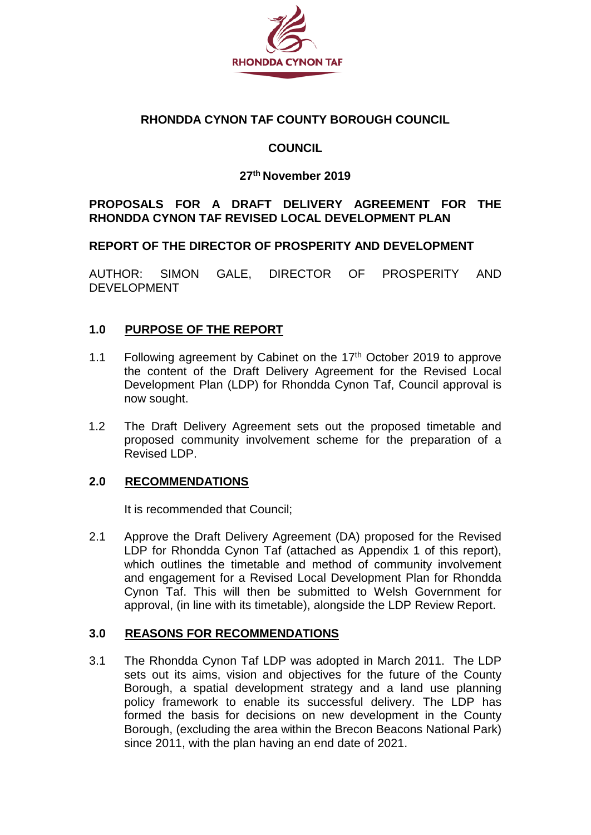

## **RHONDDA CYNON TAF COUNTY BOROUGH COUNCIL**

## **COUNCIL**

## **27th November 2019**

## **PROPOSALS FOR A DRAFT DELIVERY AGREEMENT FOR THE RHONDDA CYNON TAF REVISED LOCAL DEVELOPMENT PLAN**

#### **REPORT OF THE DIRECTOR OF PROSPERITY AND DEVELOPMENT**

AUTHOR: SIMON GALE, DIRECTOR OF PROSPERITY AND DEVELOPMENT

#### **1.0 PURPOSE OF THE REPORT**

- 1.1 Following agreement by Cabinet on the  $17<sup>th</sup>$  October 2019 to approve the content of the Draft Delivery Agreement for the Revised Local Development Plan (LDP) for Rhondda Cynon Taf, Council approval is now sought.
- 1.2 The Draft Delivery Agreement sets out the proposed timetable and proposed community involvement scheme for the preparation of a Revised LDP.

#### **2.0 RECOMMENDATIONS**

It is recommended that Council;

2.1 Approve the Draft Delivery Agreement (DA) proposed for the Revised LDP for Rhondda Cynon Taf (attached as Appendix 1 of this report), which outlines the timetable and method of community involvement and engagement for a Revised Local Development Plan for Rhondda Cynon Taf. This will then be submitted to Welsh Government for approval, (in line with its timetable), alongside the LDP Review Report.

#### **3.0 REASONS FOR RECOMMENDATIONS**

3.1 The Rhondda Cynon Taf LDP was adopted in March 2011. The LDP sets out its aims, vision and objectives for the future of the County Borough, a spatial development strategy and a land use planning policy framework to enable its successful delivery. The LDP has formed the basis for decisions on new development in the County Borough, (excluding the area within the Brecon Beacons National Park) since 2011, with the plan having an end date of 2021.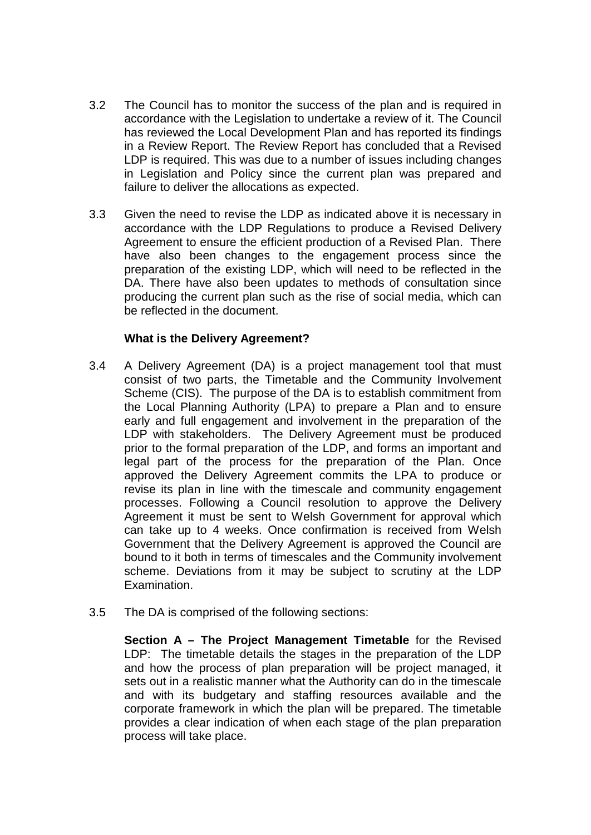- 3.2 The Council has to monitor the success of the plan and is required in accordance with the Legislation to undertake a review of it. The Council has reviewed the Local Development Plan and has reported its findings in a Review Report. The Review Report has concluded that a Revised LDP is required. This was due to a number of issues including changes in Legislation and Policy since the current plan was prepared and failure to deliver the allocations as expected.
- 3.3 Given the need to revise the LDP as indicated above it is necessary in accordance with the LDP Regulations to produce a Revised Delivery Agreement to ensure the efficient production of a Revised Plan. There have also been changes to the engagement process since the preparation of the existing LDP, which will need to be reflected in the DA. There have also been updates to methods of consultation since producing the current plan such as the rise of social media, which can be reflected in the document.

#### **What is the Delivery Agreement?**

- 3.4 A Delivery Agreement (DA) is a project management tool that must consist of two parts, the Timetable and the Community Involvement Scheme (CIS). The purpose of the DA is to establish commitment from the Local Planning Authority (LPA) to prepare a Plan and to ensure early and full engagement and involvement in the preparation of the LDP with stakeholders. The Delivery Agreement must be produced prior to the formal preparation of the LDP, and forms an important and legal part of the process for the preparation of the Plan. Once approved the Delivery Agreement commits the LPA to produce or revise its plan in line with the timescale and community engagement processes. Following a Council resolution to approve the Delivery Agreement it must be sent to Welsh Government for approval which can take up to 4 weeks. Once confirmation is received from Welsh Government that the Delivery Agreement is approved the Council are bound to it both in terms of timescales and the Community involvement scheme. Deviations from it may be subject to scrutiny at the LDP Examination.
- 3.5 The DA is comprised of the following sections:

**Section A – The Project Management Timetable** for the Revised LDP: The timetable details the stages in the preparation of the LDP and how the process of plan preparation will be project managed, it sets out in a realistic manner what the Authority can do in the timescale and with its budgetary and staffing resources available and the corporate framework in which the plan will be prepared. The timetable provides a clear indication of when each stage of the plan preparation process will take place.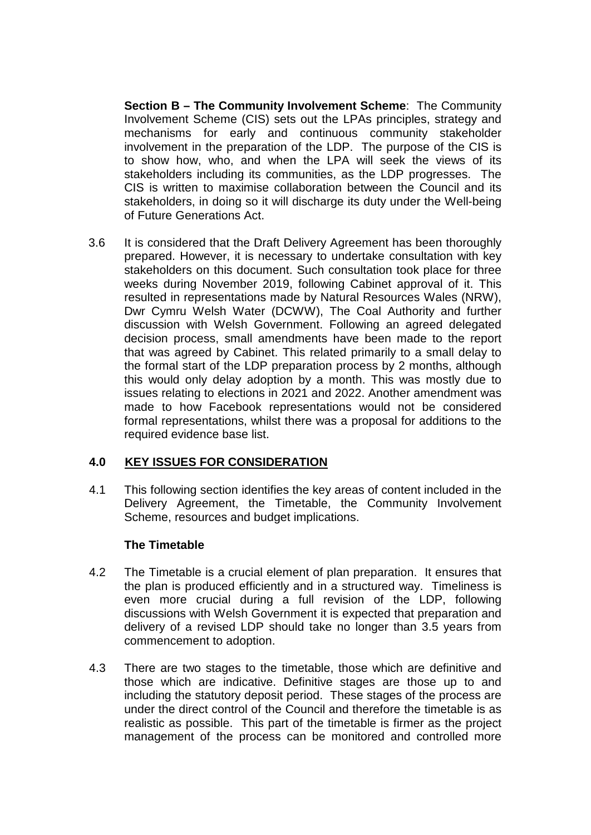**Section B – The Community Involvement Scheme**: The Community Involvement Scheme (CIS) sets out the LPAs principles, strategy and mechanisms for early and continuous community stakeholder involvement in the preparation of the LDP. The purpose of the CIS is to show how, who, and when the LPA will seek the views of its stakeholders including its communities, as the LDP progresses. The CIS is written to maximise collaboration between the Council and its stakeholders, in doing so it will discharge its duty under the Well-being of Future Generations Act.

3.6 It is considered that the Draft Delivery Agreement has been thoroughly prepared. However, it is necessary to undertake consultation with key stakeholders on this document. Such consultation took place for three weeks during November 2019, following Cabinet approval of it. This resulted in representations made by Natural Resources Wales (NRW), Dwr Cymru Welsh Water (DCWW), The Coal Authority and further discussion with Welsh Government. Following an agreed delegated decision process, small amendments have been made to the report that was agreed by Cabinet. This related primarily to a small delay to the formal start of the LDP preparation process by 2 months, although this would only delay adoption by a month. This was mostly due to issues relating to elections in 2021 and 2022. Another amendment was made to how Facebook representations would not be considered formal representations, whilst there was a proposal for additions to the required evidence base list.

## **4.0 KEY ISSUES FOR CONSIDERATION**

4.1 This following section identifies the key areas of content included in the Delivery Agreement, the Timetable, the Community Involvement Scheme, resources and budget implications.

#### **The Timetable**

- 4.2 The Timetable is a crucial element of plan preparation. It ensures that the plan is produced efficiently and in a structured way. Timeliness is even more crucial during a full revision of the LDP, following discussions with Welsh Government it is expected that preparation and delivery of a revised LDP should take no longer than 3.5 years from commencement to adoption.
- 4.3 There are two stages to the timetable, those which are definitive and those which are indicative. Definitive stages are those up to and including the statutory deposit period. These stages of the process are under the direct control of the Council and therefore the timetable is as realistic as possible. This part of the timetable is firmer as the project management of the process can be monitored and controlled more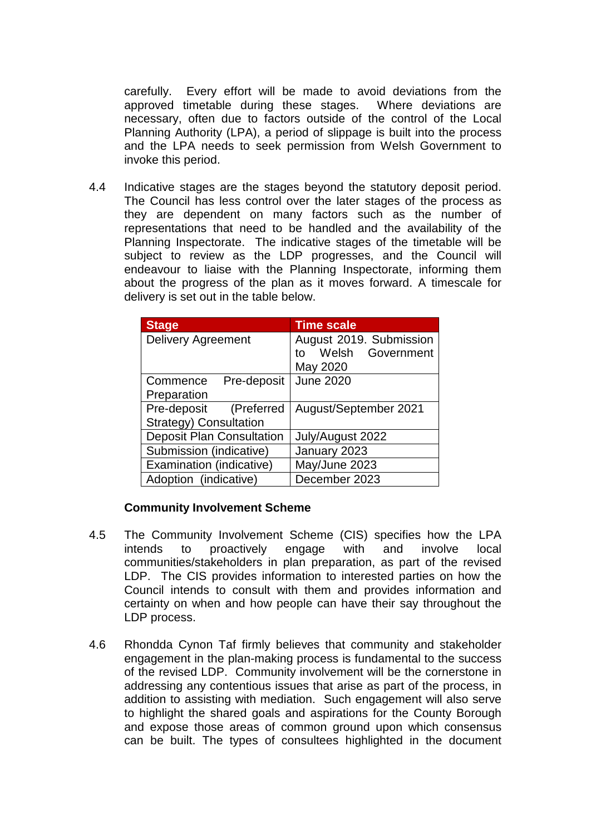carefully. Every effort will be made to avoid deviations from the approved timetable during these stages. Where deviations are necessary, often due to factors outside of the control of the Local Planning Authority (LPA), a period of slippage is built into the process and the LPA needs to seek permission from Welsh Government to invoke this period.

4.4 Indicative stages are the stages beyond the statutory deposit period. The Council has less control over the later stages of the process as they are dependent on many factors such as the number of representations that need to be handled and the availability of the Planning Inspectorate. The indicative stages of the timetable will be subject to review as the LDP progresses, and the Council will endeavour to liaise with the Planning Inspectorate, informing them about the progress of the plan as it moves forward. A timescale for delivery is set out in the table below.

| <b>Stage</b>                     | <b>Time scale</b>         |  |
|----------------------------------|---------------------------|--|
| <b>Delivery Agreement</b>        | August 2019. Submission   |  |
|                                  | Welsh<br>Government<br>t٥ |  |
|                                  | May 2020                  |  |
| Pre-deposit<br>Commence          | <b>June 2020</b>          |  |
| Preparation                      |                           |  |
| Pre-deposit<br>(Preferred        | August/September 2021     |  |
| Strategy) Consultation           |                           |  |
| <b>Deposit Plan Consultation</b> | July/August 2022          |  |
| Submission (indicative)          | January 2023              |  |
| Examination (indicative)         | May/June 2023             |  |
| Adoption (indicative)            | December 2023             |  |

#### **Community Involvement Scheme**

- 4.5 The Community Involvement Scheme (CIS) specifies how the LPA intends to proactively engage with and involve local communities/stakeholders in plan preparation, as part of the revised LDP. The CIS provides information to interested parties on how the Council intends to consult with them and provides information and certainty on when and how people can have their say throughout the LDP process.
- 4.6 Rhondda Cynon Taf firmly believes that community and stakeholder engagement in the plan-making process is fundamental to the success of the revised LDP. Community involvement will be the cornerstone in addressing any contentious issues that arise as part of the process, in addition to assisting with mediation. Such engagement will also serve to highlight the shared goals and aspirations for the County Borough and expose those areas of common ground upon which consensus can be built. The types of consultees highlighted in the document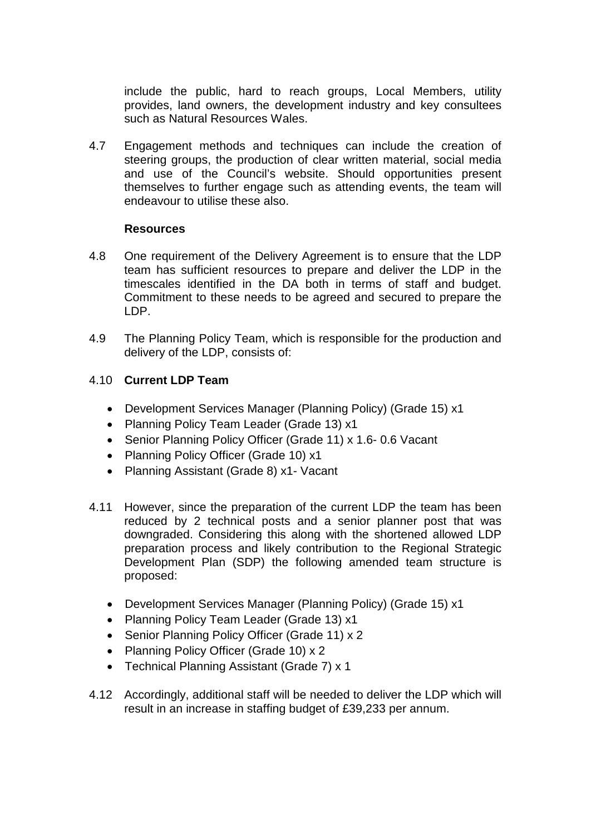include the public, hard to reach groups, Local Members, utility provides, land owners, the development industry and key consultees such as Natural Resources Wales.

4.7 Engagement methods and techniques can include the creation of steering groups, the production of clear written material, social media and use of the Council's website. Should opportunities present themselves to further engage such as attending events, the team will endeavour to utilise these also.

#### **Resources**

- 4.8 One requirement of the Delivery Agreement is to ensure that the LDP team has sufficient resources to prepare and deliver the LDP in the timescales identified in the DA both in terms of staff and budget. Commitment to these needs to be agreed and secured to prepare the LDP.
- 4.9 The Planning Policy Team, which is responsible for the production and delivery of the LDP, consists of:

#### 4.10 **Current LDP Team**

- Development Services Manager (Planning Policy) (Grade 15) x1
- Planning Policy Team Leader (Grade 13) x1
- Senior Planning Policy Officer (Grade 11) x 1.6-0.6 Vacant
- Planning Policy Officer (Grade 10) x1
- Planning Assistant (Grade 8) x1- Vacant
- 4.11 However, since the preparation of the current LDP the team has been reduced by 2 technical posts and a senior planner post that was downgraded. Considering this along with the shortened allowed LDP preparation process and likely contribution to the Regional Strategic Development Plan (SDP) the following amended team structure is proposed:
	- Development Services Manager (Planning Policy) (Grade 15) x1
	- Planning Policy Team Leader (Grade 13) x1
	- Senior Planning Policy Officer (Grade 11) x 2
	- Planning Policy Officer (Grade 10) x 2
	- Technical Planning Assistant (Grade 7) x 1
- 4.12 Accordingly, additional staff will be needed to deliver the LDP which will result in an increase in staffing budget of £39,233 per annum.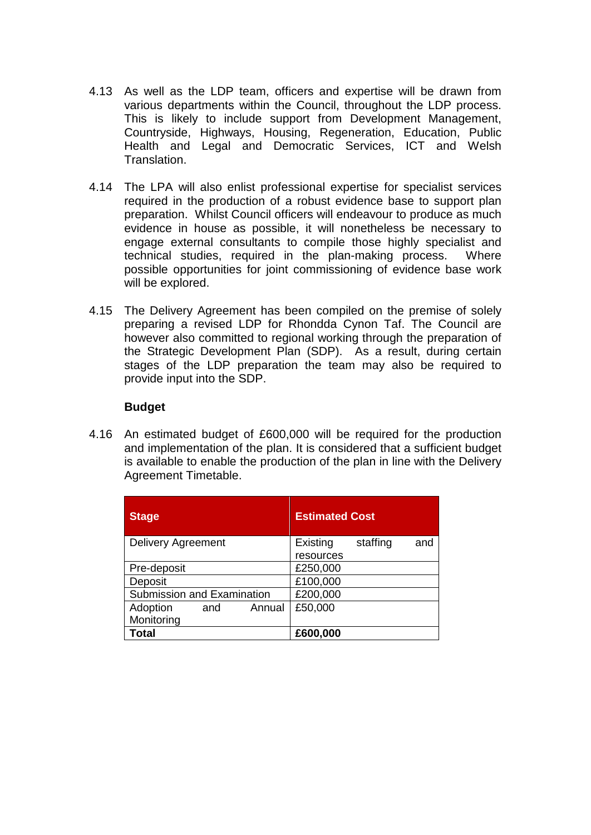- 4.13 As well as the LDP team, officers and expertise will be drawn from various departments within the Council, throughout the LDP process. This is likely to include support from Development Management, Countryside, Highways, Housing, Regeneration, Education, Public Health and Legal and Democratic Services, ICT and Welsh **Translation**
- 4.14 The LPA will also enlist professional expertise for specialist services required in the production of a robust evidence base to support plan preparation. Whilst Council officers will endeavour to produce as much evidence in house as possible, it will nonetheless be necessary to engage external consultants to compile those highly specialist and technical studies, required in the plan-making process. Where possible opportunities for joint commissioning of evidence base work will be explored.
- 4.15 The Delivery Agreement has been compiled on the premise of solely preparing a revised LDP for Rhondda Cynon Taf. The Council are however also committed to regional working through the preparation of the Strategic Development Plan (SDP). As a result, during certain stages of the LDP preparation the team may also be required to provide input into the SDP.

#### **Budget**

4.16 An estimated budget of £600,000 will be required for the production and implementation of the plan. It is considered that a sufficient budget is available to enable the production of the plan in line with the Delivery Agreement Timetable.

| <b>Stage</b>               |     |        | <b>Estimated Cost</b> |          |     |
|----------------------------|-----|--------|-----------------------|----------|-----|
| <b>Delivery Agreement</b>  |     |        | Existing              | staffing | and |
|                            |     |        | resources             |          |     |
| Pre-deposit                |     |        | £250,000              |          |     |
| Deposit                    |     |        | £100,000              |          |     |
| Submission and Examination |     |        | £200,000              |          |     |
| Adoption                   | and | Annual | £50,000               |          |     |
| Monitoring                 |     |        |                       |          |     |
| Total                      |     |        | £600,000              |          |     |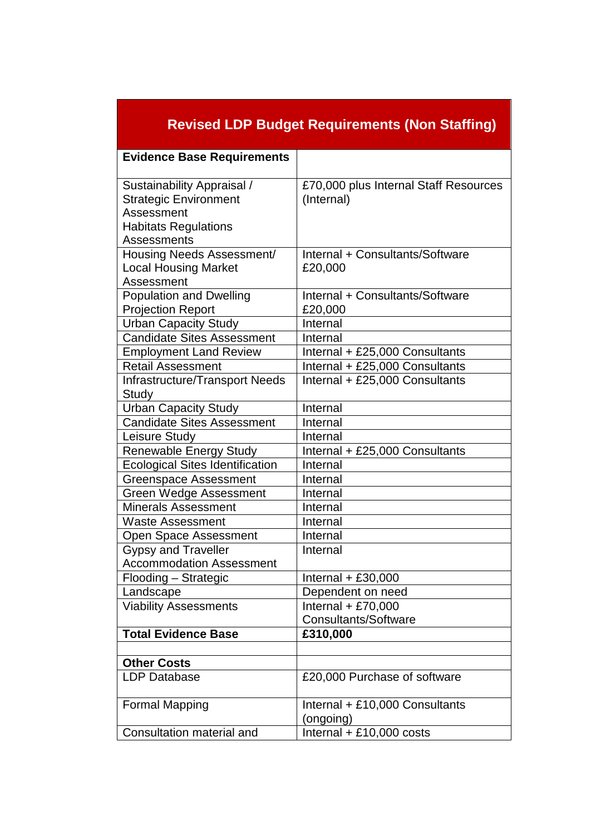| <b>Revised LDP Budget Requirements (Non Staffing)</b>                                                                  |                                                     |  |  |
|------------------------------------------------------------------------------------------------------------------------|-----------------------------------------------------|--|--|
| <b>Evidence Base Requirements</b>                                                                                      |                                                     |  |  |
| Sustainability Appraisal /<br><b>Strategic Environment</b><br>Assessment<br><b>Habitats Regulations</b><br>Assessments | £70,000 plus Internal Staff Resources<br>(Internal) |  |  |
| Housing Needs Assessment/<br><b>Local Housing Market</b><br>Assessment                                                 | Internal + Consultants/Software<br>£20,000          |  |  |
| <b>Population and Dwelling</b><br><b>Projection Report</b>                                                             | Internal + Consultants/Software<br>£20,000          |  |  |
| <b>Urban Capacity Study</b>                                                                                            | Internal                                            |  |  |
| <b>Candidate Sites Assessment</b>                                                                                      | Internal                                            |  |  |
| <b>Employment Land Review</b>                                                                                          | Internal + £25,000 Consultants                      |  |  |
| <b>Retail Assessment</b>                                                                                               | Internal + £25,000 Consultants                      |  |  |
| Infrastructure/Transport Needs<br>Study                                                                                | Internal + £25,000 Consultants                      |  |  |
| <b>Urban Capacity Study</b>                                                                                            | Internal                                            |  |  |
| <b>Candidate Sites Assessment</b>                                                                                      | Internal                                            |  |  |
| Leisure Study                                                                                                          | Internal                                            |  |  |
| <b>Renewable Energy Study</b>                                                                                          | Internal + £25,000 Consultants                      |  |  |
| <b>Ecological Sites Identification</b>                                                                                 | Internal                                            |  |  |
| <b>Greenspace Assessment</b>                                                                                           | Internal                                            |  |  |
| Green Wedge Assessment                                                                                                 | Internal                                            |  |  |
| <b>Minerals Assessment</b>                                                                                             | Internal                                            |  |  |
| <b>Waste Assessment</b>                                                                                                | Internal                                            |  |  |
| Open Space Assessment                                                                                                  | Internal                                            |  |  |
| <b>Gypsy and Traveller</b>                                                                                             | Internal                                            |  |  |
| <b>Accommodation Assessment</b>                                                                                        |                                                     |  |  |
| Flooding - Strategic                                                                                                   | Internal $+ £30,000$                                |  |  |
| Landscape                                                                                                              | Dependent on need                                   |  |  |
| <b>Viability Assessments</b>                                                                                           | Internal $+ £70,000$                                |  |  |
|                                                                                                                        | <b>Consultants/Software</b>                         |  |  |
| <b>Total Evidence Base</b>                                                                                             | £310,000                                            |  |  |
|                                                                                                                        |                                                     |  |  |
| <b>Other Costs</b>                                                                                                     |                                                     |  |  |
| <b>LDP Database</b>                                                                                                    | £20,000 Purchase of software                        |  |  |
| <b>Formal Mapping</b>                                                                                                  | Internal + £10,000 Consultants<br>(ongoing)         |  |  |
| Consultation material and                                                                                              | Internal $+ £10,000 \text{ costs}$                  |  |  |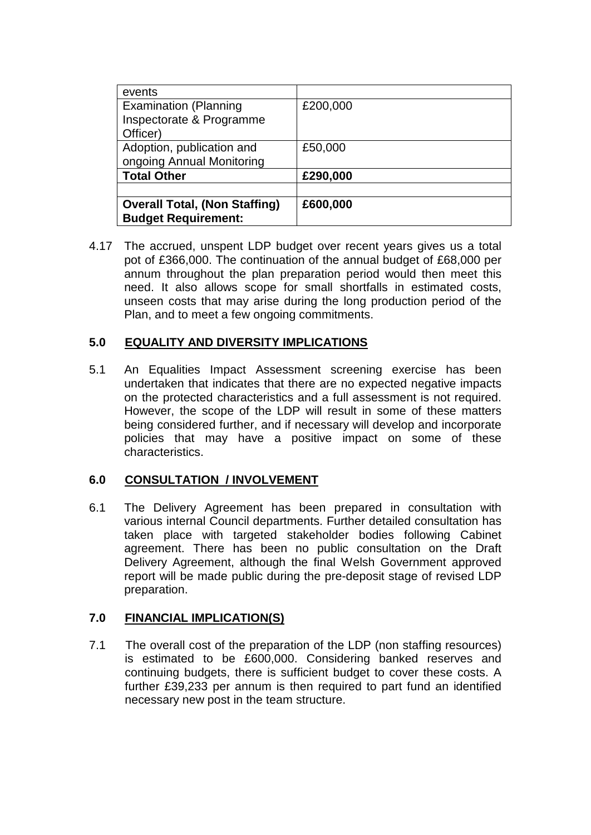| events                               |          |
|--------------------------------------|----------|
| <b>Examination (Planning</b>         | £200,000 |
| Inspectorate & Programme             |          |
| Officer)                             |          |
| Adoption, publication and            | £50,000  |
| ongoing Annual Monitoring            |          |
| <b>Total Other</b>                   | £290,000 |
|                                      |          |
| <b>Overall Total, (Non Staffing)</b> | £600,000 |
| <b>Budget Requirement:</b>           |          |

4.17 The accrued, unspent LDP budget over recent years gives us a total pot of £366,000. The continuation of the annual budget of £68,000 per annum throughout the plan preparation period would then meet this need. It also allows scope for small shortfalls in estimated costs, unseen costs that may arise during the long production period of the Plan, and to meet a few ongoing commitments.

## **5.0 EQUALITY AND DIVERSITY IMPLICATIONS**

5.1 An Equalities Impact Assessment screening exercise has been undertaken that indicates that there are no expected negative impacts on the protected characteristics and a full assessment is not required. However, the scope of the LDP will result in some of these matters being considered further, and if necessary will develop and incorporate policies that may have a positive impact on some of these characteristics.

#### **6.0 CONSULTATION / INVOLVEMENT**

6.1 The Delivery Agreement has been prepared in consultation with various internal Council departments. Further detailed consultation has taken place with targeted stakeholder bodies following Cabinet agreement. There has been no public consultation on the Draft Delivery Agreement, although the final Welsh Government approved report will be made public during the pre-deposit stage of revised LDP preparation.

## **7.0 FINANCIAL IMPLICATION(S)**

7.1 The overall cost of the preparation of the LDP (non staffing resources) is estimated to be £600,000. Considering banked reserves and continuing budgets, there is sufficient budget to cover these costs. A further £39,233 per annum is then required to part fund an identified necessary new post in the team structure.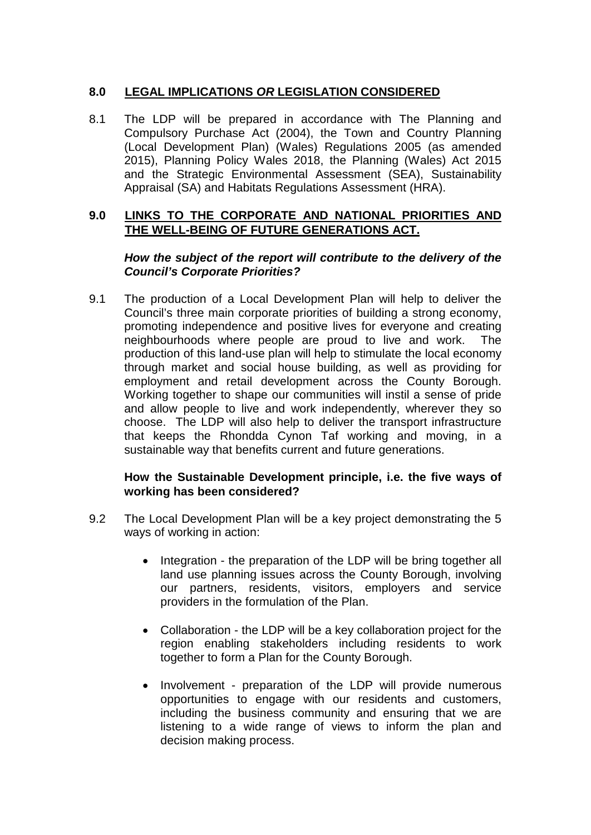## **8.0 LEGAL IMPLICATIONS** *OR* **LEGISLATION CONSIDERED**

8.1 The LDP will be prepared in accordance with The Planning and Compulsory Purchase Act (2004), the Town and Country Planning (Local Development Plan) (Wales) Regulations 2005 (as amended 2015), Planning Policy Wales 2018, the Planning (Wales) Act 2015 and the Strategic Environmental Assessment (SEA), Sustainability Appraisal (SA) and Habitats Regulations Assessment (HRA).

#### **9.0 LINKS TO THE CORPORATE AND NATIONAL PRIORITIES AND THE WELL-BEING OF FUTURE GENERATIONS ACT.**

### *How the subject of the report will contribute to the delivery of the Council's Corporate Priorities?*

9.1 The production of a Local Development Plan will help to deliver the Council's three main corporate priorities of building a strong economy, promoting independence and positive lives for everyone and creating neighbourhoods where people are proud to live and work. The production of this land-use plan will help to stimulate the local economy through market and social house building, as well as providing for employment and retail development across the County Borough. Working together to shape our communities will instil a sense of pride and allow people to live and work independently, wherever they so choose. The LDP will also help to deliver the transport infrastructure that keeps the Rhondda Cynon Taf working and moving, in a sustainable way that benefits current and future generations.

#### **How the Sustainable Development principle, i.e. the five ways of working has been considered?**

- 9.2 The Local Development Plan will be a key project demonstrating the 5 ways of working in action:
	- Integration the preparation of the LDP will be bring together all land use planning issues across the County Borough, involving our partners, residents, visitors, employers and service providers in the formulation of the Plan.
	- Collaboration the LDP will be a key collaboration project for the region enabling stakeholders including residents to work together to form a Plan for the County Borough.
	- Involvement preparation of the LDP will provide numerous opportunities to engage with our residents and customers, including the business community and ensuring that we are listening to a wide range of views to inform the plan and decision making process.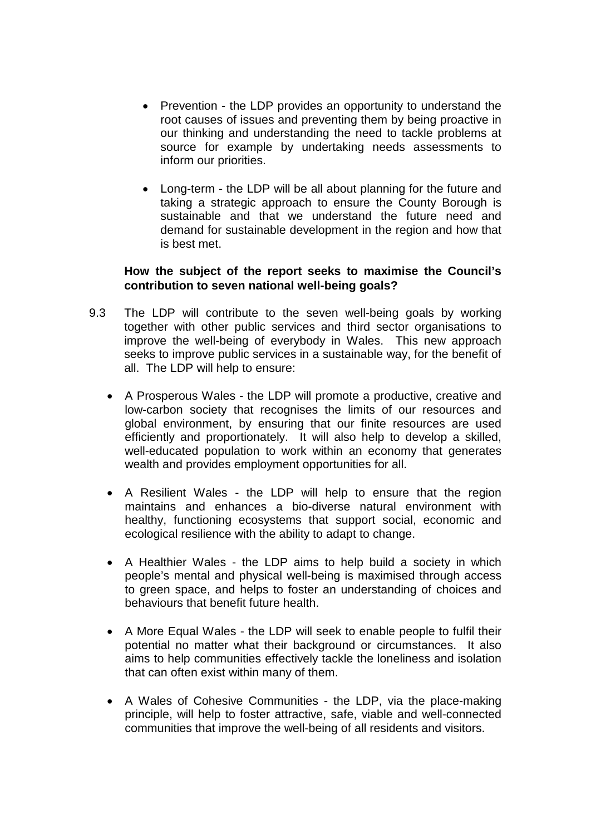- Prevention the LDP provides an opportunity to understand the root causes of issues and preventing them by being proactive in our thinking and understanding the need to tackle problems at source for example by undertaking needs assessments to inform our priorities.
- Long-term the LDP will be all about planning for the future and taking a strategic approach to ensure the County Borough is sustainable and that we understand the future need and demand for sustainable development in the region and how that is best met.

#### **How the subject of the report seeks to maximise the Council's contribution to seven national well-being goals?**

- 9.3 The LDP will contribute to the seven well-being goals by working together with other public services and third sector organisations to improve the well-being of everybody in Wales. This new approach seeks to improve public services in a sustainable way, for the benefit of all. The LDP will help to ensure:
	- A Prosperous Wales the LDP will promote a productive, creative and low-carbon society that recognises the limits of our resources and global environment, by ensuring that our finite resources are used efficiently and proportionately. It will also help to develop a skilled, well-educated population to work within an economy that generates wealth and provides employment opportunities for all.
	- A Resilient Wales the LDP will help to ensure that the region maintains and enhances a bio-diverse natural environment with healthy, functioning ecosystems that support social, economic and ecological resilience with the ability to adapt to change.
	- A Healthier Wales the LDP aims to help build a society in which people's mental and physical well-being is maximised through access to green space, and helps to foster an understanding of choices and behaviours that benefit future health.
	- A More Equal Wales the LDP will seek to enable people to fulfil their potential no matter what their background or circumstances. It also aims to help communities effectively tackle the loneliness and isolation that can often exist within many of them.
	- A Wales of Cohesive Communities the LDP, via the place-making principle, will help to foster attractive, safe, viable and well-connected communities that improve the well-being of all residents and visitors.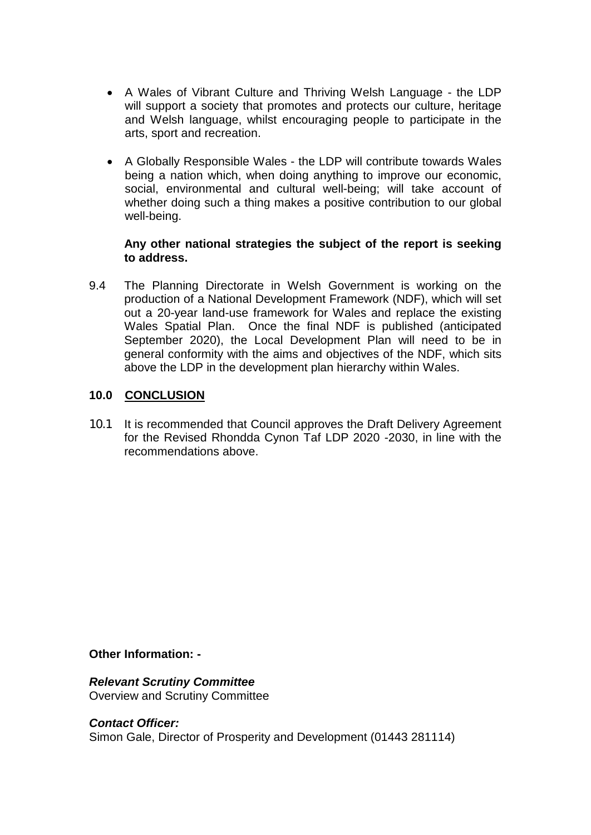- A Wales of Vibrant Culture and Thriving Welsh Language the LDP will support a society that promotes and protects our culture, heritage and Welsh language, whilst encouraging people to participate in the arts, sport and recreation.
- A Globally Responsible Wales the LDP will contribute towards Wales being a nation which, when doing anything to improve our economic, social, environmental and cultural well-being; will take account of whether doing such a thing makes a positive contribution to our global well-being.

#### **Any other national strategies the subject of the report is seeking to address.**

9.4 The Planning Directorate in Welsh Government is working on the production of a National Development Framework (NDF), which will set out a 20-year land-use framework for Wales and replace the existing Wales Spatial Plan. Once the final NDF is published (anticipated September 2020), the Local Development Plan will need to be in general conformity with the aims and objectives of the NDF, which sits above the LDP in the development plan hierarchy within Wales.

## **10.0 CONCLUSION**

10.1 It is recommended that Council approves the Draft Delivery Agreement for the Revised Rhondda Cynon Taf LDP 2020 -2030, in line with the recommendations above.

**Other Information: -**

*Relevant Scrutiny Committee* Overview and Scrutiny Committee

*Contact Officer:*  Simon Gale, Director of Prosperity and Development (01443 281114)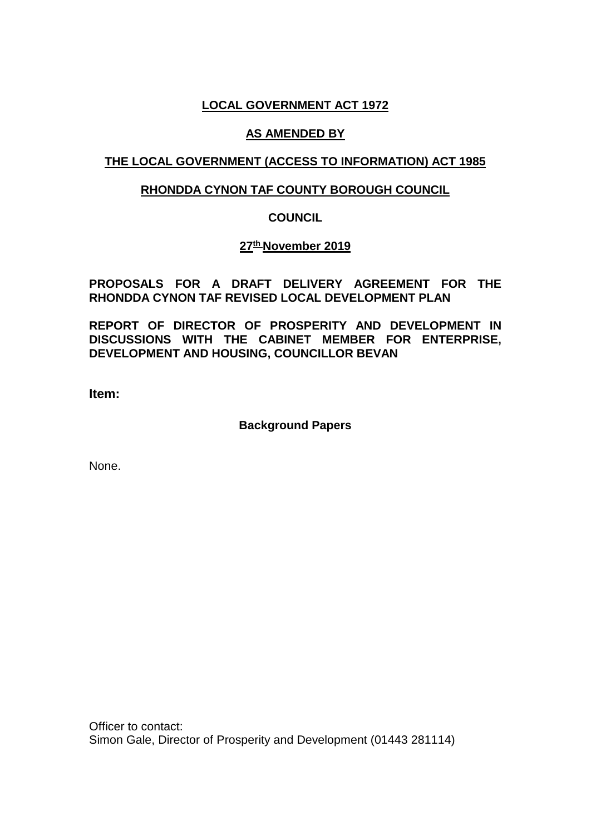## **LOCAL GOVERNMENT ACT 1972**

### **AS AMENDED BY**

## **THE LOCAL GOVERNMENT (ACCESS TO INFORMATION) ACT 1985**

### **RHONDDA CYNON TAF COUNTY BOROUGH COUNCIL**

## **COUNCIL**

## **27th November 2019**

## **PROPOSALS FOR A DRAFT DELIVERY AGREEMENT FOR THE RHONDDA CYNON TAF REVISED LOCAL DEVELOPMENT PLAN**

**REPORT OF DIRECTOR OF PROSPERITY AND DEVELOPMENT IN DISCUSSIONS WITH THE CABINET MEMBER FOR ENTERPRISE, DEVELOPMENT AND HOUSING, COUNCILLOR BEVAN**

**Item:** 

**Background Papers**

None.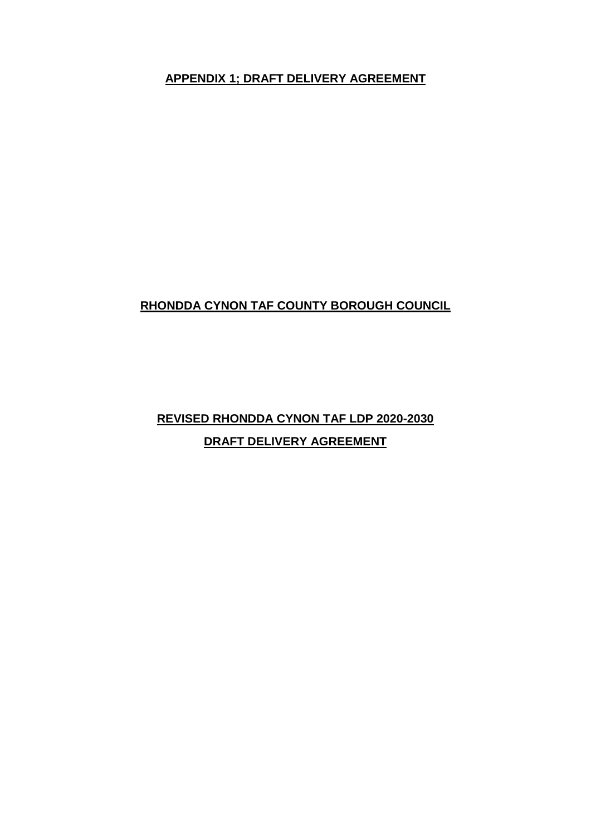**APPENDIX 1; DRAFT DELIVERY AGREEMENT**

## **RHONDDA CYNON TAF COUNTY BOROUGH COUNCIL**

# **REVISED RHONDDA CYNON TAF LDP 2020-2030 DRAFT DELIVERY AGREEMENT**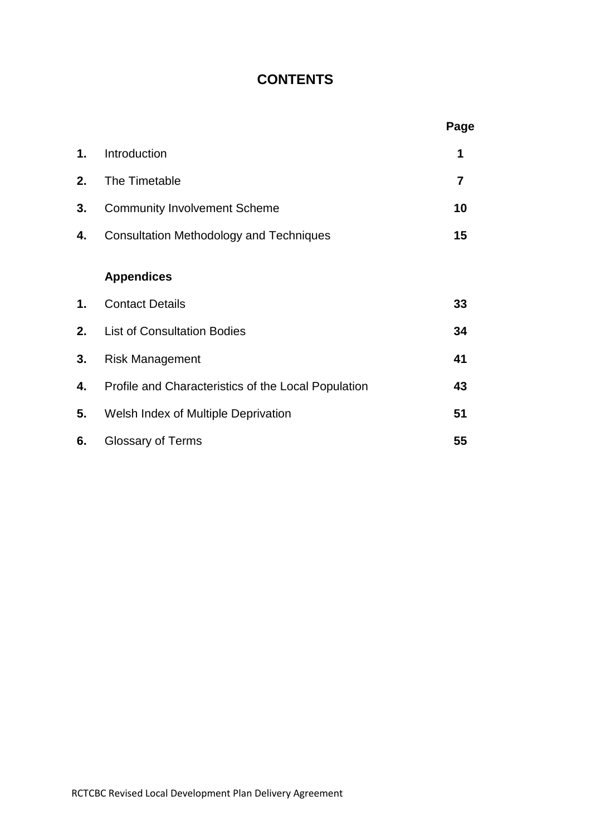## **CONTENTS**

|    |                                                     | Page           |
|----|-----------------------------------------------------|----------------|
| 1. | Introduction                                        | 1              |
| 2. | The Timetable                                       | $\overline{7}$ |
| 3. | <b>Community Involvement Scheme</b>                 | 10             |
| 4. | <b>Consultation Methodology and Techniques</b>      | 15             |
|    | <b>Appendices</b>                                   |                |
| 1. | <b>Contact Details</b>                              | 33             |
| 2. | <b>List of Consultation Bodies</b>                  | 34             |
| 3. | <b>Risk Management</b>                              | 41             |
| 4. | Profile and Characteristics of the Local Population | 43             |
| 5. | Welsh Index of Multiple Deprivation                 | 51             |
| 6. | <b>Glossary of Terms</b>                            | 55             |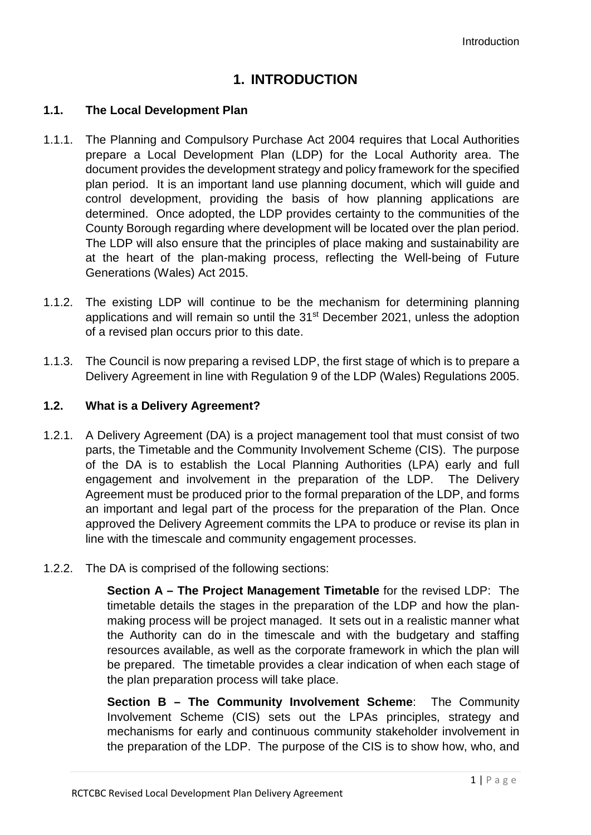## **1. INTRODUCTION**

#### **1.1. The Local Development Plan**

- 1.1.1. The Planning and Compulsory Purchase Act 2004 requires that Local Authorities prepare a Local Development Plan (LDP) for the Local Authority area. The document provides the development strategy and policy framework for the specified plan period. It is an important land use planning document, which will guide and control development, providing the basis of how planning applications are determined. Once adopted, the LDP provides certainty to the communities of the County Borough regarding where development will be located over the plan period. The LDP will also ensure that the principles of place making and sustainability are at the heart of the plan-making process, reflecting the Well-being of Future Generations (Wales) Act 2015.
- 1.1.2. The existing LDP will continue to be the mechanism for determining planning applications and will remain so until the 31<sup>st</sup> December 2021, unless the adoption of a revised plan occurs prior to this date.
- 1.1.3. The Council is now preparing a revised LDP, the first stage of which is to prepare a Delivery Agreement in line with Regulation 9 of the LDP (Wales) Regulations 2005.

#### **1.2. What is a Delivery Agreement?**

- 1.2.1. A Delivery Agreement (DA) is a project management tool that must consist of two parts, the Timetable and the Community Involvement Scheme (CIS). The purpose of the DA is to establish the Local Planning Authorities (LPA) early and full engagement and involvement in the preparation of the LDP. The Delivery Agreement must be produced prior to the formal preparation of the LDP, and forms an important and legal part of the process for the preparation of the Plan. Once approved the Delivery Agreement commits the LPA to produce or revise its plan in line with the timescale and community engagement processes.
- 1.2.2. The DA is comprised of the following sections:

**Section A – The Project Management Timetable** for the revised LDP: The timetable details the stages in the preparation of the LDP and how the planmaking process will be project managed. It sets out in a realistic manner what the Authority can do in the timescale and with the budgetary and staffing resources available, as well as the corporate framework in which the plan will be prepared. The timetable provides a clear indication of when each stage of the plan preparation process will take place.

**Section B – The Community Involvement Scheme**: The Community Involvement Scheme (CIS) sets out the LPAs principles, strategy and mechanisms for early and continuous community stakeholder involvement in the preparation of the LDP. The purpose of the CIS is to show how, who, and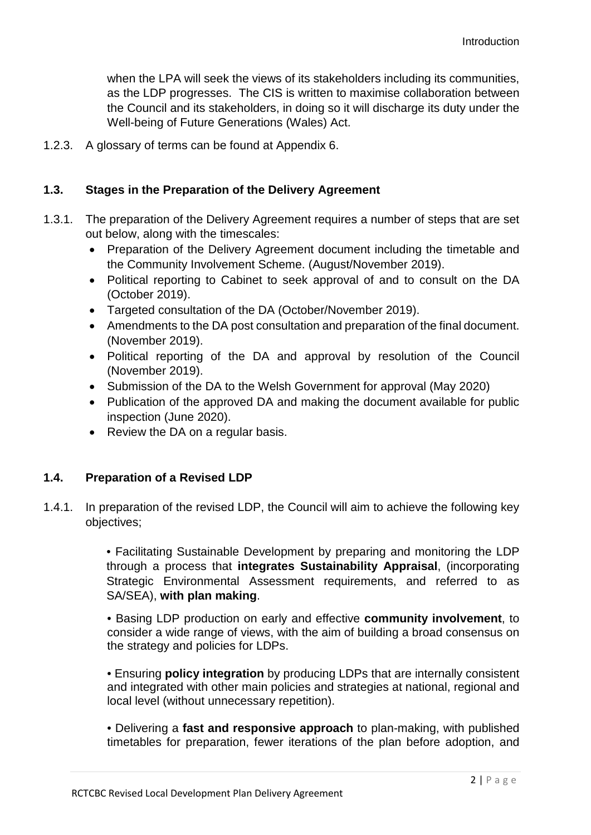when the LPA will seek the views of its stakeholders including its communities, as the LDP progresses. The CIS is written to maximise collaboration between the Council and its stakeholders, in doing so it will discharge its duty under the Well-being of Future Generations (Wales) Act.

1.2.3. A glossary of terms can be found at Appendix 6.

#### **1.3. Stages in the Preparation of the Delivery Agreement**

- 1.3.1. The preparation of the Delivery Agreement requires a number of steps that are set out below, along with the timescales:
	- Preparation of the Delivery Agreement document including the timetable and the Community Involvement Scheme. (August/November 2019).
	- Political reporting to Cabinet to seek approval of and to consult on the DA (October 2019).
	- Targeted consultation of the DA (October/November 2019).
	- Amendments to the DA post consultation and preparation of the final document. (November 2019).
	- Political reporting of the DA and approval by resolution of the Council (November 2019).
	- Submission of the DA to the Welsh Government for approval (May 2020)
	- Publication of the approved DA and making the document available for public inspection (June 2020).
	- Review the DA on a regular basis.

#### **1.4. Preparation of a Revised LDP**

1.4.1. In preparation of the revised LDP, the Council will aim to achieve the following key objectives;

> • Facilitating Sustainable Development by preparing and monitoring the LDP through a process that **integrates Sustainability Appraisal**, (incorporating Strategic Environmental Assessment requirements, and referred to as SA/SEA), **with plan making**.

> • Basing LDP production on early and effective **community involvement**, to consider a wide range of views, with the aim of building a broad consensus on the strategy and policies for LDPs.

> • Ensuring **policy integration** by producing LDPs that are internally consistent and integrated with other main policies and strategies at national, regional and local level (without unnecessary repetition).

> • Delivering a **fast and responsive approach** to plan-making, with published timetables for preparation, fewer iterations of the plan before adoption, and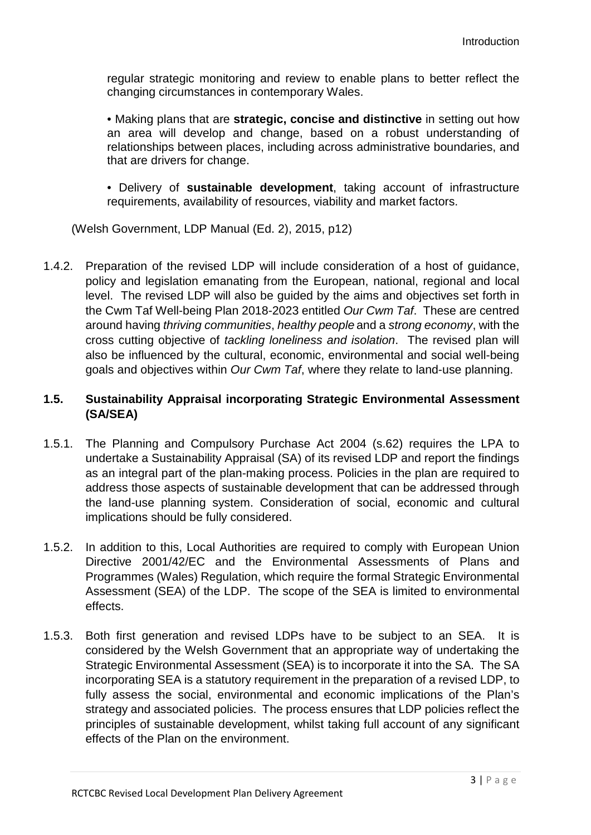regular strategic monitoring and review to enable plans to better reflect the changing circumstances in contemporary Wales.

• Making plans that are **strategic, concise and distinctive** in setting out how an area will develop and change, based on a robust understanding of relationships between places, including across administrative boundaries, and that are drivers for change.

• Delivery of **sustainable development**, taking account of infrastructure requirements, availability of resources, viability and market factors.

(Welsh Government, LDP Manual (Ed. 2), 2015, p12)

1.4.2. Preparation of the revised LDP will include consideration of a host of guidance, policy and legislation emanating from the European, national, regional and local level. The revised LDP will also be guided by the aims and objectives set forth in the Cwm Taf Well-being Plan 2018-2023 entitled *Our Cwm Taf*. These are centred around having *thriving communities*, *healthy people* and a *strong economy*, with the cross cutting objective of *tackling loneliness and isolation*. The revised plan will also be influenced by the cultural, economic, environmental and social well-being goals and objectives within *Our Cwm Taf*, where they relate to land-use planning.

## **1.5. Sustainability Appraisal incorporating Strategic Environmental Assessment (SA/SEA)**

- 1.5.1. The Planning and Compulsory Purchase Act 2004 (s.62) requires the LPA to undertake a Sustainability Appraisal (SA) of its revised LDP and report the findings as an integral part of the plan-making process. Policies in the plan are required to address those aspects of sustainable development that can be addressed through the land-use planning system. Consideration of social, economic and cultural implications should be fully considered.
- 1.5.2. In addition to this, Local Authorities are required to comply with European Union Directive 2001/42/EC and the Environmental Assessments of Plans and Programmes (Wales) Regulation, which require the formal Strategic Environmental Assessment (SEA) of the LDP. The scope of the SEA is limited to environmental effects.
- 1.5.3. Both first generation and revised LDPs have to be subject to an SEA. It is considered by the Welsh Government that an appropriate way of undertaking the Strategic Environmental Assessment (SEA) is to incorporate it into the SA. The SA incorporating SEA is a statutory requirement in the preparation of a revised LDP, to fully assess the social, environmental and economic implications of the Plan's strategy and associated policies. The process ensures that LDP policies reflect the principles of sustainable development, whilst taking full account of any significant effects of the Plan on the environment.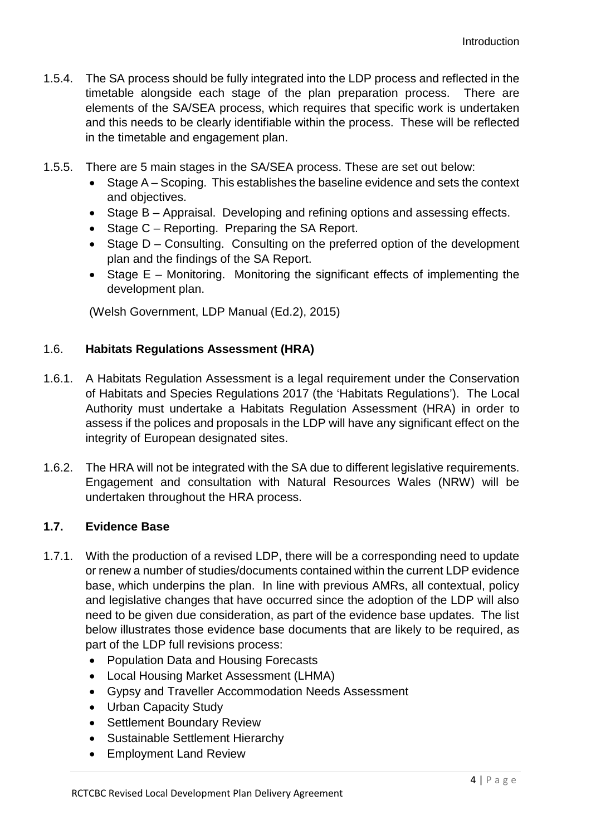- 1.5.4. The SA process should be fully integrated into the LDP process and reflected in the timetable alongside each stage of the plan preparation process. There are elements of the SA/SEA process, which requires that specific work is undertaken and this needs to be clearly identifiable within the process. These will be reflected in the timetable and engagement plan.
- 1.5.5. There are 5 main stages in the SA/SEA process. These are set out below:
	- Stage A Scoping. This establishes the baseline evidence and sets the context and objectives.
	- Stage B Appraisal. Developing and refining options and assessing effects.
	- Stage C Reporting. Preparing the SA Report.
	- Stage D Consulting. Consulting on the preferred option of the development plan and the findings of the SA Report.
	- Stage E Monitoring. Monitoring the significant effects of implementing the development plan.

(Welsh Government, LDP Manual (Ed.2), 2015)

## 1.6. **Habitats Regulations Assessment (HRA)**

- 1.6.1. A Habitats Regulation Assessment is a legal requirement under the Conservation of Habitats and Species Regulations 2017 (the 'Habitats Regulations'). The Local Authority must undertake a Habitats Regulation Assessment (HRA) in order to assess if the polices and proposals in the LDP will have any significant effect on the integrity of European designated sites.
- 1.6.2. The HRA will not be integrated with the SA due to different legislative requirements. Engagement and consultation with Natural Resources Wales (NRW) will be undertaken throughout the HRA process.

## **1.7. Evidence Base**

- 1.7.1. With the production of a revised LDP, there will be a corresponding need to update or renew a number of studies/documents contained within the current LDP evidence base, which underpins the plan. In line with previous AMRs, all contextual, policy and legislative changes that have occurred since the adoption of the LDP will also need to be given due consideration, as part of the evidence base updates. The list below illustrates those evidence base documents that are likely to be required, as part of the LDP full revisions process:
	- Population Data and Housing Forecasts
	- Local Housing Market Assessment (LHMA)
	- Gypsy and Traveller Accommodation Needs Assessment
	- Urban Capacity Study
	- Settlement Boundary Review
	- Sustainable Settlement Hierarchy
	- Employment Land Review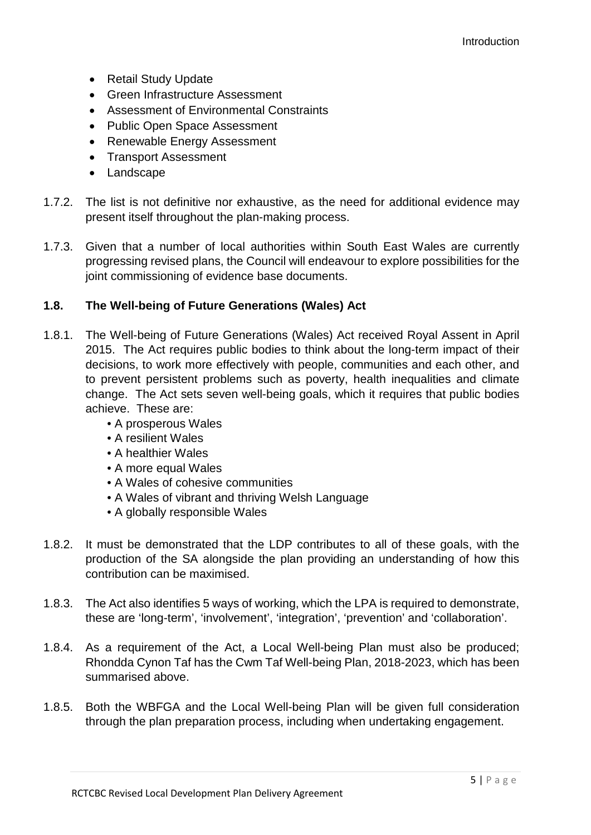- Retail Study Update
- Green Infrastructure Assessment
- Assessment of Environmental Constraints
- Public Open Space Assessment
- Renewable Energy Assessment
- Transport Assessment
- Landscape
- 1.7.2. The list is not definitive nor exhaustive, as the need for additional evidence may present itself throughout the plan-making process.
- 1.7.3. Given that a number of local authorities within South East Wales are currently progressing revised plans, the Council will endeavour to explore possibilities for the joint commissioning of evidence base documents.

## **1.8. The Well-being of Future Generations (Wales) Act**

- 1.8.1. The Well-being of Future Generations (Wales) Act received Royal Assent in April 2015. The Act requires public bodies to think about the long-term impact of their decisions, to work more effectively with people, communities and each other, and to prevent persistent problems such as poverty, health inequalities and climate change. The Act sets seven well-being goals, which it requires that public bodies achieve. These are:
	- A prosperous Wales
	- A resilient Wales
	- A healthier Wales
	- A more equal Wales
	- A Wales of cohesive communities
	- A Wales of vibrant and thriving Welsh Language
	- A globally responsible Wales
- 1.8.2. It must be demonstrated that the LDP contributes to all of these goals, with the production of the SA alongside the plan providing an understanding of how this contribution can be maximised.
- 1.8.3. The Act also identifies 5 ways of working, which the LPA is required to demonstrate, these are 'long-term', 'involvement', 'integration', 'prevention' and 'collaboration'.
- 1.8.4. As a requirement of the Act, a Local Well-being Plan must also be produced; Rhondda Cynon Taf has the Cwm Taf Well-being Plan, 2018-2023, which has been summarised above.
- 1.8.5. Both the WBFGA and the Local Well-being Plan will be given full consideration through the plan preparation process, including when undertaking engagement.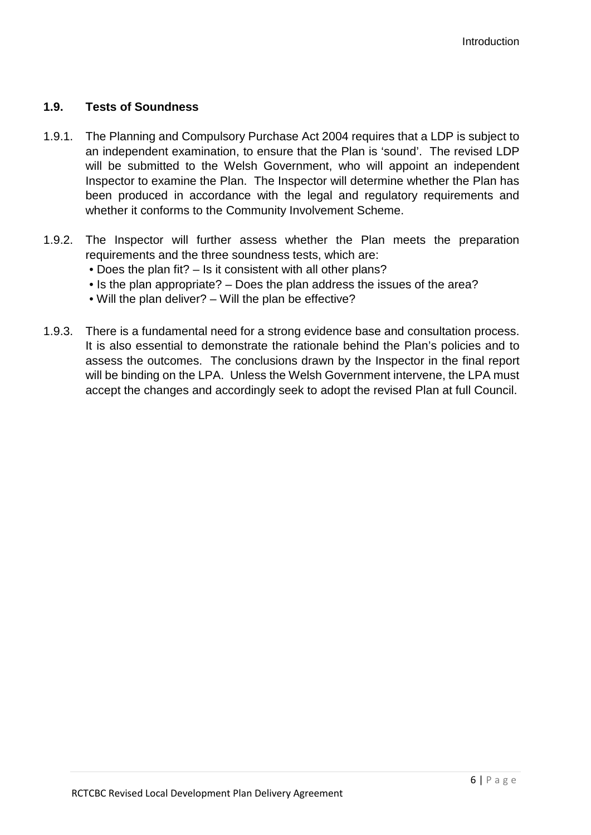## **1.9. Tests of Soundness**

- 1.9.1. The Planning and Compulsory Purchase Act 2004 requires that a LDP is subject to an independent examination, to ensure that the Plan is 'sound'. The revised LDP will be submitted to the Welsh Government, who will appoint an independent Inspector to examine the Plan. The Inspector will determine whether the Plan has been produced in accordance with the legal and regulatory requirements and whether it conforms to the Community Involvement Scheme.
- 1.9.2. The Inspector will further assess whether the Plan meets the preparation requirements and the three soundness tests, which are:
	- Does the plan fit? Is it consistent with all other plans?
	- Is the plan appropriate? Does the plan address the issues of the area?
	- Will the plan deliver? Will the plan be effective?
- 1.9.3. There is a fundamental need for a strong evidence base and consultation process. It is also essential to demonstrate the rationale behind the Plan's policies and to assess the outcomes. The conclusions drawn by the Inspector in the final report will be binding on the LPA. Unless the Welsh Government intervene, the LPA must accept the changes and accordingly seek to adopt the revised Plan at full Council.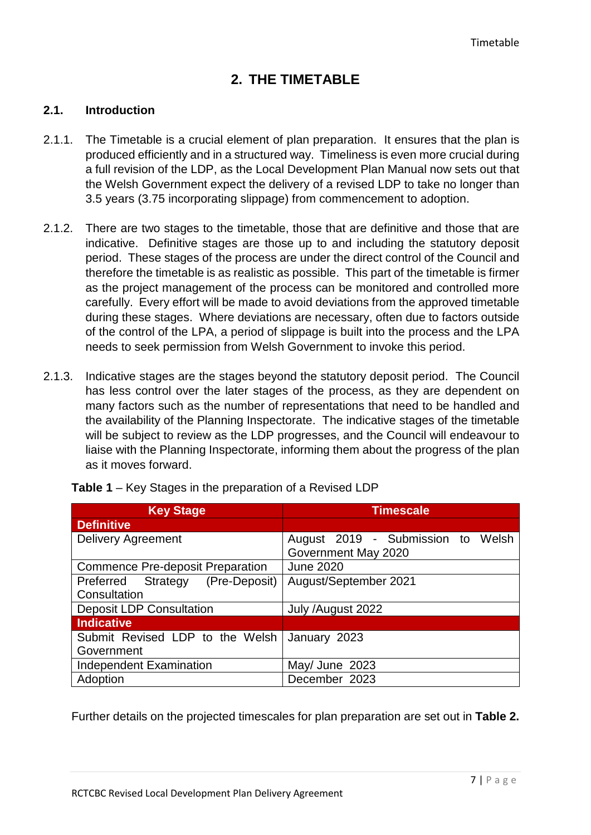## **2. THE TIMETABLE**

#### **2.1. Introduction**

- 2.1.1. The Timetable is a crucial element of plan preparation. It ensures that the plan is produced efficiently and in a structured way. Timeliness is even more crucial during a full revision of the LDP, as the Local Development Plan Manual now sets out that the Welsh Government expect the delivery of a revised LDP to take no longer than 3.5 years (3.75 incorporating slippage) from commencement to adoption.
- 2.1.2. There are two stages to the timetable, those that are definitive and those that are indicative. Definitive stages are those up to and including the statutory deposit period. These stages of the process are under the direct control of the Council and therefore the timetable is as realistic as possible. This part of the timetable is firmer as the project management of the process can be monitored and controlled more carefully. Every effort will be made to avoid deviations from the approved timetable during these stages. Where deviations are necessary, often due to factors outside of the control of the LPA, a period of slippage is built into the process and the LPA needs to seek permission from Welsh Government to invoke this period.
- 2.1.3. Indicative stages are the stages beyond the statutory deposit period. The Council has less control over the later stages of the process, as they are dependent on many factors such as the number of representations that need to be handled and the availability of the Planning Inspectorate. The indicative stages of the timetable will be subject to review as the LDP progresses, and the Council will endeavour to liaise with the Planning Inspectorate, informing them about the progress of the plan as it moves forward.

| <b>Key Stage</b>                        | <b>Timescale</b>                  |
|-----------------------------------------|-----------------------------------|
| <b>Definitive</b>                       |                                   |
| <b>Delivery Agreement</b>               | August 2019 - Submission to Welsh |
|                                         | Government May 2020               |
| <b>Commence Pre-deposit Preparation</b> | <b>June 2020</b>                  |
| Preferred Strategy (Pre-Deposit)        | August/September 2021             |
| Consultation                            |                                   |
| <b>Deposit LDP Consultation</b>         | July /August 2022                 |
| <b>Indicative</b>                       |                                   |
| Submit Revised LDP to the Welsh         | January 2023                      |
| Government                              |                                   |
| <b>Independent Examination</b>          | May/ June 2023                    |
| Adoption                                | December 2023                     |

**Table 1** – Key Stages in the preparation of a Revised LDP

Further details on the projected timescales for plan preparation are set out in **Table 2.**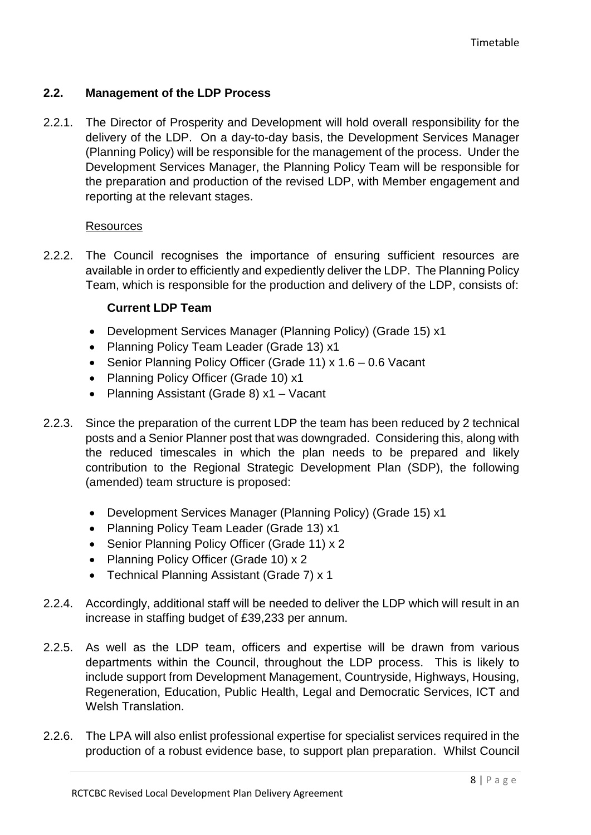## **2.2. Management of the LDP Process**

2.2.1. The Director of Prosperity and Development will hold overall responsibility for the delivery of the LDP. On a day-to-day basis, the Development Services Manager (Planning Policy) will be responsible for the management of the process. Under the Development Services Manager, the Planning Policy Team will be responsible for the preparation and production of the revised LDP, with Member engagement and reporting at the relevant stages.

## **Resources**

2.2.2. The Council recognises the importance of ensuring sufficient resources are available in order to efficiently and expediently deliver the LDP. The Planning Policy Team, which is responsible for the production and delivery of the LDP, consists of:

## **Current LDP Team**

- Development Services Manager (Planning Policy) (Grade 15) x1
- Planning Policy Team Leader (Grade 13) x1
- Senior Planning Policy Officer (Grade 11) x 1.6 0.6 Vacant
- Planning Policy Officer (Grade 10) x1
- Planning Assistant (Grade 8) x1 Vacant
- 2.2.3. Since the preparation of the current LDP the team has been reduced by 2 technical posts and a Senior Planner post that was downgraded. Considering this, along with the reduced timescales in which the plan needs to be prepared and likely contribution to the Regional Strategic Development Plan (SDP), the following (amended) team structure is proposed:
	- Development Services Manager (Planning Policy) (Grade 15) x1
	- Planning Policy Team Leader (Grade 13) x1
	- Senior Planning Policy Officer (Grade 11) x 2
	- Planning Policy Officer (Grade 10) x 2
	- Technical Planning Assistant (Grade 7) x 1
- 2.2.4. Accordingly, additional staff will be needed to deliver the LDP which will result in an increase in staffing budget of £39,233 per annum.
- 2.2.5. As well as the LDP team, officers and expertise will be drawn from various departments within the Council, throughout the LDP process. This is likely to include support from Development Management, Countryside, Highways, Housing, Regeneration, Education, Public Health, Legal and Democratic Services, ICT and Welsh Translation.
- 2.2.6. The LPA will also enlist professional expertise for specialist services required in the production of a robust evidence base, to support plan preparation. Whilst Council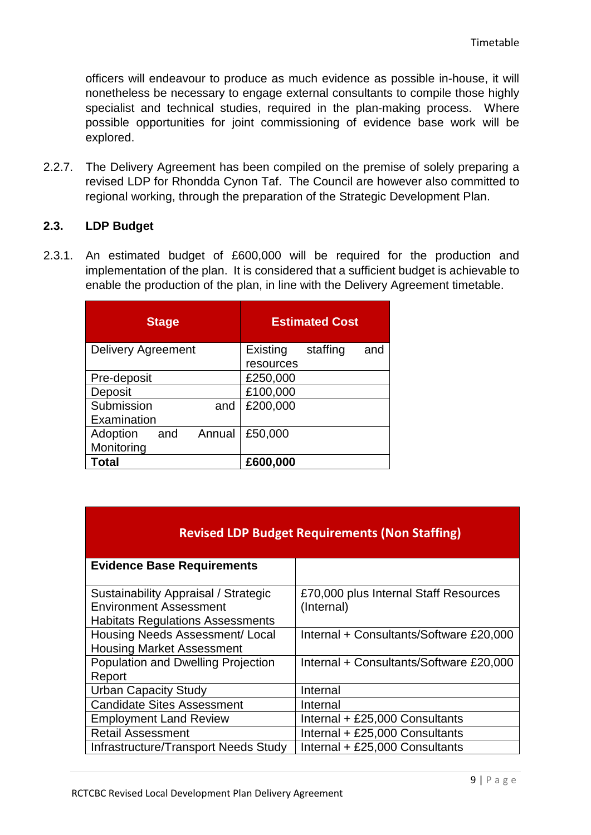officers will endeavour to produce as much evidence as possible in-house, it will nonetheless be necessary to engage external consultants to compile those highly specialist and technical studies, required in the plan-making process. Where possible opportunities for joint commissioning of evidence base work will be explored.

2.2.7. The Delivery Agreement has been compiled on the premise of solely preparing a revised LDP for Rhondda Cynon Taf. The Council are however also committed to regional working, through the preparation of the Strategic Development Plan.

#### **2.3. LDP Budget**

2.3.1. An estimated budget of £600,000 will be required for the production and implementation of the plan. It is considered that a sufficient budget is achievable to enable the production of the plan, in line with the Delivery Agreement timetable.

|                           | <b>Stage</b> |        |           | <b>Estimated Cost</b> |     |
|---------------------------|--------------|--------|-----------|-----------------------|-----|
| <b>Delivery Agreement</b> |              |        | Existing  | staffing              | and |
|                           |              |        | resources |                       |     |
| Pre-deposit               |              |        | £250,000  |                       |     |
| Deposit                   |              |        | £100,000  |                       |     |
| Submission                |              | and    | £200,000  |                       |     |
| Examination               |              |        |           |                       |     |
| Adoption                  | and          | Annual | £50,000   |                       |     |
| Monitoring                |              |        |           |                       |     |
| <b>Total</b>              |              |        | £600,000  |                       |     |

| <b>Revised LDP Budget Requirements (Non Staffing)</b>                                                            |                                                     |  |  |
|------------------------------------------------------------------------------------------------------------------|-----------------------------------------------------|--|--|
| <b>Evidence Base Requirements</b>                                                                                |                                                     |  |  |
| Sustainability Appraisal / Strategic<br><b>Environment Assessment</b><br><b>Habitats Regulations Assessments</b> | £70,000 plus Internal Staff Resources<br>(Internal) |  |  |
| Housing Needs Assessment/ Local<br><b>Housing Market Assessment</b>                                              | Internal + Consultants/Software £20,000             |  |  |
| Population and Dwelling Projection<br>Report                                                                     | Internal + Consultants/Software £20,000             |  |  |
| <b>Urban Capacity Study</b>                                                                                      | Internal                                            |  |  |
| <b>Candidate Sites Assessment</b>                                                                                | Internal                                            |  |  |
| <b>Employment Land Review</b>                                                                                    | Internal + £25,000 Consultants                      |  |  |
| <b>Retail Assessment</b>                                                                                         | Internal + £25,000 Consultants                      |  |  |
| Infrastructure/Transport Needs Study                                                                             | Internal + £25,000 Consultants                      |  |  |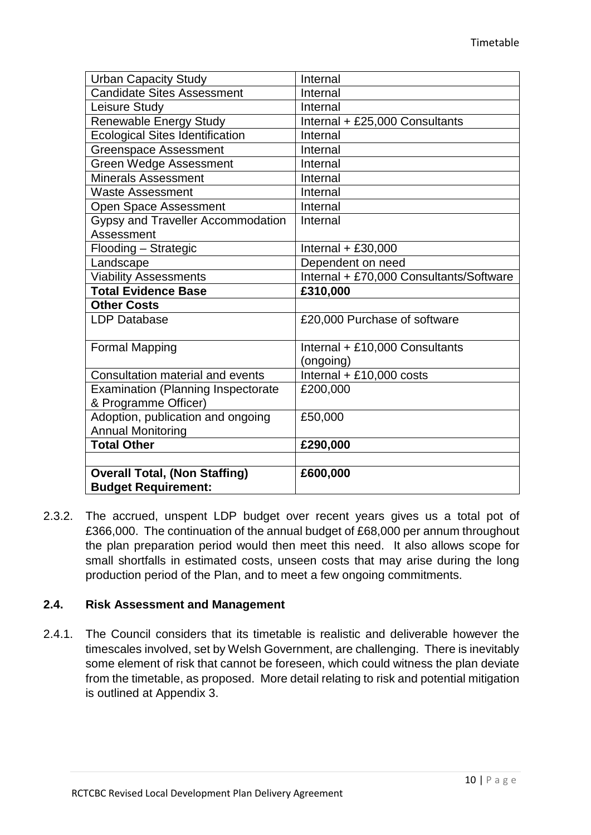| <b>Urban Capacity Study</b>               | Internal                                |
|-------------------------------------------|-----------------------------------------|
| <b>Candidate Sites Assessment</b>         | Internal                                |
| Leisure Study                             | Internal                                |
| <b>Renewable Energy Study</b>             | Internal + £25,000 Consultants          |
| <b>Ecological Sites Identification</b>    | Internal                                |
| <b>Greenspace Assessment</b>              | Internal                                |
| Green Wedge Assessment                    | Internal                                |
| <b>Minerals Assessment</b>                | Internal                                |
| <b>Waste Assessment</b>                   | Internal                                |
| <b>Open Space Assessment</b>              | Internal                                |
| Gypsy and Traveller Accommodation         | Internal                                |
| Assessment                                |                                         |
| Flooding - Strategic                      | Internal $+ £30,000$                    |
| Landscape                                 | Dependent on need                       |
| <b>Viability Assessments</b>              | Internal + £70,000 Consultants/Software |
| <b>Total Evidence Base</b>                | £310,000                                |
| <b>Other Costs</b>                        |                                         |
| <b>LDP Database</b>                       | £20,000 Purchase of software            |
|                                           |                                         |
| <b>Formal Mapping</b>                     | Internal + £10,000 Consultants          |
|                                           | (ongoing)                               |
| Consultation material and events          | Internal + £10,000 costs                |
| <b>Examination (Planning Inspectorate</b> | £200,000                                |
| & Programme Officer)                      |                                         |
| Adoption, publication and ongoing         | £50,000                                 |
| <b>Annual Monitoring</b>                  |                                         |
| <b>Total Other</b>                        | £290,000                                |
|                                           |                                         |
| <b>Overall Total, (Non Staffing)</b>      | £600,000                                |
| <b>Budget Requirement:</b>                |                                         |

2.3.2. The accrued, unspent LDP budget over recent years gives us a total pot of £366,000. The continuation of the annual budget of £68,000 per annum throughout the plan preparation period would then meet this need. It also allows scope for small shortfalls in estimated costs, unseen costs that may arise during the long production period of the Plan, and to meet a few ongoing commitments.

#### **2.4. Risk Assessment and Management**

2.4.1. The Council considers that its timetable is realistic and deliverable however the timescales involved, set by Welsh Government, are challenging. There is inevitably some element of risk that cannot be foreseen, which could witness the plan deviate from the timetable, as proposed. More detail relating to risk and potential mitigation is outlined at Appendix 3.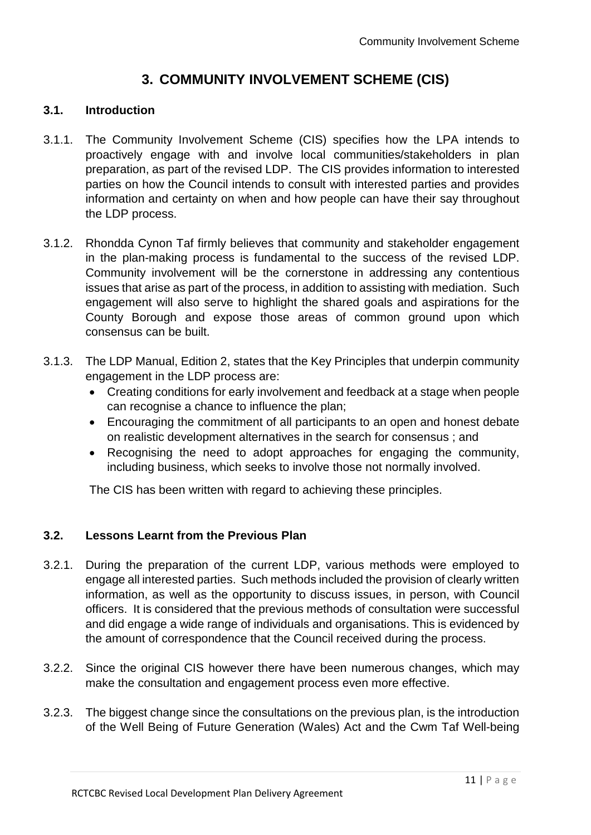## **3. COMMUNITY INVOLVEMENT SCHEME (CIS)**

### **3.1. Introduction**

- 3.1.1. The Community Involvement Scheme (CIS) specifies how the LPA intends to proactively engage with and involve local communities/stakeholders in plan preparation, as part of the revised LDP. The CIS provides information to interested parties on how the Council intends to consult with interested parties and provides information and certainty on when and how people can have their say throughout the LDP process.
- 3.1.2. Rhondda Cynon Taf firmly believes that community and stakeholder engagement in the plan-making process is fundamental to the success of the revised LDP. Community involvement will be the cornerstone in addressing any contentious issues that arise as part of the process, in addition to assisting with mediation. Such engagement will also serve to highlight the shared goals and aspirations for the County Borough and expose those areas of common ground upon which consensus can be built.
- 3.1.3. The LDP Manual, Edition 2, states that the Key Principles that underpin community engagement in the LDP process are:
	- Creating conditions for early involvement and feedback at a stage when people can recognise a chance to influence the plan;
	- Encouraging the commitment of all participants to an open and honest debate on realistic development alternatives in the search for consensus ; and
	- Recognising the need to adopt approaches for engaging the community, including business, which seeks to involve those not normally involved.

The CIS has been written with regard to achieving these principles.

## **3.2. Lessons Learnt from the Previous Plan**

- 3.2.1. During the preparation of the current LDP, various methods were employed to engage all interested parties. Such methods included the provision of clearly written information, as well as the opportunity to discuss issues, in person, with Council officers. It is considered that the previous methods of consultation were successful and did engage a wide range of individuals and organisations. This is evidenced by the amount of correspondence that the Council received during the process.
- 3.2.2. Since the original CIS however there have been numerous changes, which may make the consultation and engagement process even more effective.
- 3.2.3. The biggest change since the consultations on the previous plan, is the introduction of the Well Being of Future Generation (Wales) Act and the Cwm Taf Well-being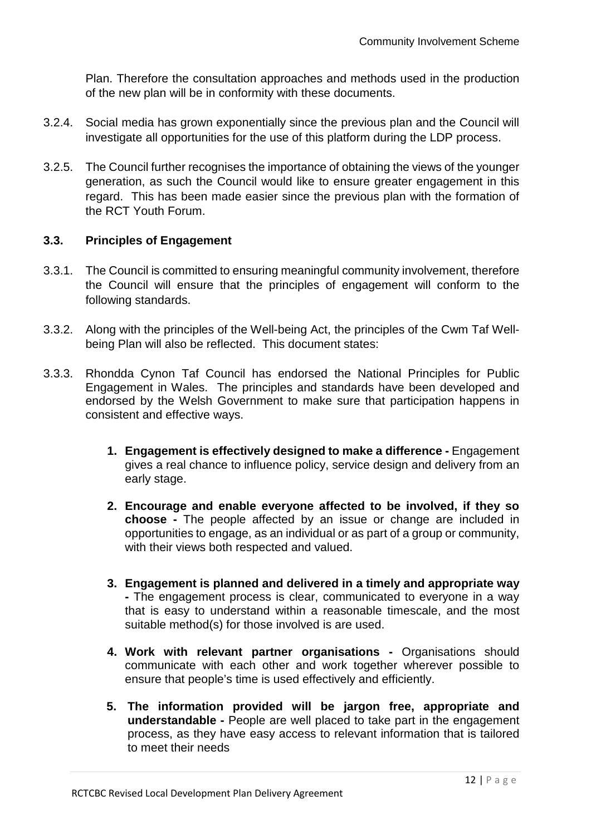Plan. Therefore the consultation approaches and methods used in the production of the new plan will be in conformity with these documents.

- 3.2.4. Social media has grown exponentially since the previous plan and the Council will investigate all opportunities for the use of this platform during the LDP process.
- 3.2.5. The Council further recognises the importance of obtaining the views of the younger generation, as such the Council would like to ensure greater engagement in this regard. This has been made easier since the previous plan with the formation of the RCT Youth Forum.

## **3.3. Principles of Engagement**

- 3.3.1. The Council is committed to ensuring meaningful community involvement, therefore the Council will ensure that the principles of engagement will conform to the following standards.
- 3.3.2. Along with the principles of the Well-being Act, the principles of the Cwm Taf Wellbeing Plan will also be reflected. This document states:
- 3.3.3. Rhondda Cynon Taf Council has endorsed the National Principles for Public Engagement in Wales. The principles and standards have been developed and endorsed by the Welsh Government to make sure that participation happens in consistent and effective ways.
	- **1. Engagement is effectively designed to make a difference -** Engagement gives a real chance to influence policy, service design and delivery from an early stage.
	- **2. Encourage and enable everyone affected to be involved, if they so choose -** The people affected by an issue or change are included in opportunities to engage, as an individual or as part of a group or community, with their views both respected and valued.
	- **3. Engagement is planned and delivered in a timely and appropriate way -** The engagement process is clear, communicated to everyone in a way that is easy to understand within a reasonable timescale, and the most suitable method(s) for those involved is are used.
	- **4. Work with relevant partner organisations -** Organisations should communicate with each other and work together wherever possible to ensure that people's time is used effectively and efficiently.
	- **5. The information provided will be jargon free, appropriate and understandable -** People are well placed to take part in the engagement process, as they have easy access to relevant information that is tailored to meet their needs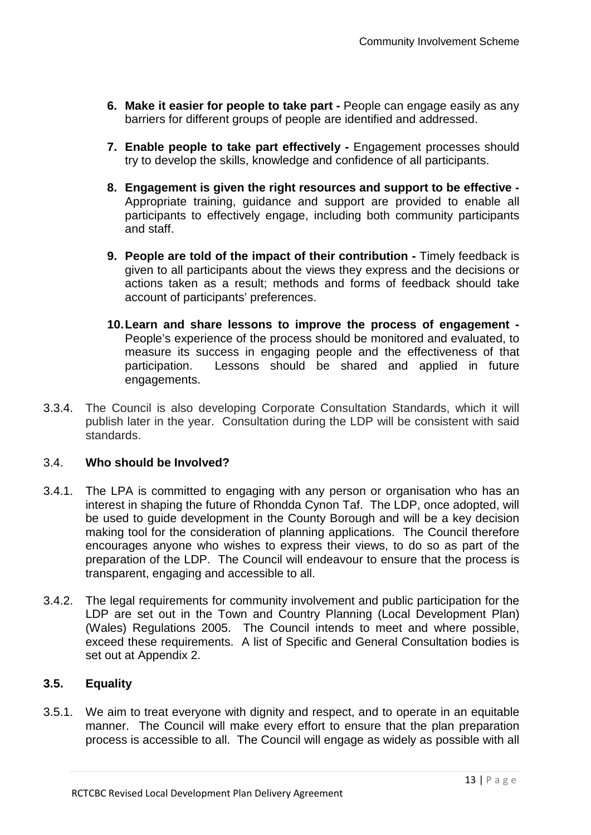- **6. Make it easier for people to take part -** People can engage easily as any barriers for different groups of people are identified and addressed.
- **7. Enable people to take part effectively -** Engagement processes should try to develop the skills, knowledge and confidence of all participants.
- **8. Engagement is given the right resources and support to be effective -** Appropriate training, guidance and support are provided to enable all participants to effectively engage, including both community participants and staff.
- **9. People are told of the impact of their contribution -** Timely feedback is given to all participants about the views they express and the decisions or actions taken as a result; methods and forms of feedback should take account of participants' preferences.
- **10.Learn and share lessons to improve the process of engagement -** People's experience of the process should be monitored and evaluated, to measure its success in engaging people and the effectiveness of that participation. Lessons should be shared and applied in future engagements.
- 3.3.4. The Council is also developing Corporate Consultation Standards, which it will publish later in the year. Consultation during the LDP will be consistent with said standards.

## 3.4. **Who should be Involved?**

- 3.4.1. The LPA is committed to engaging with any person or organisation who has an interest in shaping the future of Rhondda Cynon Taf. The LDP, once adopted, will be used to guide development in the County Borough and will be a key decision making tool for the consideration of planning applications. The Council therefore encourages anyone who wishes to express their views, to do so as part of the preparation of the LDP. The Council will endeavour to ensure that the process is transparent, engaging and accessible to all.
- 3.4.2. The legal requirements for community involvement and public participation for the LDP are set out in the Town and Country Planning (Local Development Plan) (Wales) Regulations 2005. The Council intends to meet and where possible, exceed these requirements. A list of Specific and General Consultation bodies is set out at Appendix 2.

## **3.5. Equality**

3.5.1. We aim to treat everyone with dignity and respect, and to operate in an equitable manner. The Council will make every effort to ensure that the plan preparation process is accessible to all. The Council will engage as widely as possible with all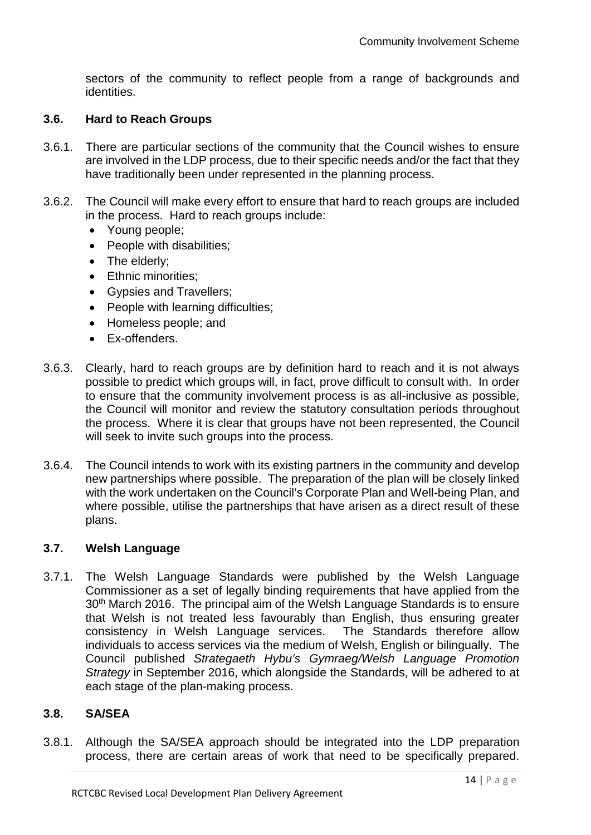sectors of the community to reflect people from a range of backgrounds and identities.

### **3.6. Hard to Reach Groups**

- 3.6.1. There are particular sections of the community that the Council wishes to ensure are involved in the LDP process, due to their specific needs and/or the fact that they have traditionally been under represented in the planning process.
- 3.6.2. The Council will make every effort to ensure that hard to reach groups are included in the process. Hard to reach groups include:
	- Young people;
	- People with disabilities;
	- The elderly;
	- Ethnic minorities:
	- Gypsies and Travellers;
	- People with learning difficulties;
	- Homeless people; and
	- Ex-offenders.
- 3.6.3. Clearly, hard to reach groups are by definition hard to reach and it is not always possible to predict which groups will, in fact, prove difficult to consult with. In order to ensure that the community involvement process is as all-inclusive as possible, the Council will monitor and review the statutory consultation periods throughout the process. Where it is clear that groups have not been represented, the Council will seek to invite such groups into the process.
- 3.6.4. The Council intends to work with its existing partners in the community and develop new partnerships where possible. The preparation of the plan will be closely linked with the work undertaken on the Council's Corporate Plan and Well-being Plan, and where possible, utilise the partnerships that have arisen as a direct result of these plans.

#### **3.7. Welsh Language**

3.7.1. The Welsh Language Standards were published by the Welsh Language Commissioner as a set of legally binding requirements that have applied from the 30th March 2016. The principal aim of the Welsh Language Standards is to ensure that Welsh is not treated less favourably than English, thus ensuring greater consistency in Welsh Language services. The Standards therefore allow individuals to access services via the medium of Welsh, English or bilingually. The Council published *Strategaeth Hybu's Gymraeg/Welsh Language Promotion Strategy* in September 2016, which alongside the Standards, will be adhered to at each stage of the plan-making process.

#### **3.8. SA/SEA**

3.8.1. Although the SA/SEA approach should be integrated into the LDP preparation process, there are certain areas of work that need to be specifically prepared.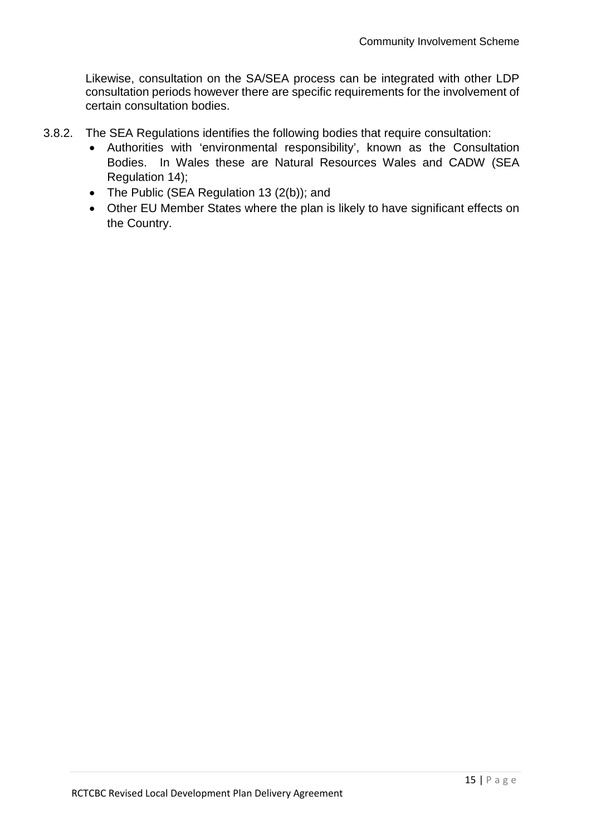Likewise, consultation on the SA/SEA process can be integrated with other LDP consultation periods however there are specific requirements for the involvement of certain consultation bodies.

- 3.8.2. The SEA Regulations identifies the following bodies that require consultation:
	- Authorities with 'environmental responsibility', known as the Consultation Bodies. In Wales these are Natural Resources Wales and CADW (SEA Regulation 14);
	- The Public (SEA Regulation 13 (2(b)); and
	- Other EU Member States where the plan is likely to have significant effects on the Country.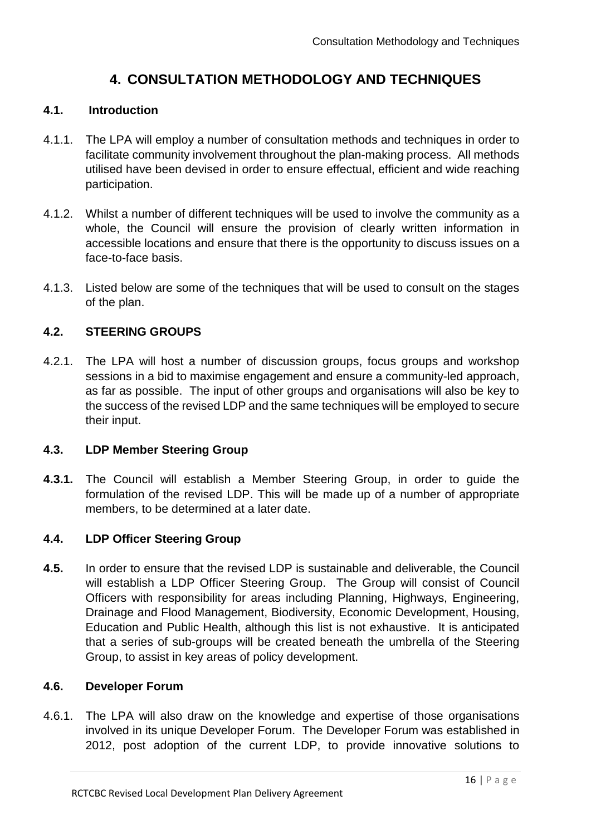## **4. CONSULTATION METHODOLOGY AND TECHNIQUES**

#### **4.1. Introduction**

- 4.1.1. The LPA will employ a number of consultation methods and techniques in order to facilitate community involvement throughout the plan-making process. All methods utilised have been devised in order to ensure effectual, efficient and wide reaching participation.
- 4.1.2. Whilst a number of different techniques will be used to involve the community as a whole, the Council will ensure the provision of clearly written information in accessible locations and ensure that there is the opportunity to discuss issues on a face-to-face basis.
- 4.1.3. Listed below are some of the techniques that will be used to consult on the stages of the plan.

#### **4.2. STEERING GROUPS**

4.2.1. The LPA will host a number of discussion groups, focus groups and workshop sessions in a bid to maximise engagement and ensure a community-led approach, as far as possible. The input of other groups and organisations will also be key to the success of the revised LDP and the same techniques will be employed to secure their input.

#### **4.3. LDP Member Steering Group**

**4.3.1.** The Council will establish a Member Steering Group, in order to guide the formulation of the revised LDP. This will be made up of a number of appropriate members, to be determined at a later date.

#### **4.4. LDP Officer Steering Group**

**4.5.** In order to ensure that the revised LDP is sustainable and deliverable, the Council will establish a LDP Officer Steering Group. The Group will consist of Council Officers with responsibility for areas including Planning, Highways, Engineering, Drainage and Flood Management, Biodiversity, Economic Development, Housing, Education and Public Health, although this list is not exhaustive. It is anticipated that a series of sub-groups will be created beneath the umbrella of the Steering Group, to assist in key areas of policy development.

#### **4.6. Developer Forum**

4.6.1. The LPA will also draw on the knowledge and expertise of those organisations involved in its unique Developer Forum. The Developer Forum was established in 2012, post adoption of the current LDP, to provide innovative solutions to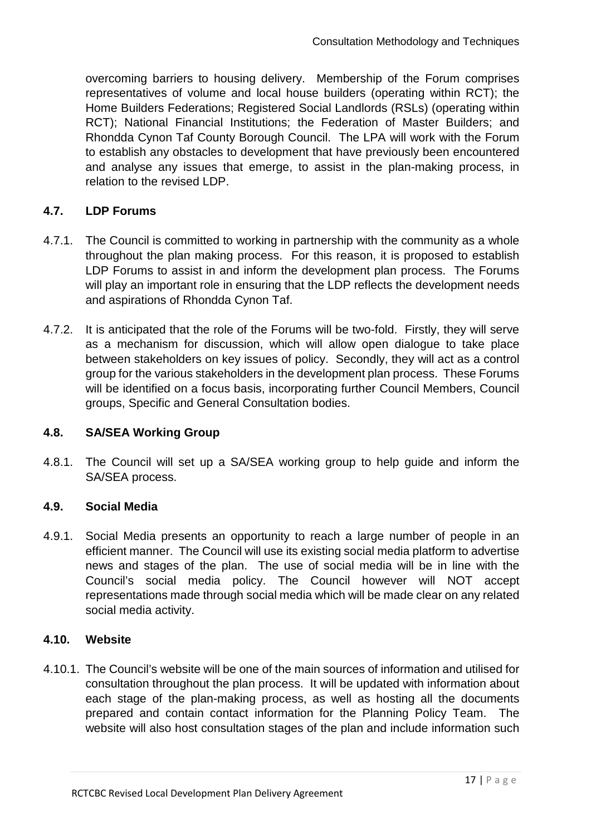overcoming barriers to housing delivery. Membership of the Forum comprises representatives of volume and local house builders (operating within RCT); the Home Builders Federations; Registered Social Landlords (RSLs) (operating within RCT); National Financial Institutions; the Federation of Master Builders; and Rhondda Cynon Taf County Borough Council. The LPA will work with the Forum to establish any obstacles to development that have previously been encountered and analyse any issues that emerge, to assist in the plan-making process, in relation to the revised LDP.

## **4.7. LDP Forums**

- 4.7.1. The Council is committed to working in partnership with the community as a whole throughout the plan making process. For this reason, it is proposed to establish LDP Forums to assist in and inform the development plan process. The Forums will play an important role in ensuring that the LDP reflects the development needs and aspirations of Rhondda Cynon Taf.
- 4.7.2. It is anticipated that the role of the Forums will be two-fold. Firstly, they will serve as a mechanism for discussion, which will allow open dialogue to take place between stakeholders on key issues of policy. Secondly, they will act as a control group for the various stakeholders in the development plan process. These Forums will be identified on a focus basis, incorporating further Council Members, Council groups, Specific and General Consultation bodies.

#### **4.8. SA/SEA Working Group**

4.8.1. The Council will set up a SA/SEA working group to help guide and inform the SA/SEA process.

#### **4.9. Social Media**

4.9.1. Social Media presents an opportunity to reach a large number of people in an efficient manner. The Council will use its existing social media platform to advertise news and stages of the plan. The use of social media will be in line with the Council's social media policy. The Council however will NOT accept representations made through social media which will be made clear on any related social media activity.

#### **4.10. Website**

4.10.1. The Council's website will be one of the main sources of information and utilised for consultation throughout the plan process. It will be updated with information about each stage of the plan-making process, as well as hosting all the documents prepared and contain contact information for the Planning Policy Team. The website will also host consultation stages of the plan and include information such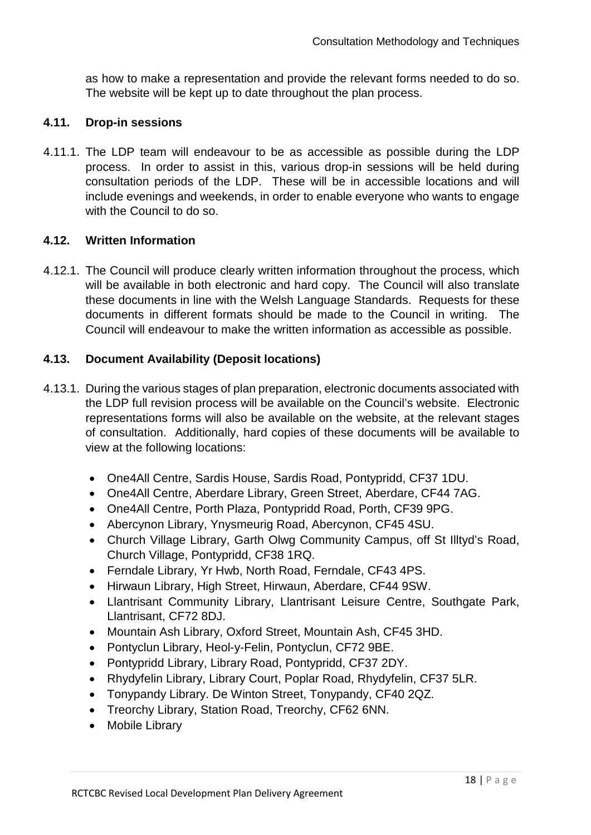as how to make a representation and provide the relevant forms needed to do so. The website will be kept up to date throughout the plan process.

#### **4.11. Drop-in sessions**

4.11.1. The LDP team will endeavour to be as accessible as possible during the LDP process. In order to assist in this, various drop-in sessions will be held during consultation periods of the LDP. These will be in accessible locations and will include evenings and weekends, in order to enable everyone who wants to engage with the Council to do so.

#### **4.12. Written Information**

4.12.1. The Council will produce clearly written information throughout the process, which will be available in both electronic and hard copy. The Council will also translate these documents in line with the Welsh Language Standards. Requests for these documents in different formats should be made to the Council in writing. The Council will endeavour to make the written information as accessible as possible.

#### **4.13. Document Availability (Deposit locations)**

- 4.13.1. During the various stages of plan preparation, electronic documents associated with the LDP full revision process will be available on the Council's website. Electronic representations forms will also be available on the website, at the relevant stages of consultation. Additionally, hard copies of these documents will be available to view at the following locations:
	- One4All Centre, Sardis House, Sardis Road, Pontypridd, CF37 1DU.
	- One4All Centre, Aberdare Library, Green Street, Aberdare, CF44 7AG.
	- One4All Centre, Porth Plaza, Pontypridd Road, Porth, CF39 9PG.
	- Abercynon Library, Ynysmeurig Road, Abercynon, CF45 4SU.
	- Church Village Library, Garth Olwg Community Campus, off St Illtyd's Road, Church Village, Pontypridd, CF38 1RQ.
	- Ferndale Library, Yr Hwb, North Road, Ferndale, CF43 4PS.
	- Hirwaun Library, High Street, Hirwaun, Aberdare, CF44 9SW.
	- Llantrisant Community Library, Llantrisant Leisure Centre, Southgate Park, Llantrisant, CF72 8DJ.
	- Mountain Ash Library, Oxford Street, Mountain Ash, CF45 3HD.
	- Pontyclun Library, Heol-y-Felin, Pontyclun, CF72 9BE.
	- Pontypridd Library, Library Road, Pontypridd, CF37 2DY.
	- Rhydyfelin Library, Library Court, Poplar Road, Rhydyfelin, CF37 5LR.
	- Tonypandy Library. De Winton Street, Tonypandy, CF40 2QZ.
	- Treorchy Library, Station Road, Treorchy, CF62 6NN.
	- Mobile Library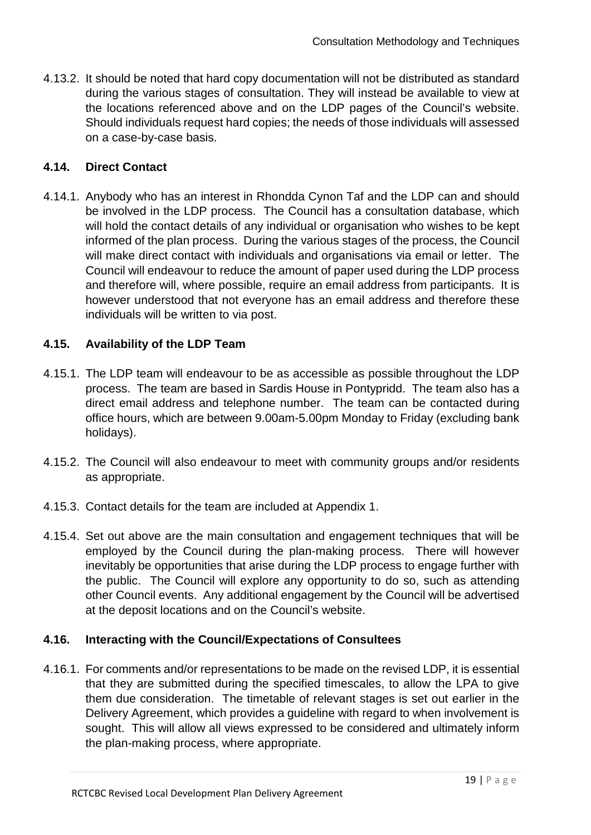4.13.2. It should be noted that hard copy documentation will not be distributed as standard during the various stages of consultation. They will instead be available to view at the locations referenced above and on the LDP pages of the Council's website. Should individuals request hard copies; the needs of those individuals will assessed on a case-by-case basis.

## **4.14. Direct Contact**

4.14.1. Anybody who has an interest in Rhondda Cynon Taf and the LDP can and should be involved in the LDP process. The Council has a consultation database, which will hold the contact details of any individual or organisation who wishes to be kept informed of the plan process. During the various stages of the process, the Council will make direct contact with individuals and organisations via email or letter. The Council will endeavour to reduce the amount of paper used during the LDP process and therefore will, where possible, require an email address from participants. It is however understood that not everyone has an email address and therefore these individuals will be written to via post.

## **4.15. Availability of the LDP Team**

- 4.15.1. The LDP team will endeavour to be as accessible as possible throughout the LDP process. The team are based in Sardis House in Pontypridd. The team also has a direct email address and telephone number. The team can be contacted during office hours, which are between 9.00am-5.00pm Monday to Friday (excluding bank holidays).
- 4.15.2. The Council will also endeavour to meet with community groups and/or residents as appropriate.
- 4.15.3. Contact details for the team are included at Appendix 1.
- 4.15.4. Set out above are the main consultation and engagement techniques that will be employed by the Council during the plan-making process. There will however inevitably be opportunities that arise during the LDP process to engage further with the public. The Council will explore any opportunity to do so, such as attending other Council events. Any additional engagement by the Council will be advertised at the deposit locations and on the Council's website.

#### **4.16. Interacting with the Council/Expectations of Consultees**

4.16.1. For comments and/or representations to be made on the revised LDP, it is essential that they are submitted during the specified timescales, to allow the LPA to give them due consideration. The timetable of relevant stages is set out earlier in the Delivery Agreement, which provides a guideline with regard to when involvement is sought. This will allow all views expressed to be considered and ultimately inform the plan-making process, where appropriate.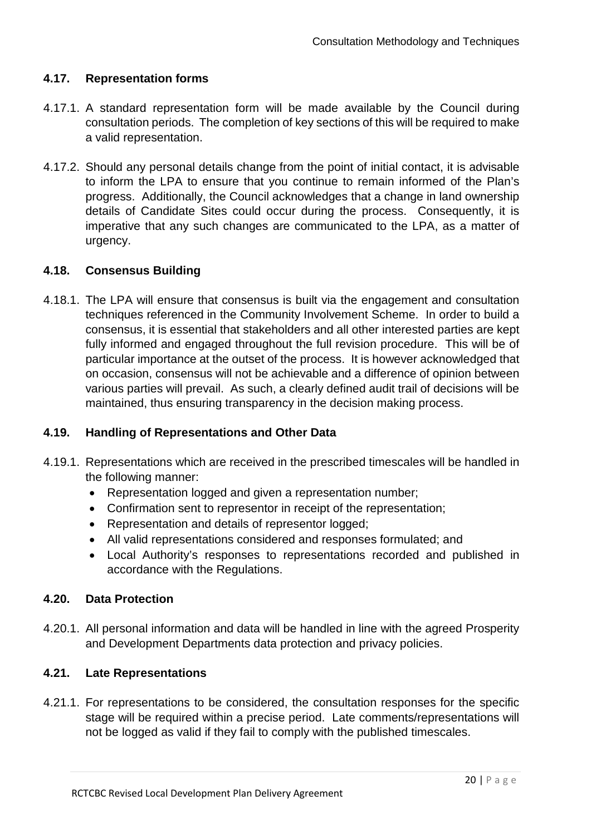## **4.17. Representation forms**

- 4.17.1. A standard representation form will be made available by the Council during consultation periods. The completion of key sections of this will be required to make a valid representation.
- 4.17.2. Should any personal details change from the point of initial contact, it is advisable to inform the LPA to ensure that you continue to remain informed of the Plan's progress. Additionally, the Council acknowledges that a change in land ownership details of Candidate Sites could occur during the process. Consequently, it is imperative that any such changes are communicated to the LPA, as a matter of urgency.

#### **4.18. Consensus Building**

4.18.1. The LPA will ensure that consensus is built via the engagement and consultation techniques referenced in the Community Involvement Scheme. In order to build a consensus, it is essential that stakeholders and all other interested parties are kept fully informed and engaged throughout the full revision procedure. This will be of particular importance at the outset of the process. It is however acknowledged that on occasion, consensus will not be achievable and a difference of opinion between various parties will prevail. As such, a clearly defined audit trail of decisions will be maintained, thus ensuring transparency in the decision making process.

#### **4.19. Handling of Representations and Other Data**

- 4.19.1. Representations which are received in the prescribed timescales will be handled in the following manner:
	- Representation logged and given a representation number;
	- Confirmation sent to representor in receipt of the representation;
	- Representation and details of representor logged;
	- All valid representations considered and responses formulated; and
	- Local Authority's responses to representations recorded and published in accordance with the Regulations.

#### **4.20. Data Protection**

4.20.1. All personal information and data will be handled in line with the agreed Prosperity and Development Departments data protection and privacy policies.

#### **4.21. Late Representations**

4.21.1. For representations to be considered, the consultation responses for the specific stage will be required within a precise period. Late comments/representations will not be logged as valid if they fail to comply with the published timescales.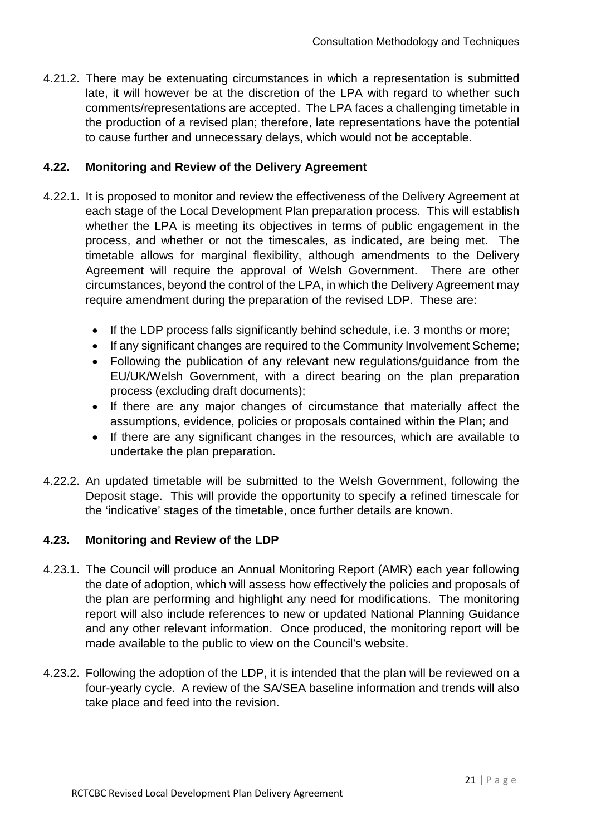4.21.2. There may be extenuating circumstances in which a representation is submitted late, it will however be at the discretion of the LPA with regard to whether such comments/representations are accepted. The LPA faces a challenging timetable in the production of a revised plan; therefore, late representations have the potential to cause further and unnecessary delays, which would not be acceptable.

#### **4.22. Monitoring and Review of the Delivery Agreement**

- 4.22.1. It is proposed to monitor and review the effectiveness of the Delivery Agreement at each stage of the Local Development Plan preparation process. This will establish whether the LPA is meeting its objectives in terms of public engagement in the process, and whether or not the timescales, as indicated, are being met. The timetable allows for marginal flexibility, although amendments to the Delivery Agreement will require the approval of Welsh Government. There are other circumstances, beyond the control of the LPA, in which the Delivery Agreement may require amendment during the preparation of the revised LDP. These are:
	- If the LDP process falls significantly behind schedule, i.e. 3 months or more;
	- If any significant changes are required to the Community Involvement Scheme;
	- Following the publication of any relevant new regulations/guidance from the EU/UK/Welsh Government, with a direct bearing on the plan preparation process (excluding draft documents);
	- If there are any major changes of circumstance that materially affect the assumptions, evidence, policies or proposals contained within the Plan; and
	- If there are any significant changes in the resources, which are available to undertake the plan preparation.
- 4.22.2. An updated timetable will be submitted to the Welsh Government, following the Deposit stage. This will provide the opportunity to specify a refined timescale for the 'indicative' stages of the timetable, once further details are known.

## **4.23. Monitoring and Review of the LDP**

- 4.23.1. The Council will produce an Annual Monitoring Report (AMR) each year following the date of adoption, which will assess how effectively the policies and proposals of the plan are performing and highlight any need for modifications. The monitoring report will also include references to new or updated National Planning Guidance and any other relevant information. Once produced, the monitoring report will be made available to the public to view on the Council's website.
- 4.23.2. Following the adoption of the LDP, it is intended that the plan will be reviewed on a four-yearly cycle. A review of the SA/SEA baseline information and trends will also take place and feed into the revision.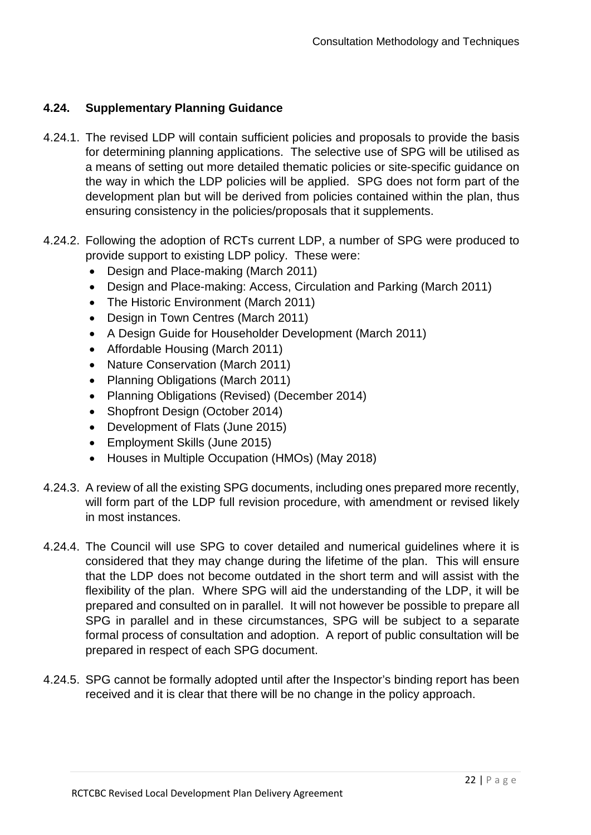## **4.24. Supplementary Planning Guidance**

- 4.24.1. The revised LDP will contain sufficient policies and proposals to provide the basis for determining planning applications. The selective use of SPG will be utilised as a means of setting out more detailed thematic policies or site-specific guidance on the way in which the LDP policies will be applied. SPG does not form part of the development plan but will be derived from policies contained within the plan, thus ensuring consistency in the policies/proposals that it supplements.
- 4.24.2. Following the adoption of RCTs current LDP, a number of SPG were produced to provide support to existing LDP policy. These were:
	- Design and Place-making (March 2011)
	- Design and Place-making: Access, Circulation and Parking (March 2011)
	- The Historic Environment (March 2011)
	- Design in Town Centres (March 2011)
	- A Design Guide for Householder Development (March 2011)
	- Affordable Housing (March 2011)
	- Nature Conservation (March 2011)
	- Planning Obligations (March 2011)
	- Planning Obligations (Revised) (December 2014)
	- Shopfront Design (October 2014)
	- Development of Flats (June 2015)
	- Employment Skills (June 2015)
	- Houses in Multiple Occupation (HMOs) (May 2018)
- 4.24.3. A review of all the existing SPG documents, including ones prepared more recently, will form part of the LDP full revision procedure, with amendment or revised likely in most instances.
- 4.24.4. The Council will use SPG to cover detailed and numerical guidelines where it is considered that they may change during the lifetime of the plan. This will ensure that the LDP does not become outdated in the short term and will assist with the flexibility of the plan. Where SPG will aid the understanding of the LDP, it will be prepared and consulted on in parallel. It will not however be possible to prepare all SPG in parallel and in these circumstances, SPG will be subject to a separate formal process of consultation and adoption. A report of public consultation will be prepared in respect of each SPG document.
- 4.24.5. SPG cannot be formally adopted until after the Inspector's binding report has been received and it is clear that there will be no change in the policy approach.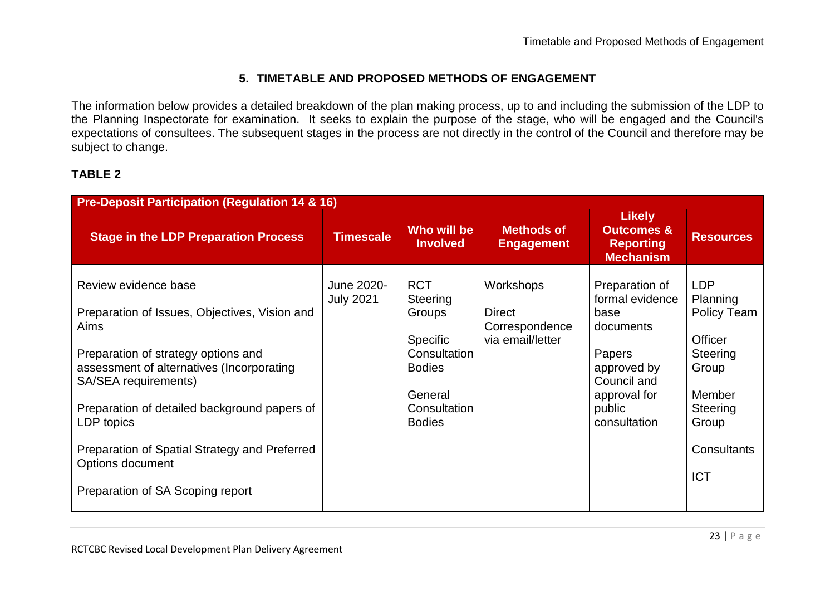## **5. TIMETABLE AND PROPOSED METHODS OF ENGAGEMENT**

The information below provides a detailed breakdown of the plan making process, up to and including the submission of the LDP to the Planning Inspectorate for examination. It seeks to explain the purpose of the stage, who will be engaged and the Council's expectations of consultees. The subsequent stages in the process are not directly in the control of the Council and therefore may be subject to change.

## **TABLE 2**

| <b>Pre-Deposit Participation (Regulation 14 &amp; 16)</b>                                                                                                                                                                                                                                                                                                        |                                |                                                                                                                                  |                                                                  |                                                                                                                                          |                                                                                                                                          |  |  |  |  |
|------------------------------------------------------------------------------------------------------------------------------------------------------------------------------------------------------------------------------------------------------------------------------------------------------------------------------------------------------------------|--------------------------------|----------------------------------------------------------------------------------------------------------------------------------|------------------------------------------------------------------|------------------------------------------------------------------------------------------------------------------------------------------|------------------------------------------------------------------------------------------------------------------------------------------|--|--|--|--|
| <b>Stage in the LDP Preparation Process</b>                                                                                                                                                                                                                                                                                                                      | <b>Timescale</b>               | Who will be<br><b>Involved</b>                                                                                                   | <b>Methods of</b><br><b>Engagement</b>                           | <b>Likely</b><br><b>Outcomes &amp;</b><br><b>Reporting</b><br><b>Mechanism</b>                                                           | <b>Resources</b>                                                                                                                         |  |  |  |  |
| Review evidence base<br>Preparation of Issues, Objectives, Vision and<br>Aims<br>Preparation of strategy options and<br>assessment of alternatives (Incorporating<br>SA/SEA requirements)<br>Preparation of detailed background papers of<br>LDP topics<br>Preparation of Spatial Strategy and Preferred<br>Options document<br>Preparation of SA Scoping report | June 2020-<br><b>July 2021</b> | <b>RCT</b><br>Steering<br>Groups<br><b>Specific</b><br>Consultation<br><b>Bodies</b><br>General<br>Consultation<br><b>Bodies</b> | Workshops<br><b>Direct</b><br>Correspondence<br>via email/letter | Preparation of<br>formal evidence<br>base<br>documents<br>Papers<br>approved by<br>Council and<br>approval for<br>public<br>consultation | <b>LDP</b><br>Planning<br>Policy Team<br><b>Officer</b><br>Steering<br>Group<br>Member<br>Steering<br>Group<br>Consultants<br><b>ICT</b> |  |  |  |  |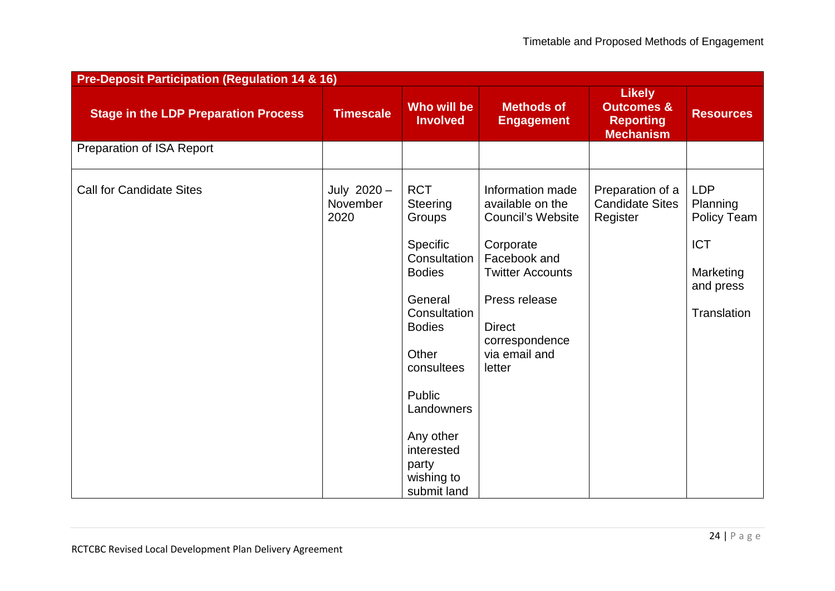| <b>Pre-Deposit Participation (Regulation 14 &amp; 16)</b> |                                   |                                                                                                                                                                                                                                           |                                                                                                                                                                                                         |                                                                                |                                                                                              |  |  |  |  |
|-----------------------------------------------------------|-----------------------------------|-------------------------------------------------------------------------------------------------------------------------------------------------------------------------------------------------------------------------------------------|---------------------------------------------------------------------------------------------------------------------------------------------------------------------------------------------------------|--------------------------------------------------------------------------------|----------------------------------------------------------------------------------------------|--|--|--|--|
| <b>Stage in the LDP Preparation Process</b>               | <b>Timescale</b>                  | Who will be<br><b>Involved</b>                                                                                                                                                                                                            | <b>Methods of</b><br><b>Engagement</b>                                                                                                                                                                  | <b>Likely</b><br><b>Outcomes &amp;</b><br><b>Reporting</b><br><b>Mechanism</b> | <b>Resources</b>                                                                             |  |  |  |  |
| Preparation of ISA Report                                 |                                   |                                                                                                                                                                                                                                           |                                                                                                                                                                                                         |                                                                                |                                                                                              |  |  |  |  |
| <b>Call for Candidate Sites</b>                           | July $2020 -$<br>November<br>2020 | <b>RCT</b><br>Steering<br>Groups<br>Specific<br>Consultation<br><b>Bodies</b><br>General<br>Consultation<br><b>Bodies</b><br>Other<br>consultees<br>Public<br>Landowners<br>Any other<br>interested<br>party<br>wishing to<br>submit land | Information made<br>available on the<br><b>Council's Website</b><br>Corporate<br>Facebook and<br><b>Twitter Accounts</b><br>Press release<br><b>Direct</b><br>correspondence<br>via email and<br>letter | Preparation of a<br><b>Candidate Sites</b><br>Register                         | <b>LDP</b><br>Planning<br>Policy Team<br><b>ICT</b><br>Marketing<br>and press<br>Translation |  |  |  |  |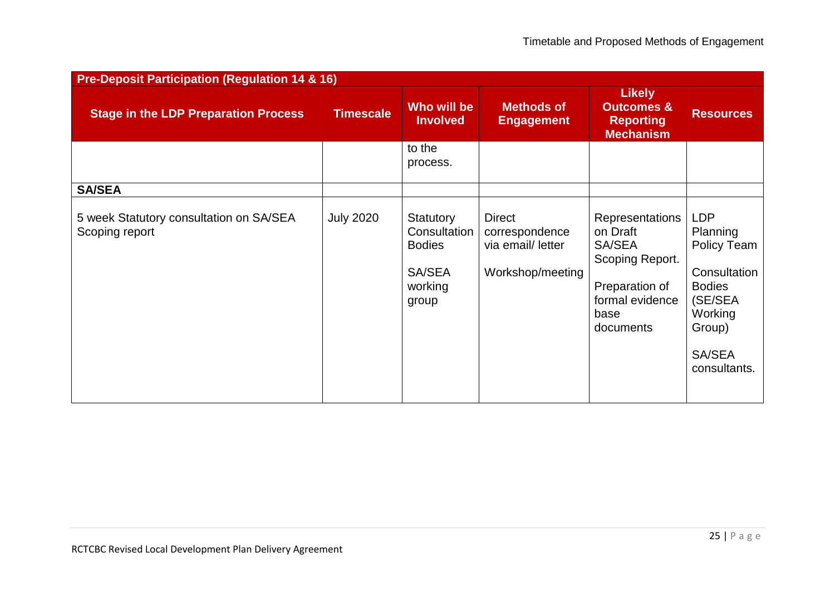| <b>Pre-Deposit Participation (Regulation 14 &amp; 16)</b> |                  |                                                                          |                                                                          |                                                                                                                    |                                                                                                                                  |  |  |  |  |
|-----------------------------------------------------------|------------------|--------------------------------------------------------------------------|--------------------------------------------------------------------------|--------------------------------------------------------------------------------------------------------------------|----------------------------------------------------------------------------------------------------------------------------------|--|--|--|--|
| <b>Stage in the LDP Preparation Process</b>               | <b>Timescale</b> | Who will be<br><b>Involved</b>                                           | <b>Methods of</b><br><b>Engagement</b>                                   | <b>Likely</b><br><b>Outcomes &amp;</b><br><b>Reporting</b><br><b>Mechanism</b>                                     | <b>Resources</b>                                                                                                                 |  |  |  |  |
|                                                           |                  | to the<br>process.                                                       |                                                                          |                                                                                                                    |                                                                                                                                  |  |  |  |  |
| <b>SA/SEA</b>                                             |                  |                                                                          |                                                                          |                                                                                                                    |                                                                                                                                  |  |  |  |  |
| 5 week Statutory consultation on SA/SEA<br>Scoping report | <b>July 2020</b> | Statutory<br>Consultation<br><b>Bodies</b><br>SA/SEA<br>working<br>group | <b>Direct</b><br>correspondence<br>via email/ letter<br>Workshop/meeting | Representations<br>on Draft<br>SA/SEA<br>Scoping Report.<br>Preparation of<br>formal evidence<br>base<br>documents | <b>LDP</b><br>Planning<br>Policy Team<br>Consultation<br><b>Bodies</b><br>(SE/SEA<br>Working<br>Group)<br>SA/SEA<br>consultants. |  |  |  |  |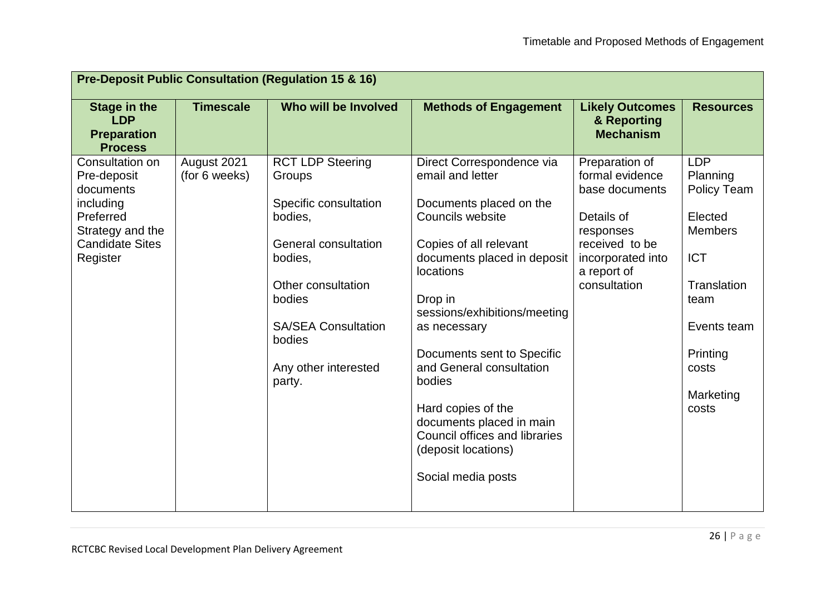| <b>Timescale</b><br>Who will be Involved<br><b>Stage in the</b><br><b>Methods of Engagement</b><br><b>Likely Outcomes</b><br><b>Resources</b><br><b>LDP</b><br>& Reporting<br><b>Mechanism</b><br><b>Preparation</b><br><b>Process</b><br>August 2021<br><b>LDP</b><br>Consultation on<br><b>RCT LDP Steering</b><br>Direct Correspondence via<br>Preparation of<br>(for 6 weeks)<br>email and letter<br>formal evidence<br>Planning<br>Pre-deposit<br>Groups<br>documents<br>base documents<br>Policy Team<br>including<br>Specific consultation<br>Documents placed on the<br>Councils website<br>Preferred<br>Details of<br>Elected<br>bodies,<br><b>Members</b><br>Strategy and the<br>responses<br><b>Candidate Sites</b><br>General consultation<br>Copies of all relevant<br>received to be<br>documents placed in deposit<br>Register<br><b>ICT</b><br>bodies,<br>incorporated into<br>locations<br>a report of<br>Other consultation<br>Translation<br>consultation<br>bodies<br>Drop in<br>team<br>sessions/exhibitions/meeting<br><b>SA/SEA Consultation</b><br>Events team<br>as necessary<br>bodies<br>Documents sent to Specific<br>Printing<br>and General consultation<br>Any other interested<br>costs<br>bodies<br>party.<br>Marketing<br>Hard copies of the<br>costs<br>documents placed in main<br>Council offices and libraries<br>(deposit locations) | <b>Pre-Deposit Public Consultation (Regulation 15 &amp; 16)</b> |  |  |  |  |  |  |
|-----------------------------------------------------------------------------------------------------------------------------------------------------------------------------------------------------------------------------------------------------------------------------------------------------------------------------------------------------------------------------------------------------------------------------------------------------------------------------------------------------------------------------------------------------------------------------------------------------------------------------------------------------------------------------------------------------------------------------------------------------------------------------------------------------------------------------------------------------------------------------------------------------------------------------------------------------------------------------------------------------------------------------------------------------------------------------------------------------------------------------------------------------------------------------------------------------------------------------------------------------------------------------------------------------------------------------------------------------------------------------|-----------------------------------------------------------------|--|--|--|--|--|--|
|                                                                                                                                                                                                                                                                                                                                                                                                                                                                                                                                                                                                                                                                                                                                                                                                                                                                                                                                                                                                                                                                                                                                                                                                                                                                                                                                                                             |                                                                 |  |  |  |  |  |  |
| Social media posts                                                                                                                                                                                                                                                                                                                                                                                                                                                                                                                                                                                                                                                                                                                                                                                                                                                                                                                                                                                                                                                                                                                                                                                                                                                                                                                                                          |                                                                 |  |  |  |  |  |  |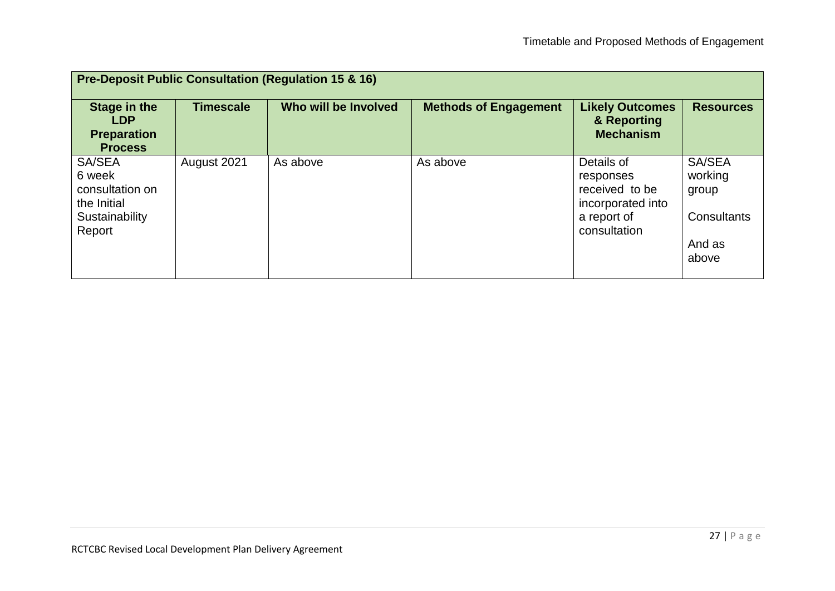| <b>Pre-Deposit Public Consultation (Regulation 15 &amp; 16)</b>           |                  |                      |                              |                                                                |                                |  |  |  |  |
|---------------------------------------------------------------------------|------------------|----------------------|------------------------------|----------------------------------------------------------------|--------------------------------|--|--|--|--|
| <b>Stage in the</b><br><b>LDP</b><br><b>Preparation</b><br><b>Process</b> | <b>Timescale</b> | Who will be Involved | <b>Methods of Engagement</b> | <b>Likely Outcomes</b><br>& Reporting<br><b>Mechanism</b>      | <b>Resources</b>               |  |  |  |  |
| SA/SEA<br>6 week<br>consultation on<br>the Initial                        | August 2021      | As above             | As above                     | Details of<br>responses<br>received to be<br>incorporated into | SA/SEA<br>working<br>group     |  |  |  |  |
| Sustainability<br>Report                                                  |                  |                      |                              | a report of<br>consultation                                    | Consultants<br>And as<br>above |  |  |  |  |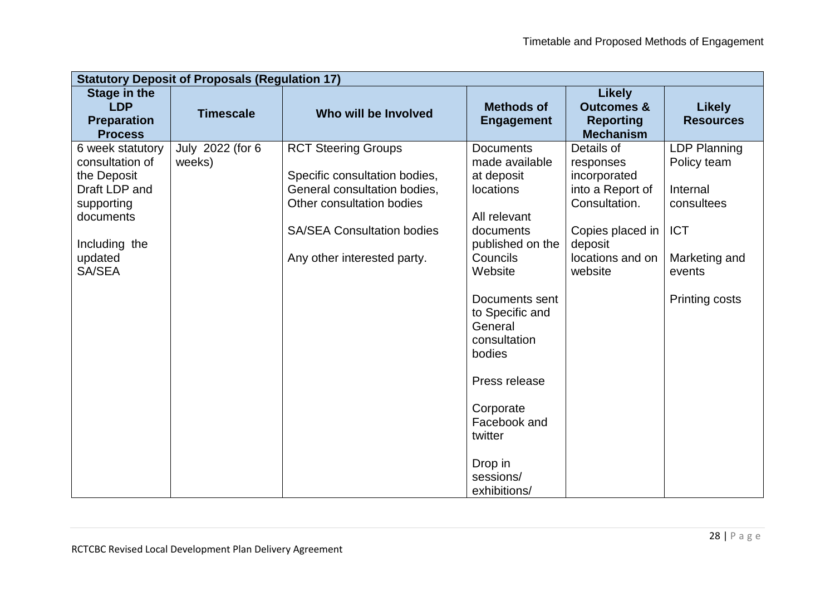| <b>Statutory Deposit of Proposals (Regulation 17)</b>                                                                                |                            |                                                                                                                                                                                              |                                                                                                                                                                                                                                                                                                                  |                                                                                                                                            |                                                                                                                                |  |  |  |
|--------------------------------------------------------------------------------------------------------------------------------------|----------------------------|----------------------------------------------------------------------------------------------------------------------------------------------------------------------------------------------|------------------------------------------------------------------------------------------------------------------------------------------------------------------------------------------------------------------------------------------------------------------------------------------------------------------|--------------------------------------------------------------------------------------------------------------------------------------------|--------------------------------------------------------------------------------------------------------------------------------|--|--|--|
| <b>Stage in the</b><br><b>LDP</b><br><b>Preparation</b><br><b>Process</b>                                                            | <b>Timescale</b>           | Who will be Involved                                                                                                                                                                         | <b>Methods of</b><br><b>Engagement</b>                                                                                                                                                                                                                                                                           | <b>Likely</b><br><b>Outcomes &amp;</b><br><b>Reporting</b><br><b>Mechanism</b>                                                             | <b>Likely</b><br><b>Resources</b>                                                                                              |  |  |  |
| 6 week statutory<br>consultation of<br>the Deposit<br>Draft LDP and<br>supporting<br>documents<br>Including the<br>updated<br>SA/SEA | July 2022 (for 6<br>weeks) | <b>RCT Steering Groups</b><br>Specific consultation bodies,<br>General consultation bodies,<br>Other consultation bodies<br><b>SA/SEA Consultation bodies</b><br>Any other interested party. | <b>Documents</b><br>made available<br>at deposit<br>locations<br>All relevant<br>documents<br>published on the<br>Councils<br>Website<br>Documents sent<br>to Specific and<br>General<br>consultation<br>bodies<br>Press release<br>Corporate<br>Facebook and<br>twitter<br>Drop in<br>sessions/<br>exhibitions/ | Details of<br>responses<br>incorporated<br>into a Report of<br>Consultation.<br>Copies placed in<br>deposit<br>locations and on<br>website | <b>LDP Planning</b><br>Policy team<br>Internal<br>consultees<br><b>ICT</b><br>Marketing and<br>events<br><b>Printing costs</b> |  |  |  |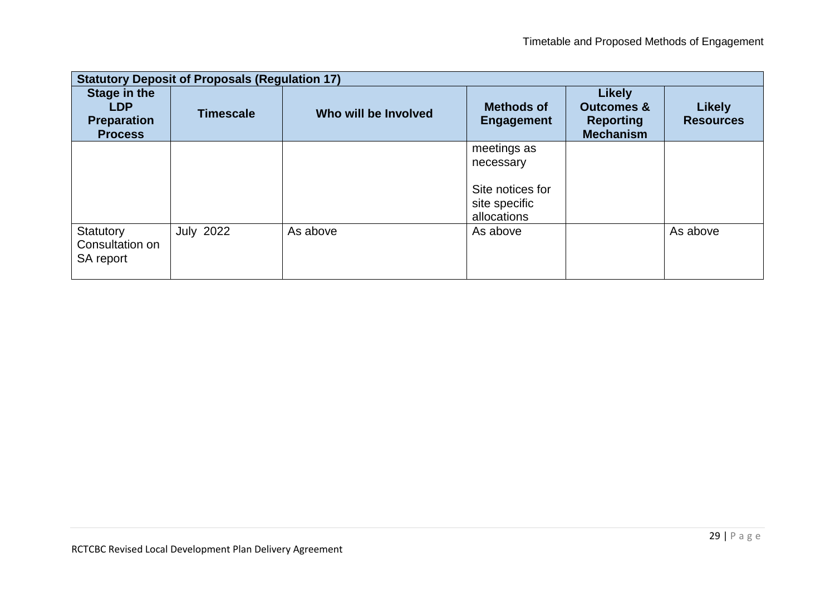| <b>Statutory Deposit of Proposals (Regulation 17)</b>              |                  |                      |                                        |                                                                                |                                   |  |  |  |
|--------------------------------------------------------------------|------------------|----------------------|----------------------------------------|--------------------------------------------------------------------------------|-----------------------------------|--|--|--|
| Stage in the<br><b>LDP</b><br><b>Preparation</b><br><b>Process</b> | <b>Timescale</b> | Who will be Involved | <b>Methods of</b><br><b>Engagement</b> | <b>Likely</b><br><b>Outcomes &amp;</b><br><b>Reporting</b><br><b>Mechanism</b> | <b>Likely</b><br><b>Resources</b> |  |  |  |
|                                                                    |                  |                      | meetings as                            |                                                                                |                                   |  |  |  |
|                                                                    |                  |                      | necessary                              |                                                                                |                                   |  |  |  |
|                                                                    |                  |                      | Site notices for                       |                                                                                |                                   |  |  |  |
|                                                                    |                  |                      | site specific                          |                                                                                |                                   |  |  |  |
|                                                                    |                  |                      | allocations                            |                                                                                |                                   |  |  |  |
| Statutory<br>Consultation on<br>SA report                          | <b>July 2022</b> | As above             | As above                               |                                                                                | As above                          |  |  |  |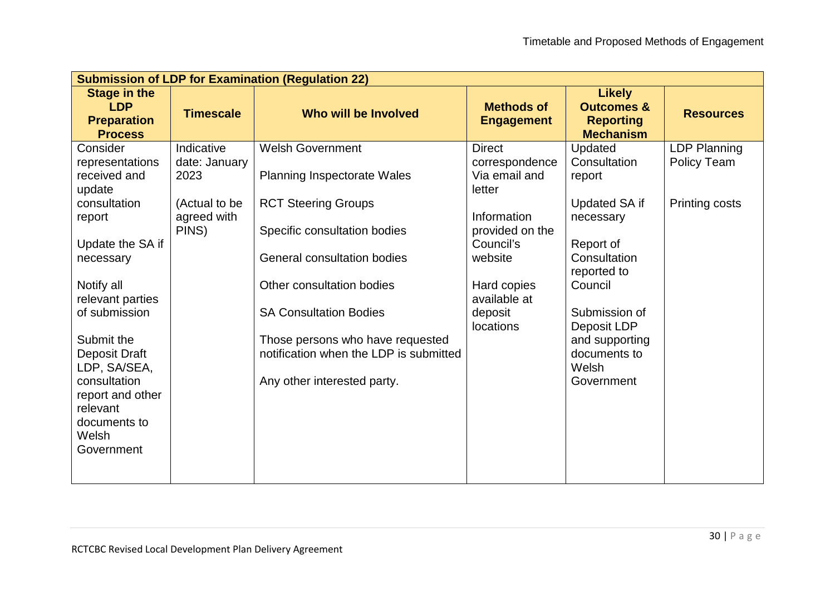| <b>Submission of LDP for Examination (Regulation 22)</b> |                                                                                                  |                                                            |                                                                                |                             |  |  |  |  |
|----------------------------------------------------------|--------------------------------------------------------------------------------------------------|------------------------------------------------------------|--------------------------------------------------------------------------------|-----------------------------|--|--|--|--|
| <b>Timescale</b>                                         | Who will be Involved                                                                             | <b>Methods of</b><br><b>Engagement</b>                     | <b>Likely</b><br><b>Outcomes &amp;</b><br><b>Reporting</b><br><b>Mechanism</b> | <b>Resources</b>            |  |  |  |  |
| Indicative<br>date: January<br>2023                      | <b>Welsh Government</b><br><b>Planning Inspectorate Wales</b>                                    | <b>Direct</b><br>correspondence<br>Via email and           | Updated<br>Consultation<br>report                                              | LDP Planning<br>Policy Team |  |  |  |  |
| (Actual to be<br>agreed with<br>PINS)                    | <b>RCT Steering Groups</b><br>Specific consultation bodies<br><b>General consultation bodies</b> | Information<br>provided on the<br>Council's<br>website     | <b>Updated SA if</b><br>necessary<br>Report of<br>Consultation                 | <b>Printing costs</b>       |  |  |  |  |
|                                                          | Other consultation bodies<br><b>SA Consultation Bodies</b>                                       | Hard copies<br>available at<br>deposit<br><b>locations</b> | reported to<br>Council<br>Submission of<br>Deposit LDP                         |                             |  |  |  |  |
|                                                          | notification when the LDP is submitted<br>Any other interested party.                            |                                                            | documents to<br>Welsh<br>Government                                            |                             |  |  |  |  |
|                                                          |                                                                                                  | Those persons who have requested                           | letter                                                                         | and supporting              |  |  |  |  |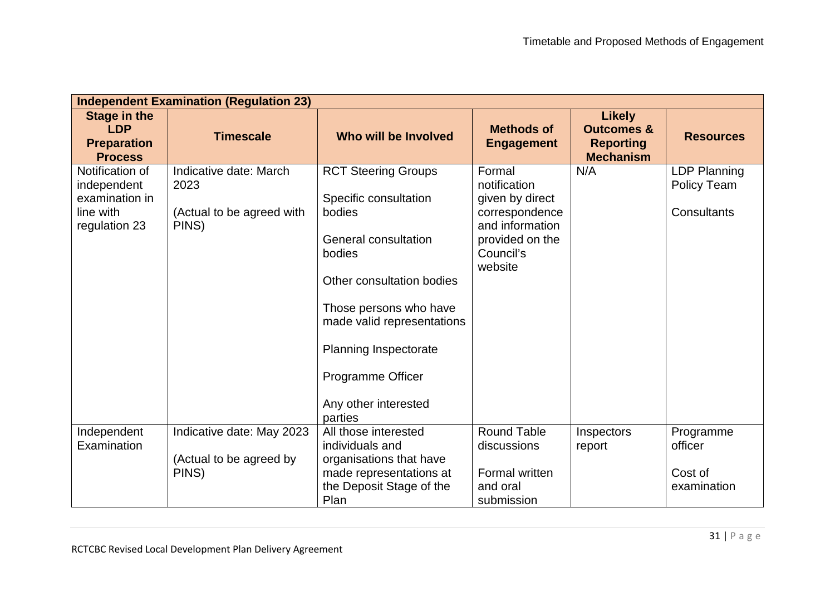| <b>Independent Examination (Regulation 23)</b>                                 |                                                                      |                                                                                                                                                                                                                                                            |                                                                                                                           |                                                                                |                                                   |  |  |  |
|--------------------------------------------------------------------------------|----------------------------------------------------------------------|------------------------------------------------------------------------------------------------------------------------------------------------------------------------------------------------------------------------------------------------------------|---------------------------------------------------------------------------------------------------------------------------|--------------------------------------------------------------------------------|---------------------------------------------------|--|--|--|
| <b>Stage in the</b><br><b>LDP</b><br><b>Preparation</b><br><b>Process</b>      | <b>Timescale</b>                                                     | Who will be Involved                                                                                                                                                                                                                                       | <b>Methods of</b><br><b>Engagement</b>                                                                                    | <b>Likely</b><br><b>Outcomes &amp;</b><br><b>Reporting</b><br><b>Mechanism</b> | <b>Resources</b>                                  |  |  |  |
| Notification of<br>independent<br>examination in<br>line with<br>regulation 23 | Indicative date: March<br>2023<br>(Actual to be agreed with<br>PINS) | <b>RCT Steering Groups</b><br>Specific consultation<br>bodies<br>General consultation<br>bodies<br>Other consultation bodies<br>Those persons who have<br>made valid representations<br>Planning Inspectorate<br>Programme Officer<br>Any other interested | Formal<br>notification<br>given by direct<br>correspondence<br>and information<br>provided on the<br>Council's<br>website | N/A                                                                            | <b>LDP Planning</b><br>Policy Team<br>Consultants |  |  |  |
| Independent<br>Examination                                                     | Indicative date: May 2023<br>(Actual to be agreed by<br>PINS)        | parties<br>All those interested<br>individuals and<br>organisations that have<br>made representations at<br>the Deposit Stage of the<br>Plan                                                                                                               | <b>Round Table</b><br>discussions<br>Formal written<br>and oral<br>submission                                             | Inspectors<br>report                                                           | Programme<br>officer<br>Cost of<br>examination    |  |  |  |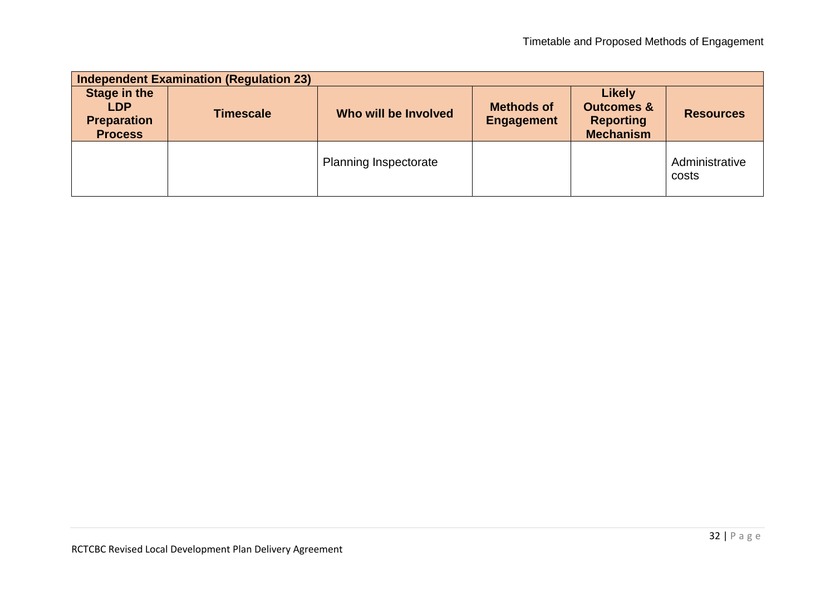| <b>Independent Examination (Regulation 23)</b>                            |                  |                              |                                        |                                                                                |                         |  |  |  |
|---------------------------------------------------------------------------|------------------|------------------------------|----------------------------------------|--------------------------------------------------------------------------------|-------------------------|--|--|--|
| <b>Stage in the</b><br><b>LDP</b><br><b>Preparation</b><br><b>Process</b> | <b>Timescale</b> | Who will be Involved         | <b>Methods of</b><br><b>Engagement</b> | <b>Likely</b><br><b>Outcomes &amp;</b><br><b>Reporting</b><br><b>Mechanism</b> | <b>Resources</b>        |  |  |  |
|                                                                           |                  | <b>Planning Inspectorate</b> |                                        |                                                                                | Administrative<br>costs |  |  |  |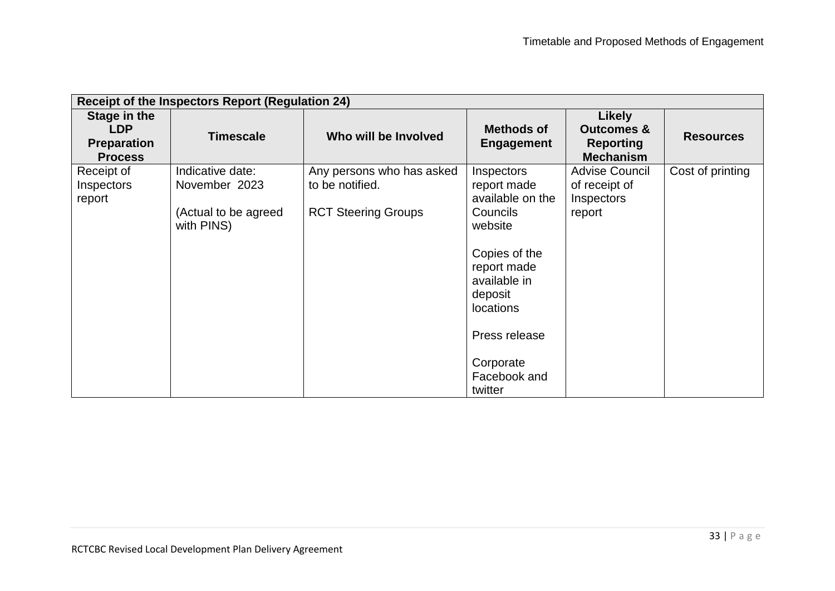| <b>Receipt of the Inspectors Report (Regulation 24)</b>            |                                                                         |                                                                            |                                                                                                                                                                                                                     |                                                                                |                  |  |  |  |
|--------------------------------------------------------------------|-------------------------------------------------------------------------|----------------------------------------------------------------------------|---------------------------------------------------------------------------------------------------------------------------------------------------------------------------------------------------------------------|--------------------------------------------------------------------------------|------------------|--|--|--|
| Stage in the<br><b>LDP</b><br><b>Preparation</b><br><b>Process</b> | <b>Timescale</b>                                                        | Who will be Involved                                                       | <b>Methods of</b><br><b>Engagement</b>                                                                                                                                                                              | <b>Likely</b><br><b>Outcomes &amp;</b><br><b>Reporting</b><br><b>Mechanism</b> | <b>Resources</b> |  |  |  |
| Receipt of<br>Inspectors<br>report                                 | Indicative date:<br>November 2023<br>(Actual to be agreed<br>with PINS) | Any persons who has asked<br>to be notified.<br><b>RCT Steering Groups</b> | Inspectors<br>report made<br>available on the<br><b>Councils</b><br>website<br>Copies of the<br>report made<br>available in<br>deposit<br><b>locations</b><br>Press release<br>Corporate<br>Facebook and<br>twitter | <b>Advise Council</b><br>of receipt of<br><b>Inspectors</b><br>report          | Cost of printing |  |  |  |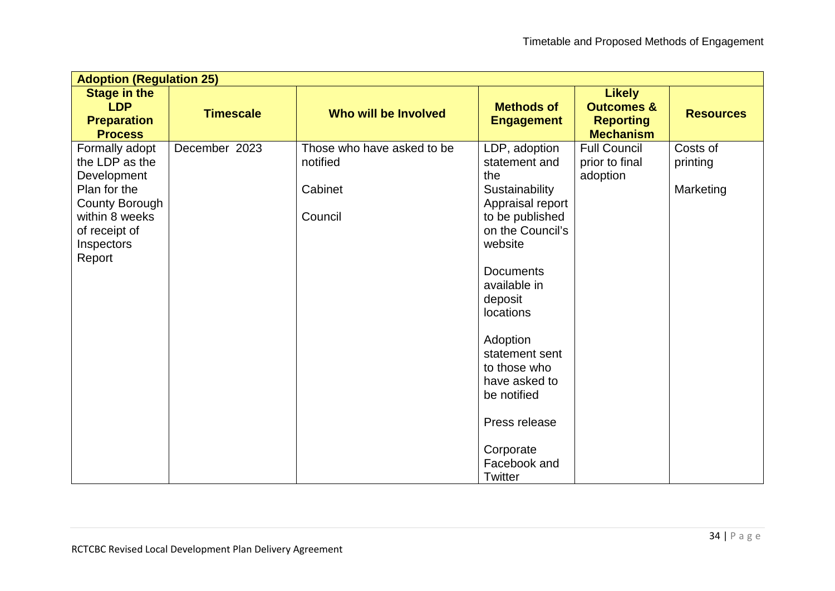| <b>Adoption (Regulation 25)</b>                                                           |                  |                                        |                                                                                                                                                                                                                                                                                         |                                                                                |                      |  |  |  |
|-------------------------------------------------------------------------------------------|------------------|----------------------------------------|-----------------------------------------------------------------------------------------------------------------------------------------------------------------------------------------------------------------------------------------------------------------------------------------|--------------------------------------------------------------------------------|----------------------|--|--|--|
| <b>Stage in the</b><br><b>LDP</b><br><b>Preparation</b><br><b>Process</b>                 | <b>Timescale</b> | Who will be Involved                   | <b>Methods of</b><br><b>Engagement</b>                                                                                                                                                                                                                                                  | <b>Likely</b><br><b>Outcomes &amp;</b><br><b>Reporting</b><br><b>Mechanism</b> | <b>Resources</b>     |  |  |  |
| Formally adopt<br>the LDP as the<br>Development                                           | December 2023    | Those who have asked to be<br>notified | LDP, adoption<br>statement and<br>the                                                                                                                                                                                                                                                   | <b>Full Council</b><br>prior to final<br>adoption                              | Costs of<br>printing |  |  |  |
| Plan for the<br>County Borough<br>within 8 weeks<br>of receipt of<br>Inspectors<br>Report |                  | Cabinet<br>Council                     | Sustainability<br>Appraisal report<br>to be published<br>on the Council's<br>website<br><b>Documents</b><br>available in<br>deposit<br>locations<br>Adoption<br>statement sent<br>to those who<br>have asked to<br>be notified<br>Press release<br>Corporate<br>Facebook and<br>Twitter |                                                                                | Marketing            |  |  |  |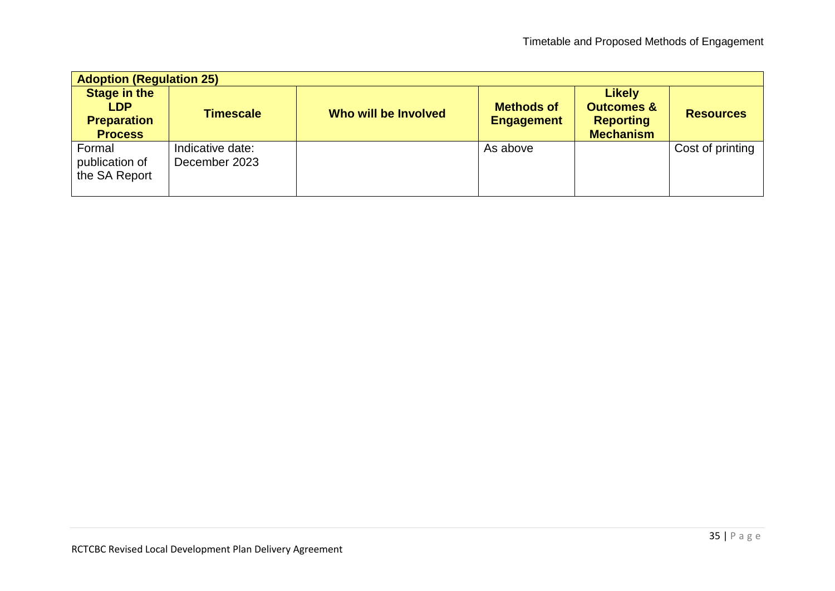| <b>Adoption (Regulation 25)</b>                                           |                                   |                      |                                        |                                                                                |                  |
|---------------------------------------------------------------------------|-----------------------------------|----------------------|----------------------------------------|--------------------------------------------------------------------------------|------------------|
| <b>Stage in the</b><br><b>LDP</b><br><b>Preparation</b><br><b>Process</b> | <b>Timescale</b>                  | Who will be Involved | <b>Methods of</b><br><b>Engagement</b> | <b>Likely</b><br><b>Outcomes &amp;</b><br><b>Reporting</b><br><b>Mechanism</b> | <b>Resources</b> |
| Formal<br>publication of<br>the SA Report                                 | Indicative date:<br>December 2023 |                      | As above                               |                                                                                | Cost of printing |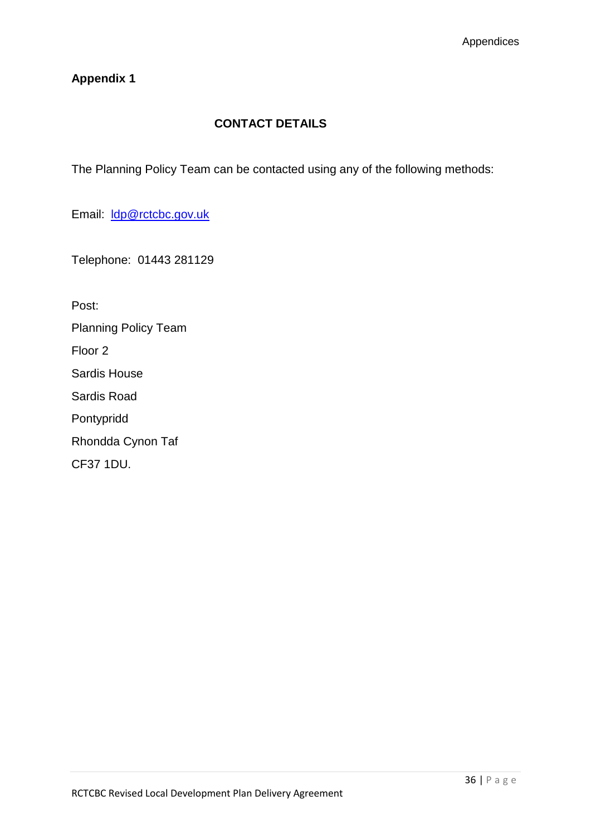## **Appendix 1**

# **CONTACT DETAILS**

The Planning Policy Team can be contacted using any of the following methods:

Email: [ldp@rctcbc.gov.uk](mailto:ldp@rctcbc.gov.uk)

Telephone: 01443 281129

Post:

Planning Policy Team

Floor 2

Sardis House

Sardis Road

Pontypridd

Rhondda Cynon Taf

CF37 1DU.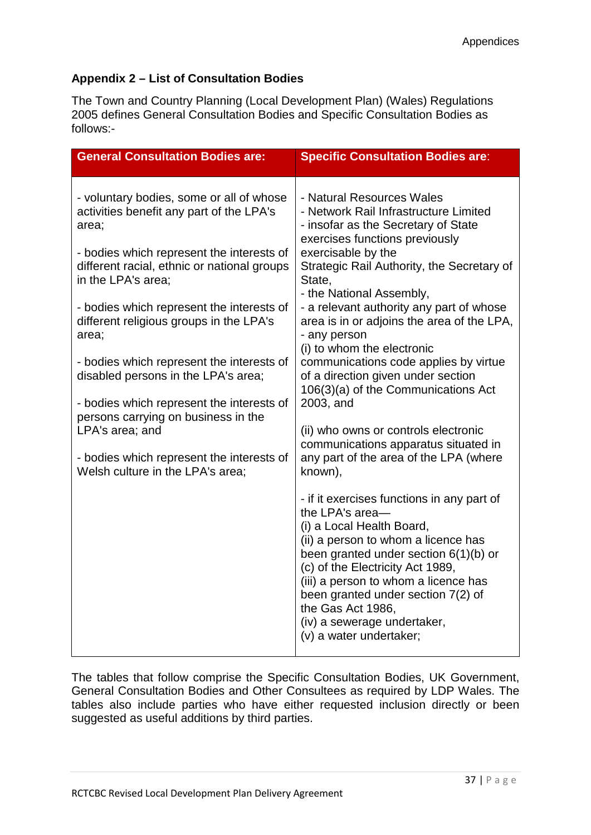### **Appendix 2 – List of Consultation Bodies**

The Town and Country Planning (Local Development Plan) (Wales) Regulations 2005 defines General Consultation Bodies and Specific Consultation Bodies as follows:-

| <b>General Consultation Bodies are:</b>                                                                                                                                                                                                                                                                                                                                                                                                                                                                                                                                                      | <b>Specific Consultation Bodies are:</b>                                                                                                                                                                                                                                                                                                                                                                                                                                                                                                                                                                                                                                                                                                                                                                   |
|----------------------------------------------------------------------------------------------------------------------------------------------------------------------------------------------------------------------------------------------------------------------------------------------------------------------------------------------------------------------------------------------------------------------------------------------------------------------------------------------------------------------------------------------------------------------------------------------|------------------------------------------------------------------------------------------------------------------------------------------------------------------------------------------------------------------------------------------------------------------------------------------------------------------------------------------------------------------------------------------------------------------------------------------------------------------------------------------------------------------------------------------------------------------------------------------------------------------------------------------------------------------------------------------------------------------------------------------------------------------------------------------------------------|
| - voluntary bodies, some or all of whose<br>activities benefit any part of the LPA's<br>area;<br>- bodies which represent the interests of<br>different racial, ethnic or national groups<br>in the LPA's area:<br>- bodies which represent the interests of<br>different religious groups in the LPA's<br>area;<br>- bodies which represent the interests of<br>disabled persons in the LPA's area;<br>- bodies which represent the interests of<br>persons carrying on business in the<br>LPA's area; and<br>- bodies which represent the interests of<br>Welsh culture in the LPA's area; | - Natural Resources Wales<br>- Network Rail Infrastructure Limited<br>- insofar as the Secretary of State<br>exercises functions previously<br>exercisable by the<br>Strategic Rail Authority, the Secretary of<br>State,<br>- the National Assembly,<br>- a relevant authority any part of whose<br>area is in or adjoins the area of the LPA,<br>- any person<br>(i) to whom the electronic<br>communications code applies by virtue<br>of a direction given under section<br>106(3)(a) of the Communications Act<br>2003, and<br>(ii) who owns or controls electronic<br>communications apparatus situated in<br>any part of the area of the LPA (where<br>known),<br>- if it exercises functions in any part of<br>the LPA's area-<br>(i) a Local Health Board,<br>(ii) a person to whom a licence has |
|                                                                                                                                                                                                                                                                                                                                                                                                                                                                                                                                                                                              | been granted under section $6(1)(b)$ or<br>(c) of the Electricity Act 1989,<br>(iii) a person to whom a licence has<br>been granted under section 7(2) of<br>the Gas Act 1986,<br>(iv) a sewerage undertaker,<br>(v) a water undertaker;                                                                                                                                                                                                                                                                                                                                                                                                                                                                                                                                                                   |

The tables that follow comprise the Specific Consultation Bodies, UK Government, General Consultation Bodies and Other Consultees as required by LDP Wales. The tables also include parties who have either requested inclusion directly or been suggested as useful additions by third parties.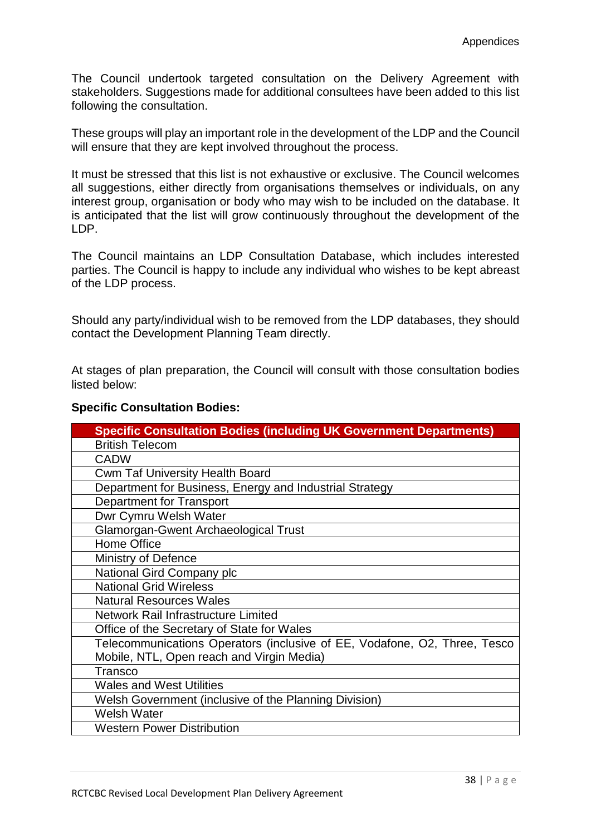The Council undertook targeted consultation on the Delivery Agreement with stakeholders. Suggestions made for additional consultees have been added to this list following the consultation.

These groups will play an important role in the development of the LDP and the Council will ensure that they are kept involved throughout the process.

It must be stressed that this list is not exhaustive or exclusive. The Council welcomes all suggestions, either directly from organisations themselves or individuals, on any interest group, organisation or body who may wish to be included on the database. It is anticipated that the list will grow continuously throughout the development of the LDP.

The Council maintains an LDP Consultation Database, which includes interested parties. The Council is happy to include any individual who wishes to be kept abreast of the LDP process.

Should any party/individual wish to be removed from the LDP databases, they should contact the Development Planning Team directly.

At stages of plan preparation, the Council will consult with those consultation bodies listed below:

#### **Specific Consultation Bodies:**

| <b>Specific Consultation Bodies (including UK Government Departments)</b> |
|---------------------------------------------------------------------------|
| <b>British Telecom</b>                                                    |
| <b>CADW</b>                                                               |
| <b>Cwm Taf University Health Board</b>                                    |
| Department for Business, Energy and Industrial Strategy                   |
| <b>Department for Transport</b>                                           |
| Dwr Cymru Welsh Water                                                     |
| <b>Glamorgan-Gwent Archaeological Trust</b>                               |
| <b>Home Office</b>                                                        |
| <b>Ministry of Defence</b>                                                |
| National Gird Company plc                                                 |
| <b>National Grid Wireless</b>                                             |
| <b>Natural Resources Wales</b>                                            |
| Network Rail Infrastructure Limited                                       |
| Office of the Secretary of State for Wales                                |
| Telecommunications Operators (inclusive of EE, Vodafone, O2, Three, Tesco |
| Mobile, NTL, Open reach and Virgin Media)                                 |
| <b>Transco</b>                                                            |
| <b>Wales and West Utilities</b>                                           |
| Welsh Government (inclusive of the Planning Division)                     |
| <b>Welsh Water</b>                                                        |
| <b>Western Power Distribution</b>                                         |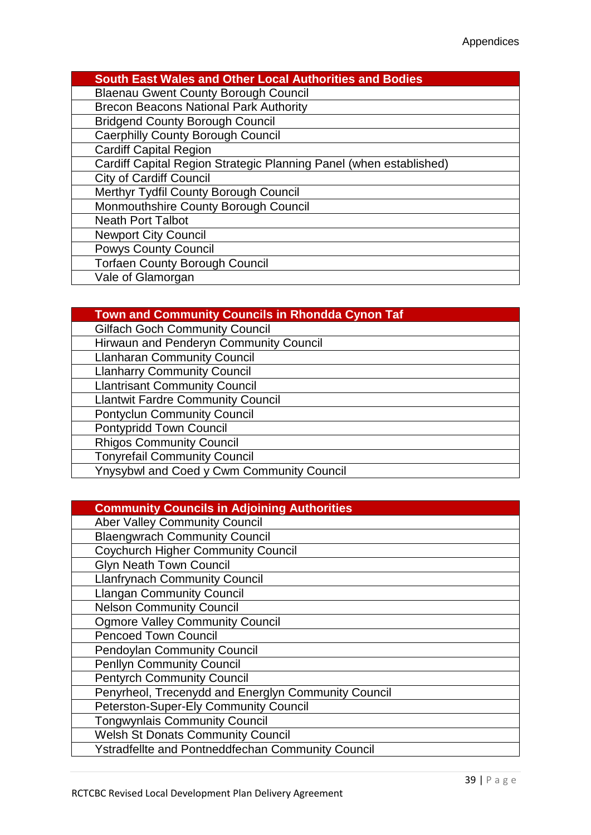| <b>South East Wales and Other Local Authorities and Bodies</b>     |
|--------------------------------------------------------------------|
| <b>Blaenau Gwent County Borough Council</b>                        |
| <b>Brecon Beacons National Park Authority</b>                      |
| <b>Bridgend County Borough Council</b>                             |
| <b>Caerphilly County Borough Council</b>                           |
| <b>Cardiff Capital Region</b>                                      |
| Cardiff Capital Region Strategic Planning Panel (when established) |
| <b>City of Cardiff Council</b>                                     |
| Merthyr Tydfil County Borough Council                              |
| Monmouthshire County Borough Council                               |
| <b>Neath Port Talbot</b>                                           |
| <b>Newport City Council</b>                                        |
| <b>Powys County Council</b>                                        |
| <b>Torfaen County Borough Council</b>                              |
| Vale of Glamorgan                                                  |

# **Town and Community Councils in Rhondda Cynon Taf**

| <b>Gilfach Goch Community Council</b>     |
|-------------------------------------------|
| Hirwaun and Penderyn Community Council    |
| <b>Llanharan Community Council</b>        |
| <b>Llanharry Community Council</b>        |
| <b>Llantrisant Community Council</b>      |
| <b>Llantwit Fardre Community Council</b>  |
| <b>Pontyclun Community Council</b>        |
| <b>Pontypridd Town Council</b>            |
| <b>Rhigos Community Council</b>           |
| <b>Tonyrefail Community Council</b>       |
| Ynysybwl and Coed y Cwm Community Council |

| <b>Community Councils in Adjoining Authorities</b>       |
|----------------------------------------------------------|
| <b>Aber Valley Community Council</b>                     |
| <b>Blaengwrach Community Council</b>                     |
| <b>Coychurch Higher Community Council</b>                |
| <b>Glyn Neath Town Council</b>                           |
| <b>Llanfrynach Community Council</b>                     |
| <b>Llangan Community Council</b>                         |
| <b>Nelson Community Council</b>                          |
| <b>Ogmore Valley Community Council</b>                   |
| <b>Pencoed Town Council</b>                              |
| <b>Pendoylan Community Council</b>                       |
| <b>Penllyn Community Council</b>                         |
| <b>Pentyrch Community Council</b>                        |
| Penyrheol, Trecenydd and Energlyn Community Council      |
| Peterston-Super-Ely Community Council                    |
| <b>Tongwynlais Community Council</b>                     |
| <b>Welsh St Donats Community Council</b>                 |
| <b>Ystradfellte and Pontneddfechan Community Council</b> |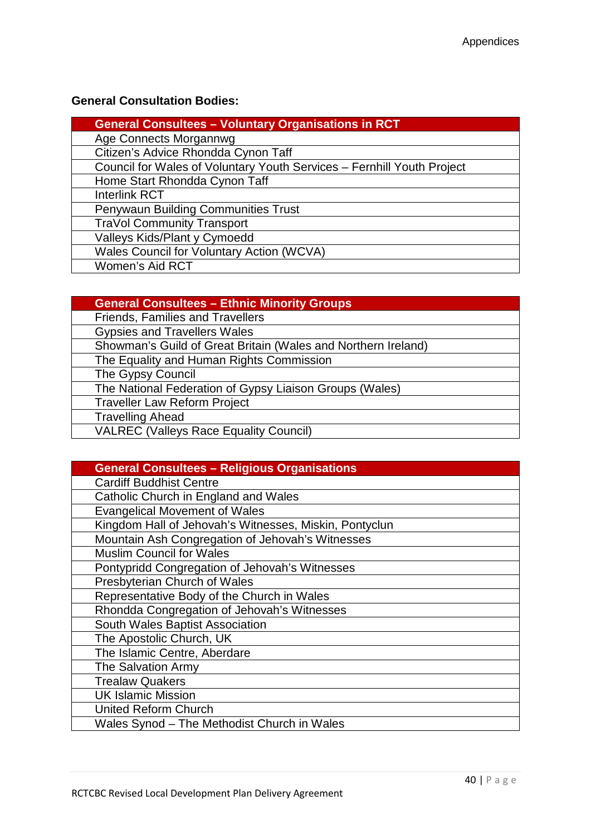## **General Consultation Bodies:**

| <b>General Consultees - Voluntary Organisations in RCT</b>             |
|------------------------------------------------------------------------|
| Age Connects Morgannwg                                                 |
| Citizen's Advice Rhondda Cynon Taff                                    |
| Council for Wales of Voluntary Youth Services - Fernhill Youth Project |
| Home Start Rhondda Cynon Taff                                          |
| <b>Interlink RCT</b>                                                   |
| <b>Penywaun Building Communities Trust</b>                             |
| <b>TraVol Community Transport</b>                                      |
| Valleys Kids/Plant y Cymoedd                                           |
| <b>Wales Council for Voluntary Action (WCVA)</b>                       |
| Women's Aid RCT                                                        |

| <b>General Consultees - Ethnic Minority Groups</b>            |
|---------------------------------------------------------------|
| Friends, Families and Travellers                              |
| <b>Gypsies and Travellers Wales</b>                           |
| Showman's Guild of Great Britain (Wales and Northern Ireland) |
| The Equality and Human Rights Commission                      |
| The Gypsy Council                                             |
| The National Federation of Gypsy Liaison Groups (Wales)       |
| <b>Traveller Law Reform Project</b>                           |
| <b>Travelling Ahead</b>                                       |
| <b>VALREC (Valleys Race Equality Council)</b>                 |

| <b>General Consultees - Religious Organisations</b>    |
|--------------------------------------------------------|
| <b>Cardiff Buddhist Centre</b>                         |
| Catholic Church in England and Wales                   |
| <b>Evangelical Movement of Wales</b>                   |
| Kingdom Hall of Jehovah's Witnesses, Miskin, Pontyclun |
| Mountain Ash Congregation of Jehovah's Witnesses       |
| <b>Muslim Council for Wales</b>                        |
| Pontypridd Congregation of Jehovah's Witnesses         |
| Presbyterian Church of Wales                           |
| Representative Body of the Church in Wales             |
| Rhondda Congregation of Jehovah's Witnesses            |
| South Wales Baptist Association                        |
| The Apostolic Church, UK                               |
| The Islamic Centre, Aberdare                           |
| The Salvation Army                                     |
| <b>Trealaw Quakers</b>                                 |
| <b>UK Islamic Mission</b>                              |
| <b>United Reform Church</b>                            |
| Wales Synod - The Methodist Church in Wales            |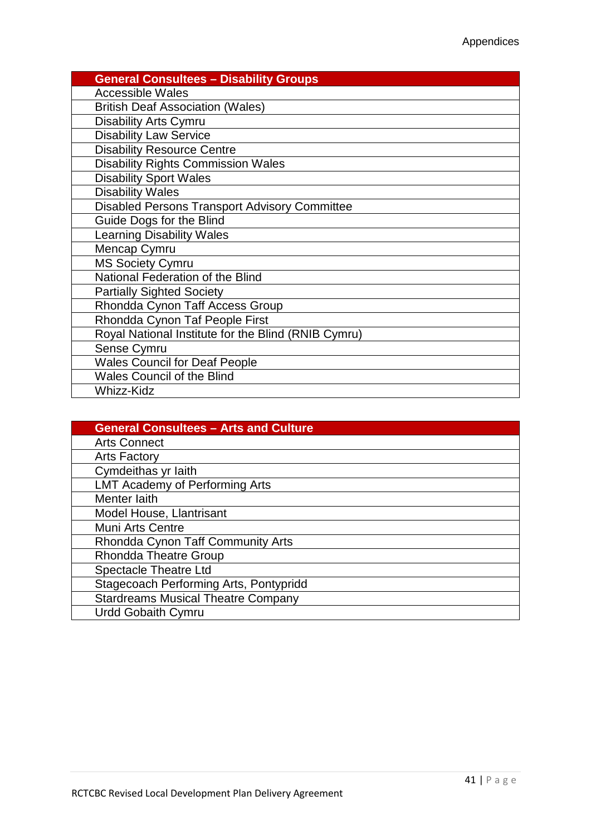| <b>General Consultees - Disability Groups</b>        |
|------------------------------------------------------|
| <b>Accessible Wales</b>                              |
| <b>British Deaf Association (Wales)</b>              |
| <b>Disability Arts Cymru</b>                         |
| <b>Disability Law Service</b>                        |
| <b>Disability Resource Centre</b>                    |
| <b>Disability Rights Commission Wales</b>            |
| <b>Disability Sport Wales</b>                        |
| <b>Disability Wales</b>                              |
| <b>Disabled Persons Transport Advisory Committee</b> |
| Guide Dogs for the Blind                             |
| <b>Learning Disability Wales</b>                     |
| Mencap Cymru                                         |
| <b>MS Society Cymru</b>                              |
| National Federation of the Blind                     |
| <b>Partially Sighted Society</b>                     |
| Rhondda Cynon Taff Access Group                      |
| Rhondda Cynon Taf People First                       |
| Royal National Institute for the Blind (RNIB Cymru)  |
| Sense Cymru                                          |
| <b>Wales Council for Deaf People</b>                 |
| <b>Wales Council of the Blind</b>                    |
| <b>Whizz-Kidz</b>                                    |

| <b>General Consultees - Arts and Culture</b> |
|----------------------------------------------|
| <b>Arts Connect</b>                          |
| <b>Arts Factory</b>                          |
| Cymdeithas yr Iaith                          |
| <b>LMT Academy of Performing Arts</b>        |
| Menter laith                                 |
| Model House, Llantrisant                     |
| <b>Muni Arts Centre</b>                      |
| Rhondda Cynon Taff Community Arts            |
| <b>Rhondda Theatre Group</b>                 |
| <b>Spectacle Theatre Ltd</b>                 |
| Stagecoach Performing Arts, Pontypridd       |
| <b>Stardreams Musical Theatre Company</b>    |
| <b>Urdd Gobaith Cymru</b>                    |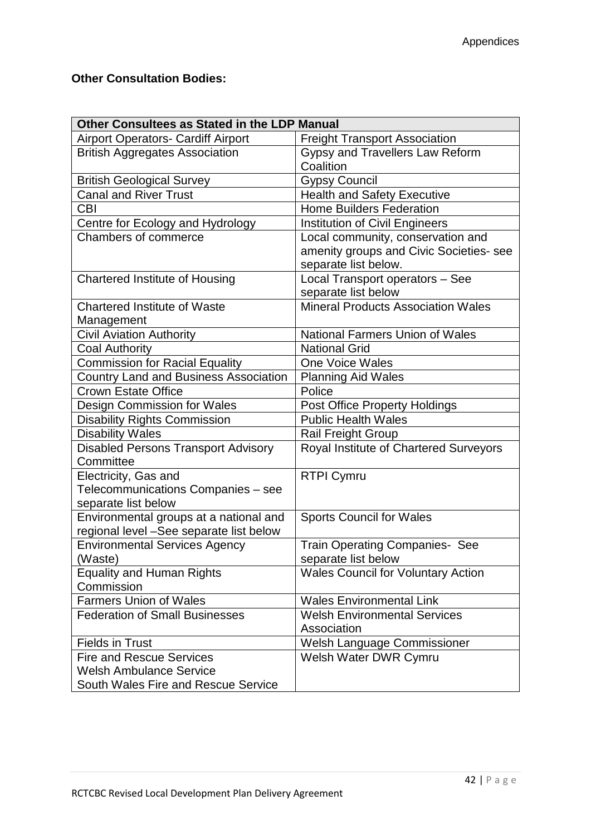# **Other Consultation Bodies:**

| Other Consultees as Stated in the LDP Manual |                                           |
|----------------------------------------------|-------------------------------------------|
| <b>Airport Operators- Cardiff Airport</b>    | <b>Freight Transport Association</b>      |
| <b>British Aggregates Association</b>        | Gypsy and Travellers Law Reform           |
|                                              | Coalition                                 |
| <b>British Geological Survey</b>             | <b>Gypsy Council</b>                      |
| <b>Canal and River Trust</b>                 | <b>Health and Safety Executive</b>        |
| <b>CBI</b>                                   | <b>Home Builders Federation</b>           |
| Centre for Ecology and Hydrology             | <b>Institution of Civil Engineers</b>     |
| Chambers of commerce                         | Local community, conservation and         |
|                                              | amenity groups and Civic Societies- see   |
|                                              | separate list below.                      |
| <b>Chartered Institute of Housing</b>        | Local Transport operators - See           |
|                                              | separate list below                       |
| <b>Chartered Institute of Waste</b>          | <b>Mineral Products Association Wales</b> |
| Management                                   |                                           |
| <b>Civil Aviation Authority</b>              | <b>National Farmers Union of Wales</b>    |
| <b>Coal Authority</b>                        | <b>National Grid</b>                      |
| <b>Commission for Racial Equality</b>        | <b>One Voice Wales</b>                    |
| <b>Country Land and Business Association</b> | <b>Planning Aid Wales</b>                 |
| <b>Crown Estate Office</b>                   | Police                                    |
| <b>Design Commission for Wales</b>           | <b>Post Office Property Holdings</b>      |
| <b>Disability Rights Commission</b>          | <b>Public Health Wales</b>                |
| <b>Disability Wales</b>                      | <b>Rail Freight Group</b>                 |
| <b>Disabled Persons Transport Advisory</b>   | Royal Institute of Chartered Surveyors    |
| Committee                                    |                                           |
| Electricity, Gas and                         | <b>RTPI Cymru</b>                         |
| Telecommunications Companies - see           |                                           |
| separate list below                          |                                           |
| Environmental groups at a national and       | <b>Sports Council for Wales</b>           |
| regional level -See separate list below      |                                           |
| <b>Environmental Services Agency</b>         | <b>Train Operating Companies- See</b>     |
| (Waste)                                      | separate list below                       |
| <b>Equality and Human Rights</b>             | <b>Wales Council for Voluntary Action</b> |
| Commission                                   |                                           |
| <b>Farmers Union of Wales</b>                | <b>Wales Environmental Link</b>           |
| <b>Federation of Small Businesses</b>        | <b>Welsh Environmental Services</b>       |
|                                              | Association                               |
| <b>Fields in Trust</b>                       | Welsh Language Commissioner               |
| <b>Fire and Rescue Services</b>              | Welsh Water DWR Cymru                     |
| <b>Welsh Ambulance Service</b>               |                                           |
| South Wales Fire and Rescue Service          |                                           |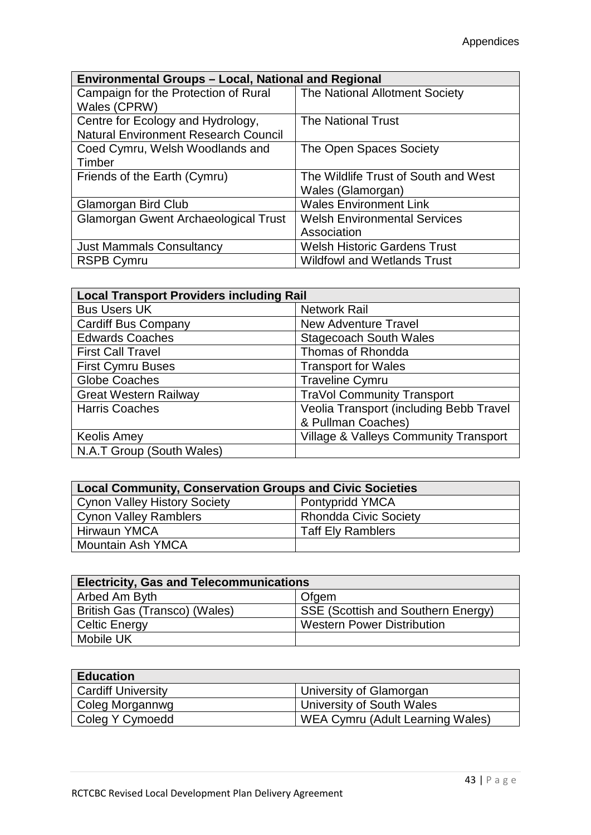| <b>Environmental Groups - Local, National and Regional</b> |                                      |
|------------------------------------------------------------|--------------------------------------|
| Campaign for the Protection of Rural                       | The National Allotment Society       |
| Wales (CPRW)                                               |                                      |
| Centre for Ecology and Hydrology,                          | <b>The National Trust</b>            |
| <b>Natural Environment Research Council</b>                |                                      |
| Coed Cymru, Welsh Woodlands and                            | The Open Spaces Society              |
| Timber                                                     |                                      |
| Friends of the Earth (Cymru)                               | The Wildlife Trust of South and West |
|                                                            | Wales (Glamorgan)                    |
| Glamorgan Bird Club                                        | <b>Wales Environment Link</b>        |
| <b>Glamorgan Gwent Archaeological Trust</b>                | <b>Welsh Environmental Services</b>  |
|                                                            | Association                          |
| <b>Just Mammals Consultancy</b>                            | <b>Welsh Historic Gardens Trust</b>  |
| <b>RSPB Cymru</b>                                          | <b>Wildfowl and Wetlands Trust</b>   |

| <b>Local Transport Providers including Rail</b> |                                                  |
|-------------------------------------------------|--------------------------------------------------|
| <b>Bus Users UK</b>                             | <b>Network Rail</b>                              |
| <b>Cardiff Bus Company</b>                      | <b>New Adventure Travel</b>                      |
| <b>Edwards Coaches</b>                          | <b>Stagecoach South Wales</b>                    |
| <b>First Call Travel</b>                        | Thomas of Rhondda                                |
| <b>First Cymru Buses</b>                        | <b>Transport for Wales</b>                       |
| Globe Coaches                                   | <b>Traveline Cymru</b>                           |
| <b>Great Western Railway</b>                    | <b>TraVol Community Transport</b>                |
| <b>Harris Coaches</b>                           | Veolia Transport (including Bebb Travel          |
|                                                 | & Pullman Coaches)                               |
| <b>Keolis Amey</b>                              | <b>Village &amp; Valleys Community Transport</b> |
| N.A.T Group (South Wales)                       |                                                  |

| <b>Local Community, Conservation Groups and Civic Societies</b> |                              |  |
|-----------------------------------------------------------------|------------------------------|--|
| <b>Cynon Valley History Society</b>                             | Pontypridd YMCA              |  |
| <b>Cynon Valley Ramblers</b>                                    | <b>Rhondda Civic Society</b> |  |
| Hirwaun YMCA                                                    | <b>Taff Ely Ramblers</b>     |  |
| Mountain Ash YMCA                                               |                              |  |

| <b>Electricity, Gas and Telecommunications</b> |                                    |
|------------------------------------------------|------------------------------------|
| Arbed Am Byth                                  | Ofgem                              |
| British Gas (Transco) (Wales)                  | SSE (Scottish and Southern Energy) |
| <b>Celtic Energy</b>                           | <b>Western Power Distribution</b>  |
| Mobile UK                                      |                                    |

| <b>Education</b>          |                                  |
|---------------------------|----------------------------------|
| <b>Cardiff University</b> | University of Glamorgan          |
| Coleg Morgannwg           | University of South Wales        |
| Coleg Y Cymoedd           | WEA Cymru (Adult Learning Wales) |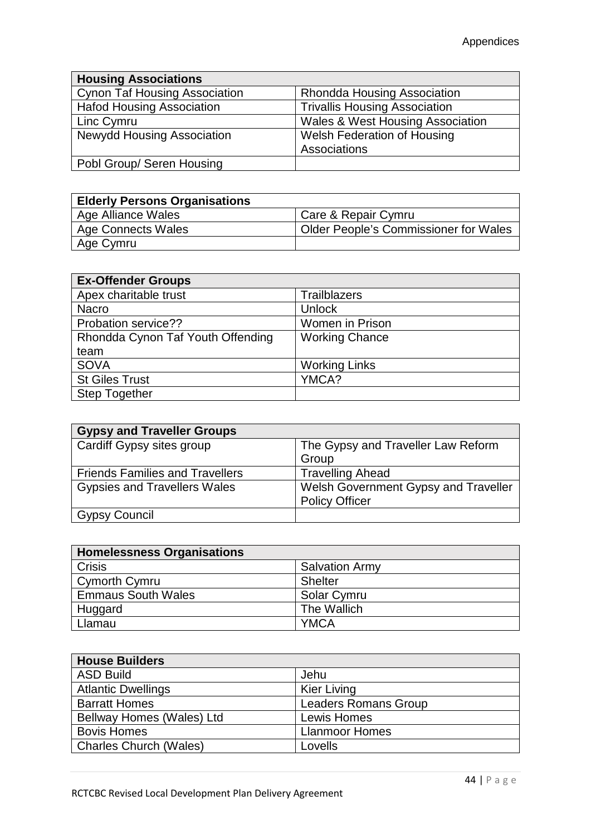| <b>Housing Associations</b>          |                                             |
|--------------------------------------|---------------------------------------------|
| <b>Cynon Taf Housing Association</b> | <b>Rhondda Housing Association</b>          |
| <b>Hafod Housing Association</b>     | <b>Trivallis Housing Association</b>        |
| Linc Cymru                           | <b>Wales &amp; West Housing Association</b> |
| <b>Newydd Housing Association</b>    | <b>Welsh Federation of Housing</b>          |
|                                      | Associations                                |
| Pobl Group/ Seren Housing            |                                             |

| <b>Elderly Persons Organisations</b> |                                              |
|--------------------------------------|----------------------------------------------|
| Age Alliance Wales                   | Care & Repair Cymru                          |
| <b>Age Connects Wales</b>            | <b>Older People's Commissioner for Wales</b> |
| Age Cymru                            |                                              |

| <b>Ex-Offender Groups</b>         |                        |
|-----------------------------------|------------------------|
| Apex charitable trust             | <b>Trailblazers</b>    |
| <b>Nacro</b>                      | Unlock                 |
| Probation service??               | <b>Women in Prison</b> |
| Rhondda Cynon Taf Youth Offending | <b>Working Chance</b>  |
| team                              |                        |
| <b>SOVA</b>                       | <b>Working Links</b>   |
| <b>St Giles Trust</b>             | YMCA?                  |
| <b>Step Together</b>              |                        |

| <b>Gypsy and Traveller Groups</b>      |                                      |
|----------------------------------------|--------------------------------------|
| Cardiff Gypsy sites group              | The Gypsy and Traveller Law Reform   |
|                                        | Group                                |
| <b>Friends Families and Travellers</b> | <b>Travelling Ahead</b>              |
| <b>Gypsies and Travellers Wales</b>    | Welsh Government Gypsy and Traveller |
|                                        | <b>Policy Officer</b>                |
| <b>Gypsy Council</b>                   |                                      |

| <b>Homelessness Organisations</b> |                       |
|-----------------------------------|-----------------------|
| <b>Crisis</b>                     | <b>Salvation Army</b> |
| Cymorth Cymru                     | <b>Shelter</b>        |
| <b>Emmaus South Wales</b>         | Solar Cymru           |
| Huggard                           | The Wallich           |
| Llamau                            | <b>YMCA</b>           |

| <b>House Builders</b>         |                             |
|-------------------------------|-----------------------------|
| <b>ASD Build</b>              | Jehu                        |
| <b>Atlantic Dwellings</b>     | <b>Kier Living</b>          |
| <b>Barratt Homes</b>          | <b>Leaders Romans Group</b> |
| Bellway Homes (Wales) Ltd     | Lewis Homes                 |
| <b>Bovis Homes</b>            | <b>Llanmoor Homes</b>       |
| <b>Charles Church (Wales)</b> | Lovells                     |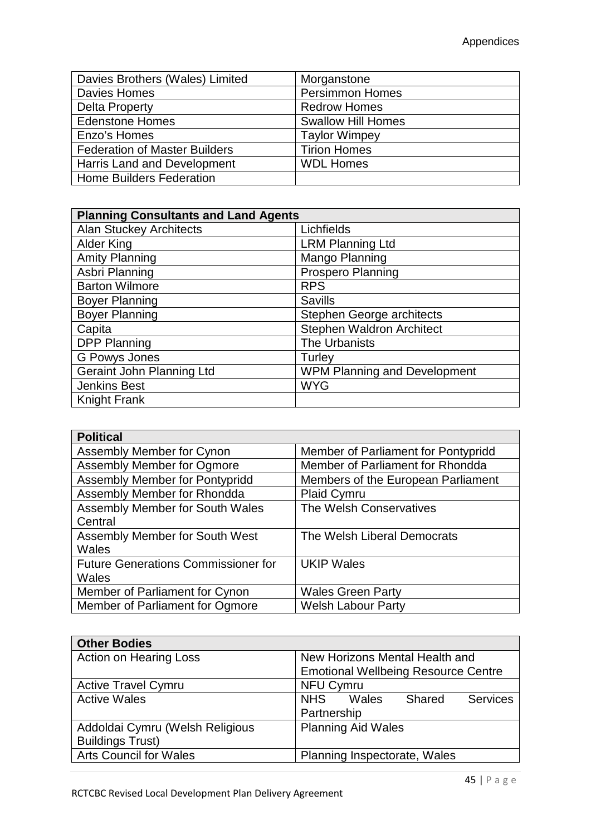| Davies Brothers (Wales) Limited      | Morganstone               |
|--------------------------------------|---------------------------|
| Davies Homes                         | <b>Persimmon Homes</b>    |
| Delta Property                       | <b>Redrow Homes</b>       |
| <b>Edenstone Homes</b>               | <b>Swallow Hill Homes</b> |
| Enzo's Homes                         | <b>Taylor Wimpey</b>      |
| <b>Federation of Master Builders</b> | <b>Tirion Homes</b>       |
| <b>Harris Land and Development</b>   | <b>WDL Homes</b>          |
| <b>Home Builders Federation</b>      |                           |

| <b>Planning Consultants and Land Agents</b> |                                     |  |
|---------------------------------------------|-------------------------------------|--|
| <b>Alan Stuckey Architects</b>              | Lichfields                          |  |
| Alder King                                  | <b>LRM Planning Ltd</b>             |  |
| <b>Amity Planning</b>                       | Mango Planning                      |  |
| Asbri Planning                              | <b>Prospero Planning</b>            |  |
| <b>Barton Wilmore</b>                       | <b>RPS</b>                          |  |
| <b>Boyer Planning</b>                       | <b>Savills</b>                      |  |
| <b>Boyer Planning</b>                       | <b>Stephen George architects</b>    |  |
| Capita                                      | <b>Stephen Waldron Architect</b>    |  |
| <b>DPP Planning</b>                         | The Urbanists                       |  |
| <b>G Powys Jones</b>                        | Turley                              |  |
| <b>Geraint John Planning Ltd</b>            | <b>WPM Planning and Development</b> |  |
| <b>Jenkins Best</b>                         | <b>WYG</b>                          |  |
| <b>Knight Frank</b>                         |                                     |  |

| <b>Political</b>                           |                                     |
|--------------------------------------------|-------------------------------------|
| Assembly Member for Cynon                  | Member of Parliament for Pontypridd |
| Assembly Member for Ogmore                 | Member of Parliament for Rhondda    |
| Assembly Member for Pontypridd             | Members of the European Parliament  |
| Assembly Member for Rhondda                | <b>Plaid Cymru</b>                  |
| <b>Assembly Member for South Wales</b>     | The Welsh Conservatives             |
| Central                                    |                                     |
| Assembly Member for South West             | The Welsh Liberal Democrats         |
| <b>Wales</b>                               |                                     |
| <b>Future Generations Commissioner for</b> | <b>UKIP Wales</b>                   |
| <b>Wales</b>                               |                                     |
| Member of Parliament for Cynon             | <b>Wales Green Party</b>            |
| Member of Parliament for Ogmore            | <b>Welsh Labour Party</b>           |

| <b>Other Bodies</b>             |                                            |  |  |
|---------------------------------|--------------------------------------------|--|--|
| <b>Action on Hearing Loss</b>   | New Horizons Mental Health and             |  |  |
|                                 | <b>Emotional Wellbeing Resource Centre</b> |  |  |
| <b>Active Travel Cymru</b>      | <b>NFU Cymru</b>                           |  |  |
| <b>Active Wales</b>             | Wales<br><b>NHS</b><br>Services<br>Shared  |  |  |
|                                 | Partnership                                |  |  |
| Addoldai Cymru (Welsh Religious | <b>Planning Aid Wales</b>                  |  |  |
| <b>Buildings Trust)</b>         |                                            |  |  |
| <b>Arts Council for Wales</b>   | Planning Inspectorate, Wales               |  |  |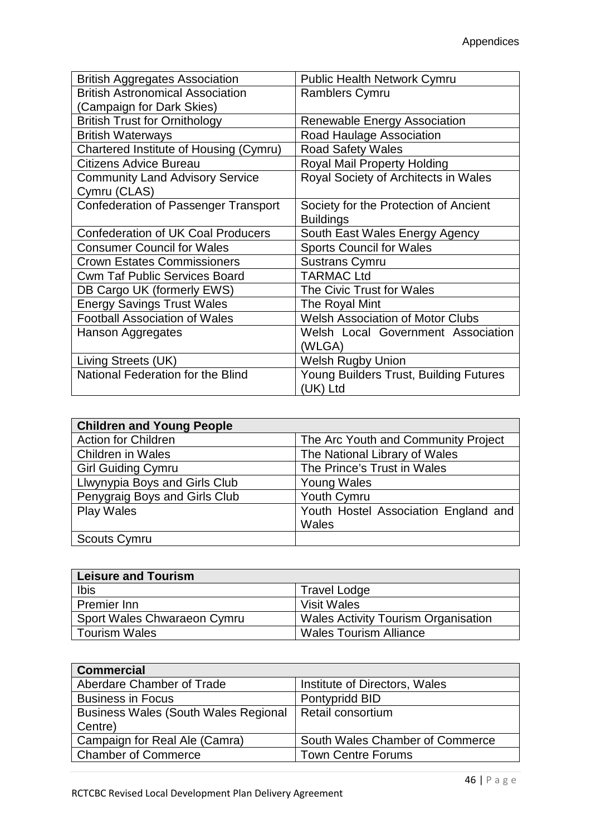| <b>British Aggregates Association</b>       | <b>Public Health Network Cymru</b>      |  |
|---------------------------------------------|-----------------------------------------|--|
| <b>British Astronomical Association</b>     | <b>Ramblers Cymru</b>                   |  |
| (Campaign for Dark Skies)                   |                                         |  |
| <b>British Trust for Ornithology</b>        | <b>Renewable Energy Association</b>     |  |
| <b>British Waterways</b>                    | Road Haulage Association                |  |
| Chartered Institute of Housing (Cymru)      | <b>Road Safety Wales</b>                |  |
| Citizens Advice Bureau                      | <b>Royal Mail Property Holding</b>      |  |
| <b>Community Land Advisory Service</b>      | Royal Society of Architects in Wales    |  |
| Cymru (CLAS)                                |                                         |  |
| <b>Confederation of Passenger Transport</b> | Society for the Protection of Ancient   |  |
|                                             | <b>Buildings</b>                        |  |
| <b>Confederation of UK Coal Producers</b>   | South East Wales Energy Agency          |  |
| <b>Consumer Council for Wales</b>           | <b>Sports Council for Wales</b>         |  |
| <b>Crown Estates Commissioners</b>          | <b>Sustrans Cymru</b>                   |  |
| <b>Cwm Taf Public Services Board</b>        | <b>TARMAC Ltd</b>                       |  |
| DB Cargo UK (formerly EWS)                  | The Civic Trust for Wales               |  |
| <b>Energy Savings Trust Wales</b>           | The Royal Mint                          |  |
| <b>Football Association of Wales</b>        | <b>Welsh Association of Motor Clubs</b> |  |
| Hanson Aggregates                           | Welsh Local Government Association      |  |
|                                             | (WLGA)                                  |  |
| Living Streets (UK)                         | <b>Welsh Rugby Union</b>                |  |
| National Federation for the Blind           | Young Builders Trust, Building Futures  |  |
|                                             | (UK) Ltd                                |  |

| <b>Children and Young People</b> |                                      |
|----------------------------------|--------------------------------------|
| <b>Action for Children</b>       | The Arc Youth and Community Project  |
| <b>Children in Wales</b>         | The National Library of Wales        |
| <b>Girl Guiding Cymru</b>        | The Prince's Trust in Wales          |
| Llwynypia Boys and Girls Club    | <b>Young Wales</b>                   |
| Penygraig Boys and Girls Club    | Youth Cymru                          |
| <b>Play Wales</b>                | Youth Hostel Association England and |
|                                  | Wales                                |
| Scouts Cymru                     |                                      |

| <b>Leisure and Tourism</b>  |                                            |
|-----------------------------|--------------------------------------------|
| Ibis                        | <b>Travel Lodge</b>                        |
| Premier Inn                 | <b>Visit Wales</b>                         |
| Sport Wales Chwaraeon Cymru | <b>Wales Activity Tourism Organisation</b> |
| <b>Tourism Wales</b>        | <b>Wales Tourism Alliance</b>              |

| <b>Commercial</b>                           |                                 |
|---------------------------------------------|---------------------------------|
| Aberdare Chamber of Trade                   | Institute of Directors, Wales   |
| <b>Business in Focus</b>                    | Pontypridd BID                  |
| <b>Business Wales (South Wales Regional</b> | Retail consortium               |
| Centre)                                     |                                 |
| Campaign for Real Ale (Camra)               | South Wales Chamber of Commerce |
| <b>Chamber of Commerce</b>                  | <b>Town Centre Forums</b>       |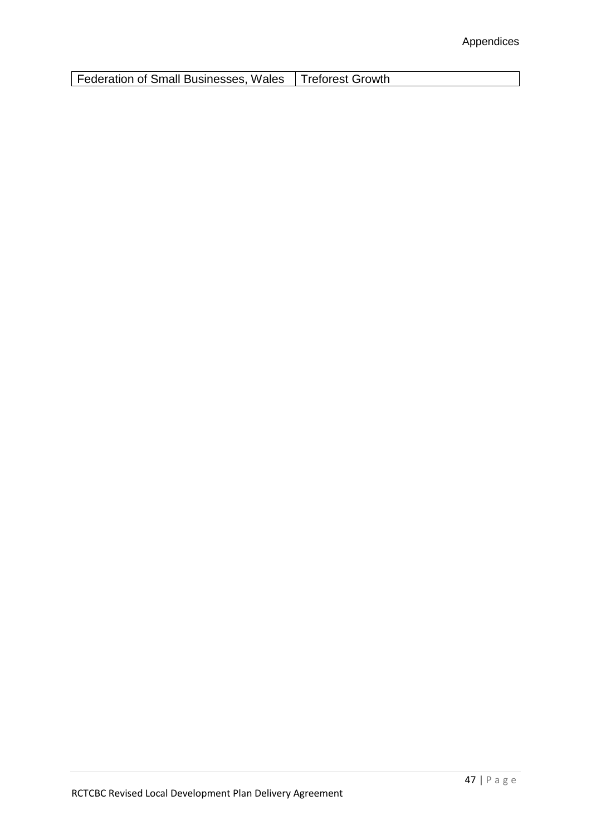**Federation of Small Businesses, Wales | Treforest Growth**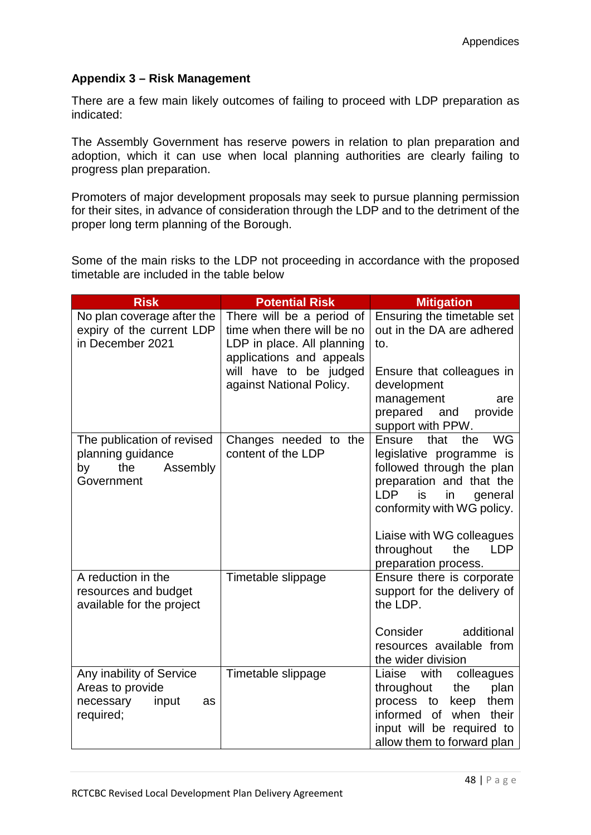### **Appendix 3 – Risk Management**

There are a few main likely outcomes of failing to proceed with LDP preparation as indicated:

The Assembly Government has reserve powers in relation to plan preparation and adoption, which it can use when local planning authorities are clearly failing to progress plan preparation.

Promoters of major development proposals may seek to pursue planning permission for their sites, in advance of consideration through the LDP and to the detriment of the proper long term planning of the Borough.

Some of the main risks to the LDP not proceeding in accordance with the proposed timetable are included in the table below

| <b>Risk</b>                                                                            | <b>Potential Risk</b>                                                                                             | <b>Mitigation</b>                                                                                                                                                                   |
|----------------------------------------------------------------------------------------|-------------------------------------------------------------------------------------------------------------------|-------------------------------------------------------------------------------------------------------------------------------------------------------------------------------------|
| No plan coverage after the<br>expiry of the current LDP<br>in December 2021            | There will be a period of<br>time when there will be no<br>LDP in place. All planning<br>applications and appeals | Ensuring the timetable set<br>out in the DA are adhered<br>to.                                                                                                                      |
|                                                                                        | will have to be judged<br>against National Policy.                                                                | Ensure that colleagues in<br>development<br>management<br>are<br>prepared<br>and<br>provide<br>support with PPW.                                                                    |
| The publication of revised<br>planning guidance<br>the<br>Assembly<br>by<br>Government | Changes needed to the<br>content of the LDP                                                                       | Ensure<br>that<br>the<br>WG<br>legislative programme is<br>followed through the plan<br>preparation and that the<br><b>LDP</b><br>is<br>in<br>general<br>conformity with WG policy. |
|                                                                                        |                                                                                                                   | Liaise with WG colleagues<br>throughout<br>the<br><b>LDP</b><br>preparation process.                                                                                                |
| A reduction in the<br>resources and budget<br>available for the project                | Timetable slippage                                                                                                | Ensure there is corporate<br>support for the delivery of<br>the LDP.                                                                                                                |
|                                                                                        |                                                                                                                   | Consider<br>additional<br>resources available from<br>the wider division                                                                                                            |
| Any inability of Service<br>Areas to provide<br>necessary<br>input<br>as<br>required;  | Timetable slippage                                                                                                | Liaise<br>with<br>colleagues<br>throughout<br>the<br>plan<br>process to<br>keep<br>them<br>informed of when<br>their<br>input will be required to<br>allow them to forward plan     |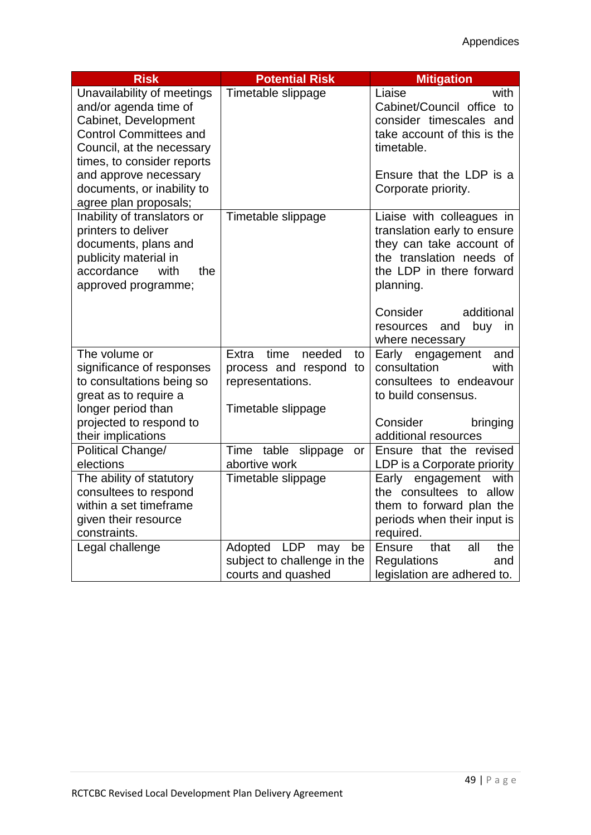| <b>Risk</b>                   | <b>Potential Risk</b>              | <b>Mitigation</b>                   |
|-------------------------------|------------------------------------|-------------------------------------|
| Unavailability of meetings    | Timetable slippage                 | Liaise<br>with                      |
| and/or agenda time of         |                                    | Cabinet/Council office to           |
| Cabinet, Development          |                                    | consider timescales and             |
| <b>Control Committees and</b> |                                    | take account of this is the         |
| Council, at the necessary     |                                    | timetable.                          |
| times, to consider reports    |                                    |                                     |
| and approve necessary         |                                    | Ensure that the LDP is a            |
| documents, or inability to    |                                    | Corporate priority.                 |
| agree plan proposals;         |                                    |                                     |
| Inability of translators or   | Timetable slippage                 | Liaise with colleagues in           |
| printers to deliver           |                                    | translation early to ensure         |
| documents, plans and          |                                    | they can take account of            |
| publicity material in         |                                    | the translation needs of            |
| accordance<br>with<br>the     |                                    | the LDP in there forward            |
| approved programme;           |                                    | planning.                           |
|                               |                                    | Consider<br>additional              |
|                               |                                    | buy<br>resources<br>and<br>in       |
|                               |                                    | where necessary                     |
| The volume or                 | needed<br>Extra<br>time<br>to      | Early engagement<br>and             |
| significance of responses     | process and respond to             | consultation<br>with                |
| to consultations being so     | representations.                   | consultees to endeavour             |
| great as to require a         |                                    | to build consensus.                 |
| longer period than            | Timetable slippage                 |                                     |
| projected to respond to       |                                    | Consider<br>bringing                |
| their implications            |                                    | additional resources                |
| Political Change/             | Time table slippage<br>or          | Ensure that the revised             |
| elections                     | abortive work                      | LDP is a Corporate priority         |
| The ability of statutory      | Timetable slippage                 | Early engagement<br>with            |
| consultees to respond         |                                    | the consultees to allow             |
| within a set timeframe        |                                    | them to forward plan the            |
| given their resource          |                                    | periods when their input is         |
| constraints.                  |                                    | required.                           |
| Legal challenge               | <b>LDP</b><br>Adopted<br>be<br>may | <b>Ensure</b><br>that<br>all<br>the |
|                               | subject to challenge in the        | <b>Regulations</b><br>and           |
|                               | courts and quashed                 | legislation are adhered to.         |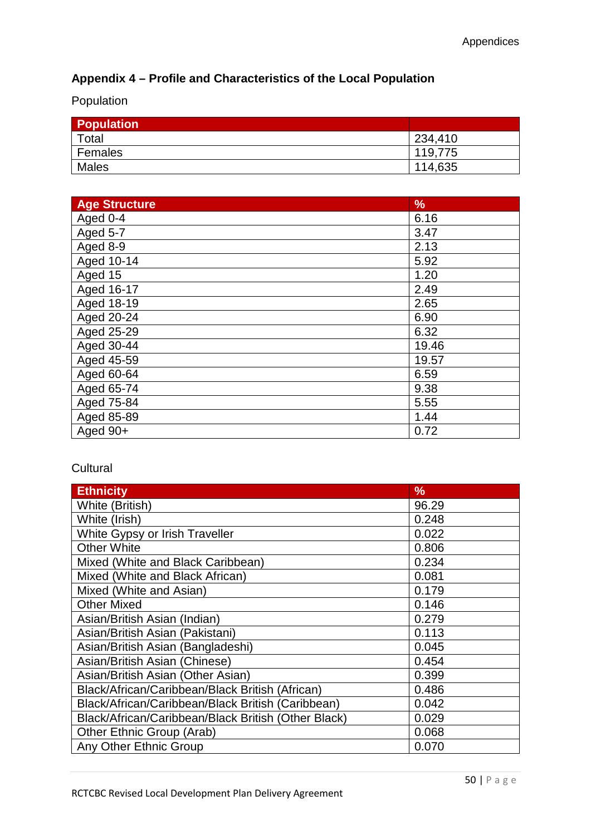# **Appendix 4 – Profile and Characteristics of the Local Population**

Population

| <b>Population</b> |         |
|-------------------|---------|
| Total             | 234,410 |
| Females           | 119,775 |
| <b>Males</b>      | 114,635 |

| <b>Age Structure</b> | %     |
|----------------------|-------|
| Aged 0-4             | 6.16  |
| Aged 5-7             | 3.47  |
| Aged 8-9             | 2.13  |
| Aged 10-14           | 5.92  |
| Aged 15              | 1.20  |
| Aged 16-17           | 2.49  |
| Aged 18-19           | 2.65  |
| Aged 20-24           | 6.90  |
| Aged 25-29           | 6.32  |
| Aged 30-44           | 19.46 |
| Aged 45-59           | 19.57 |
| Aged 60-64           | 6.59  |
| Aged 65-74           | 9.38  |
| Aged 75-84           | 5.55  |
| Aged 85-89           | 1.44  |
| Aged 90+             | 0.72  |

## **Cultural**

| <b>Ethnicity</b>                                    | %     |
|-----------------------------------------------------|-------|
| White (British)                                     | 96.29 |
| White (Irish)                                       | 0.248 |
| White Gypsy or Irish Traveller                      | 0.022 |
| <b>Other White</b>                                  | 0.806 |
| Mixed (White and Black Caribbean)                   | 0.234 |
| Mixed (White and Black African)                     | 0.081 |
| Mixed (White and Asian)                             | 0.179 |
| <b>Other Mixed</b>                                  | 0.146 |
| Asian/British Asian (Indian)                        | 0.279 |
| Asian/British Asian (Pakistani)                     | 0.113 |
| Asian/British Asian (Bangladeshi)                   | 0.045 |
| Asian/British Asian (Chinese)                       | 0.454 |
| Asian/British Asian (Other Asian)                   | 0.399 |
| Black/African/Caribbean/Black British (African)     | 0.486 |
| Black/African/Caribbean/Black British (Caribbean)   | 0.042 |
| Black/African/Caribbean/Black British (Other Black) | 0.029 |
| Other Ethnic Group (Arab)                           | 0.068 |
| Any Other Ethnic Group                              | 0.070 |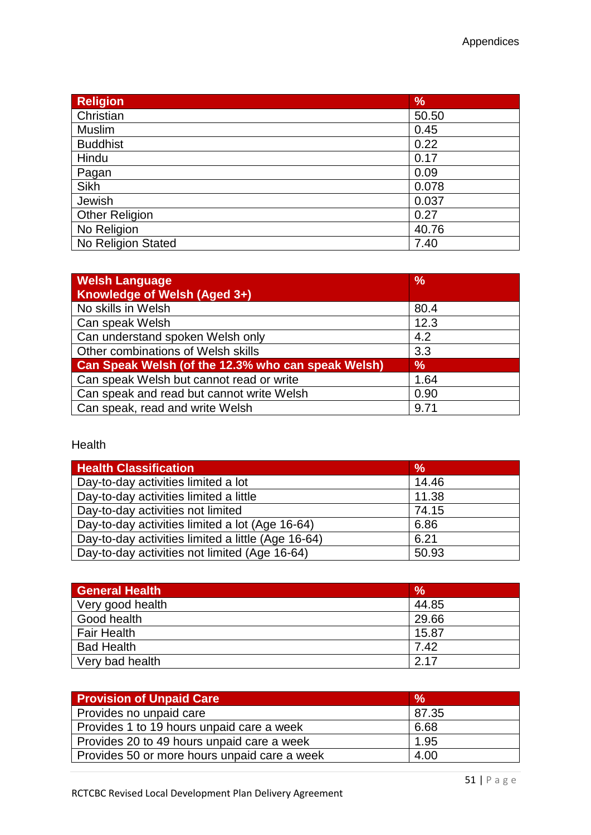| <b>Religion</b>       | $\frac{9}{6}$ |
|-----------------------|---------------|
| Christian             | 50.50         |
| Muslim                | 0.45          |
| <b>Buddhist</b>       | 0.22          |
| Hindu                 | 0.17          |
| Pagan                 | 0.09          |
| Sikh                  | 0.078         |
| Jewish                | 0.037         |
| <b>Other Religion</b> | 0.27          |
| No Religion           | 40.76         |
| No Religion Stated    | 7.40          |

| <b>Welsh Language</b><br>Knowledge of Welsh (Aged 3+) | $\frac{9}{6}$ |
|-------------------------------------------------------|---------------|
| No skills in Welsh                                    | 80.4          |
| Can speak Welsh                                       | 12.3          |
| Can understand spoken Welsh only                      | 4.2           |
| Other combinations of Welsh skills                    | 3.3           |
| Can Speak Welsh (of the 12.3% who can speak Welsh)    | $\frac{9}{6}$ |
| Can speak Welsh but cannot read or write              | 1.64          |
| Can speak and read but cannot write Welsh             | 0.90          |
| Can speak, read and write Welsh                       | 9.71          |

#### Health

| <b>Health Classification</b>                       | $\frac{0}{0}$ |
|----------------------------------------------------|---------------|
| Day-to-day activities limited a lot                | 14.46         |
| Day-to-day activities limited a little             | 11.38         |
| Day-to-day activities not limited                  | 74.15         |
| Day-to-day activities limited a lot (Age 16-64)    | 6.86          |
| Day-to-day activities limited a little (Age 16-64) | 6.21          |
| Day-to-day activities not limited (Age 16-64)      | 50.93         |

| <b>General Health</b> | $\frac{9}{6}$ |
|-----------------------|---------------|
| Very good health      | 44.85         |
| Good health           | 29.66         |
| <b>Fair Health</b>    | 15.87         |
| <b>Bad Health</b>     | 7.42          |
| Very bad health       | 2.17          |

| <b>Provision of Unpaid Care</b>              | $\frac{9}{6}$ |
|----------------------------------------------|---------------|
| Provides no unpaid care                      | 87.35         |
| Provides 1 to 19 hours unpaid care a week    | 6.68          |
| Provides 20 to 49 hours unpaid care a week   | 1.95          |
| Provides 50 or more hours unpaid care a week | 4.00          |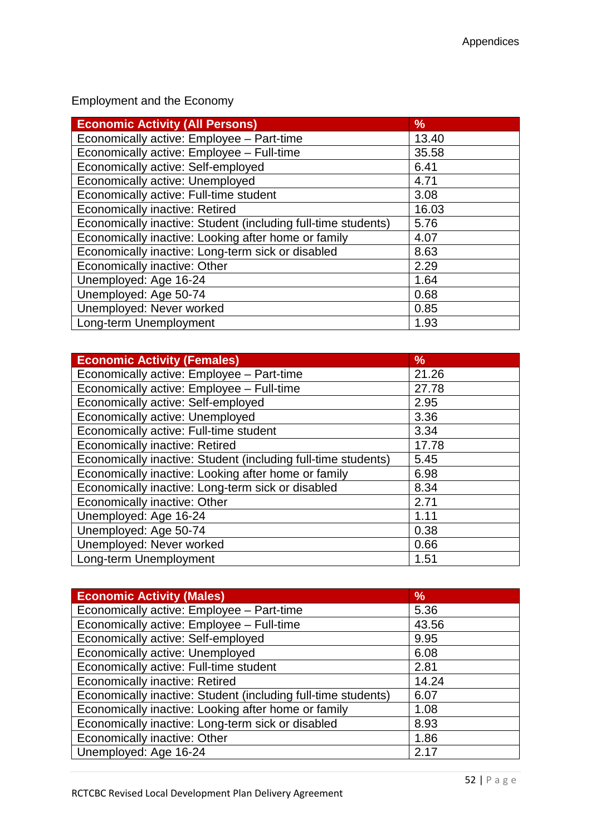Employment and the Economy

| <b>Economic Activity (All Persons)</b>                        | %     |
|---------------------------------------------------------------|-------|
| Economically active: Employee - Part-time                     | 13.40 |
| Economically active: Employee - Full-time                     | 35.58 |
| Economically active: Self-employed                            | 6.41  |
| Economically active: Unemployed                               | 4.71  |
| Economically active: Full-time student                        | 3.08  |
| <b>Economically inactive: Retired</b>                         | 16.03 |
| Economically inactive: Student (including full-time students) | 5.76  |
| Economically inactive: Looking after home or family           | 4.07  |
| Economically inactive: Long-term sick or disabled             | 8.63  |
| Economically inactive: Other                                  | 2.29  |
| Unemployed: Age 16-24                                         | 1.64  |
| Unemployed: Age 50-74                                         | 0.68  |
| Unemployed: Never worked                                      | 0.85  |
| Long-term Unemployment                                        | 1.93  |

| <b>Economic Activity (Females)</b>                            | $\frac{9}{6}$ |
|---------------------------------------------------------------|---------------|
| Economically active: Employee - Part-time                     | 21.26         |
| Economically active: Employee - Full-time                     | 27.78         |
| Economically active: Self-employed                            | 2.95          |
| Economically active: Unemployed                               | 3.36          |
| Economically active: Full-time student                        | 3.34          |
| <b>Economically inactive: Retired</b>                         | 17.78         |
| Economically inactive: Student (including full-time students) | 5.45          |
| Economically inactive: Looking after home or family           | 6.98          |
| Economically inactive: Long-term sick or disabled             | 8.34          |
| Economically inactive: Other                                  | 2.71          |
| Unemployed: Age 16-24                                         | 1.11          |
| Unemployed: Age 50-74                                         | 0.38          |
| Unemployed: Never worked                                      | 0.66          |
| Long-term Unemployment                                        | 1.51          |

| <b>Economic Activity (Males)</b>                              | $\frac{9}{6}$ |
|---------------------------------------------------------------|---------------|
| Economically active: Employee - Part-time                     | 5.36          |
| Economically active: Employee - Full-time                     | 43.56         |
| Economically active: Self-employed                            | 9.95          |
| Economically active: Unemployed                               | 6.08          |
| Economically active: Full-time student                        | 2.81          |
| <b>Economically inactive: Retired</b>                         | 14.24         |
| Economically inactive: Student (including full-time students) | 6.07          |
| Economically inactive: Looking after home or family           | 1.08          |
| Economically inactive: Long-term sick or disabled             | 8.93          |
| Economically inactive: Other                                  | 1.86          |
| Unemployed: Age 16-24                                         | 2.17          |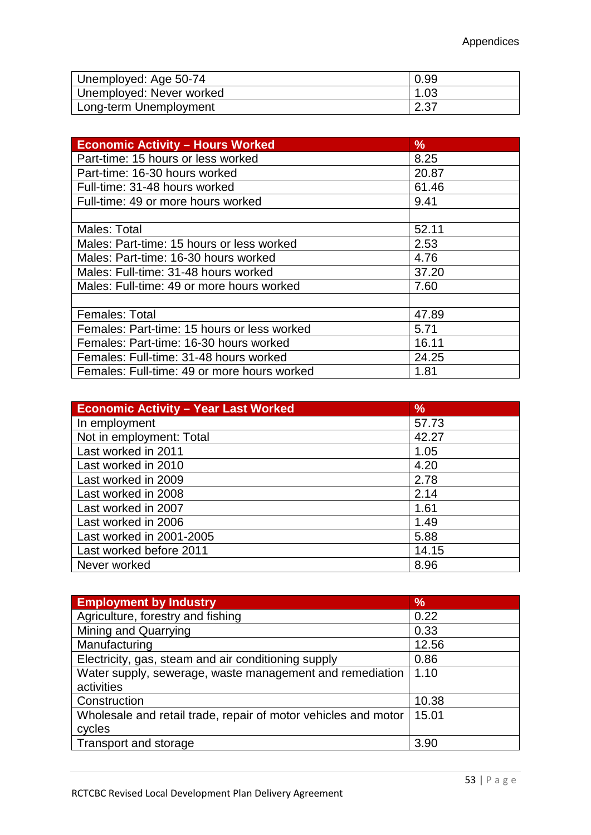| Unemployed: Age 50-74    | 0.99 |
|--------------------------|------|
| Unemployed: Never worked | 1.03 |
| Long-term Unemployment   | 2.37 |

| <b>Economic Activity - Hours Worked</b>     | $\%$  |
|---------------------------------------------|-------|
| Part-time: 15 hours or less worked          | 8.25  |
| Part-time: 16-30 hours worked               | 20.87 |
| Full-time: 31-48 hours worked               | 61.46 |
| Full-time: 49 or more hours worked          | 9.41  |
|                                             |       |
| Males: Total                                | 52.11 |
| Males: Part-time: 15 hours or less worked   | 2.53  |
| Males: Part-time: 16-30 hours worked        | 4.76  |
| Males: Full-time: 31-48 hours worked        | 37.20 |
| Males: Full-time: 49 or more hours worked   | 7.60  |
|                                             |       |
| Females: Total                              | 47.89 |
| Females: Part-time: 15 hours or less worked | 5.71  |
| Females: Part-time: 16-30 hours worked      | 16.11 |
| Females: Full-time: 31-48 hours worked      | 24.25 |
| Females: Full-time: 49 or more hours worked | 1.81  |

| <b>Economic Activity - Year Last Worked</b> | $\%$  |
|---------------------------------------------|-------|
| In employment                               | 57.73 |
| Not in employment: Total                    | 42.27 |
| Last worked in 2011                         | 1.05  |
| Last worked in 2010                         | 4.20  |
| Last worked in 2009                         | 2.78  |
| Last worked in 2008                         | 2.14  |
| Last worked in 2007                         | 1.61  |
| Last worked in 2006                         | 1.49  |
| Last worked in 2001-2005                    | 5.88  |
| Last worked before 2011                     | 14.15 |
| Never worked                                | 8.96  |

| <b>Employment by Industry</b>                                  | $\frac{9}{6}$ |
|----------------------------------------------------------------|---------------|
| Agriculture, forestry and fishing                              | 0.22          |
| Mining and Quarrying                                           | 0.33          |
| Manufacturing                                                  | 12.56         |
| Electricity, gas, steam and air conditioning supply            | 0.86          |
| Water supply, sewerage, waste management and remediation       | 1.10          |
| activities                                                     |               |
| Construction                                                   | 10.38         |
| Wholesale and retail trade, repair of motor vehicles and motor | 15.01         |
| cycles                                                         |               |
| Transport and storage                                          | 3.90          |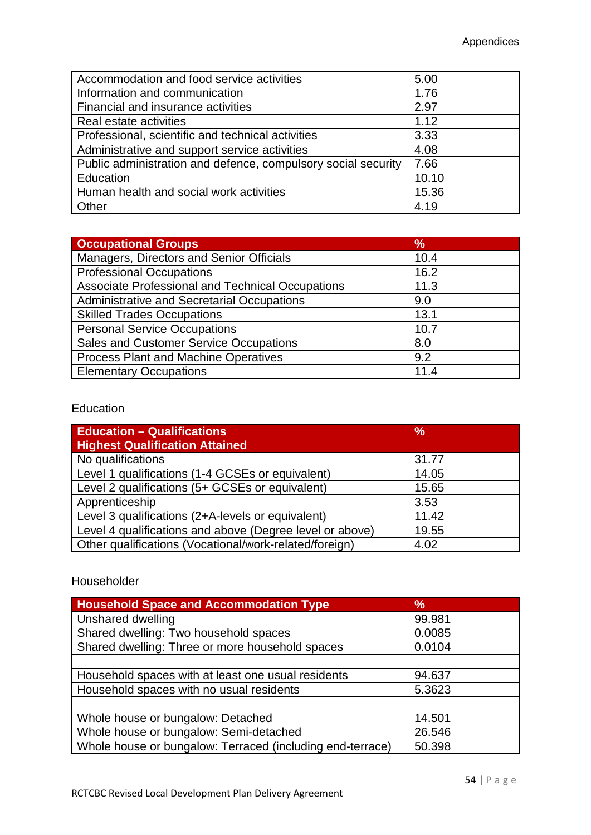| Accommodation and food service activities                     | 5.00  |
|---------------------------------------------------------------|-------|
| Information and communication                                 | 1.76  |
| Financial and insurance activities                            | 2.97  |
| Real estate activities                                        | 1.12  |
| Professional, scientific and technical activities             | 3.33  |
| Administrative and support service activities                 | 4.08  |
| Public administration and defence, compulsory social security | 7.66  |
| Education                                                     | 10.10 |
| Human health and social work activities                       | 15.36 |
| Other                                                         | 4.19  |

| <b>Occupational Groups</b>                        | $\frac{9}{6}$ |
|---------------------------------------------------|---------------|
| Managers, Directors and Senior Officials          | 10.4          |
| <b>Professional Occupations</b>                   | 16.2          |
| Associate Professional and Technical Occupations  | 11.3          |
| <b>Administrative and Secretarial Occupations</b> | 9.0           |
| <b>Skilled Trades Occupations</b>                 | 13.1          |
| <b>Personal Service Occupations</b>               | 10.7          |
| Sales and Customer Service Occupations            | 8.0           |
| Process Plant and Machine Operatives              | 9.2           |
| <b>Elementary Occupations</b>                     | 11.4          |

## Education

| <b>Education - Qualifications</b><br><b>Highest Qualification Attained</b> | $\frac{9}{6}$ |
|----------------------------------------------------------------------------|---------------|
| No qualifications                                                          | 31.77         |
| Level 1 qualifications (1-4 GCSEs or equivalent)                           | 14.05         |
| Level 2 qualifications (5+ GCSEs or equivalent)                            | 15.65         |
| Apprenticeship                                                             | 3.53          |
| Level 3 qualifications (2+A-levels or equivalent)                          | 11.42         |
| Level 4 qualifications and above (Degree level or above)                   | 19.55         |
| Other qualifications (Vocational/work-related/foreign)                     | 4.02          |

## Householder

| <b>Household Space and Accommodation Type</b>             | $\%$   |
|-----------------------------------------------------------|--------|
| Unshared dwelling                                         | 99.981 |
| Shared dwelling: Two household spaces                     | 0.0085 |
| Shared dwelling: Three or more household spaces           | 0.0104 |
|                                                           |        |
| Household spaces with at least one usual residents        | 94.637 |
| Household spaces with no usual residents                  | 5.3623 |
|                                                           |        |
| Whole house or bungalow: Detached                         | 14.501 |
| Whole house or bungalow: Semi-detached                    | 26.546 |
| Whole house or bungalow: Terraced (including end-terrace) | 50.398 |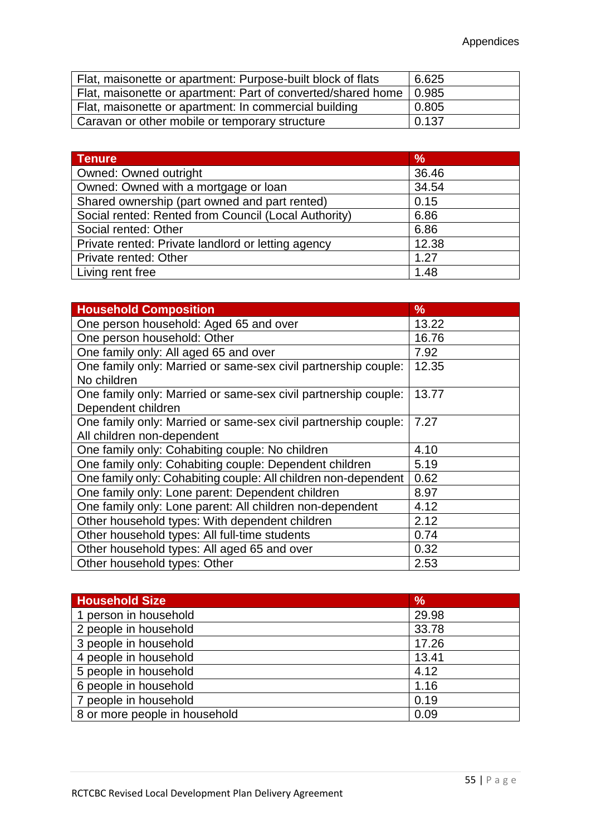| Flat, maisonette or apartment: Purpose-built block of flats          | 6.625 |
|----------------------------------------------------------------------|-------|
| Flat, maisonette or apartment: Part of converted/shared home   0.985 |       |
| Flat, maisonette or apartment: In commercial building                | 0.805 |
| Caravan or other mobile or temporary structure                       | 0.137 |

| <b>Tenure</b>                                        | $\frac{9}{6}$ |
|------------------------------------------------------|---------------|
| <b>Owned: Owned outright</b>                         | 36.46         |
| Owned: Owned with a mortgage or loan                 | 34.54         |
| Shared ownership (part owned and part rented)        | 0.15          |
| Social rented: Rented from Council (Local Authority) | 6.86          |
| Social rented: Other                                 | 6.86          |
| Private rented: Private landlord or letting agency   | 12.38         |
| Private rented: Other                                | 1.27          |
| Living rent free                                     | 1.48          |

| <b>Household Composition</b>                                                                 | $\%$  |
|----------------------------------------------------------------------------------------------|-------|
| One person household: Aged 65 and over                                                       | 13.22 |
| One person household: Other                                                                  | 16.76 |
| One family only: All aged 65 and over                                                        | 7.92  |
| One family only: Married or same-sex civil partnership couple:<br>No children                | 12.35 |
| One family only: Married or same-sex civil partnership couple:<br>Dependent children         | 13.77 |
| One family only: Married or same-sex civil partnership couple:<br>All children non-dependent | 7.27  |
| One family only: Cohabiting couple: No children                                              | 4.10  |
| One family only: Cohabiting couple: Dependent children                                       | 5.19  |
| One family only: Cohabiting couple: All children non-dependent                               | 0.62  |
| One family only: Lone parent: Dependent children                                             | 8.97  |
| One family only: Lone parent: All children non-dependent                                     | 4.12  |
| Other household types: With dependent children                                               | 2.12  |
| Other household types: All full-time students                                                | 0.74  |
| Other household types: All aged 65 and over                                                  | 0.32  |
| Other household types: Other                                                                 | 2.53  |

| <b>Household Size</b>         | $\frac{9}{6}$ |
|-------------------------------|---------------|
| 1 person in household         | 29.98         |
| 2 people in household         | 33.78         |
| 3 people in household         | 17.26         |
| 4 people in household         | 13.41         |
| 5 people in household         | 4.12          |
| 6 people in household         | 1.16          |
| 7 people in household         | 0.19          |
| 8 or more people in household | 0.09          |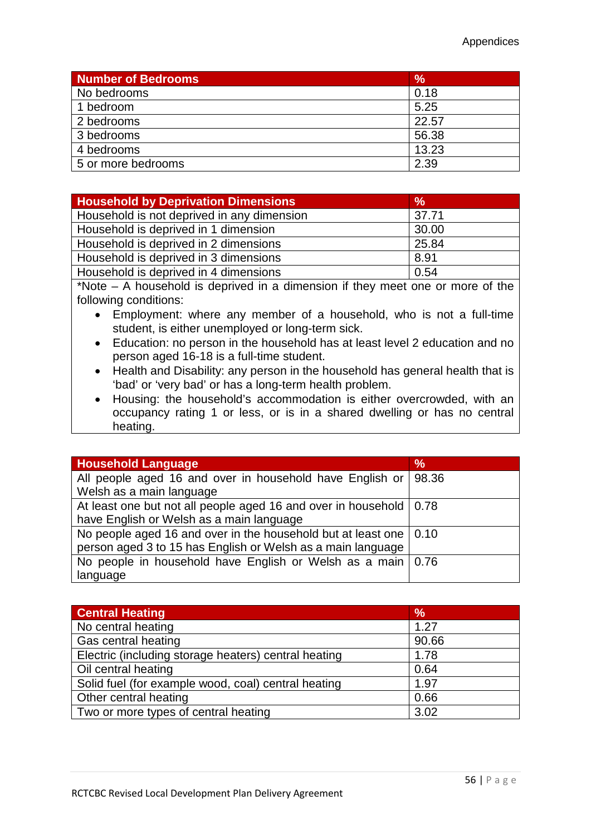| <b>Number of Bedrooms</b> | $\frac{9}{6}$ |
|---------------------------|---------------|
| No bedrooms               | 0.18          |
| 1 bedroom                 | 5.25          |
| 2 bedrooms                | 22.57         |
| 3 bedrooms                | 56.38         |
| 4 bedrooms                | 13.23         |
| 5 or more bedrooms        | 2.39          |

| <b>Household by Deprivation Dimensions</b> | $\frac{9}{6}$ |
|--------------------------------------------|---------------|
| Household is not deprived in any dimension | 37.71         |
| Household is deprived in 1 dimension       | 30.00         |
| Household is deprived in 2 dimensions      | 25.84         |
| Household is deprived in 3 dimensions      | 8.91          |
| Household is deprived in 4 dimensions      | 0.54          |

\*Note – A household is deprived in a dimension if they meet one or more of the following conditions:

- Employment: where any member of a household, who is not a full-time student, is either unemployed or long-term sick.
- Education: no person in the household has at least level 2 education and no person aged 16-18 is a full-time student.
- Health and Disability: any person in the household has general health that is 'bad' or 'very bad' or has a long-term health problem.
- Housing: the household's accommodation is either overcrowded, with an occupancy rating 1 or less, or is in a shared dwelling or has no central heating.

| <b>Household Language</b>                                                 | $\frac{9}{6}$ |
|---------------------------------------------------------------------------|---------------|
| All people aged 16 and over in household have English or                  | 98.36         |
| Welsh as a main language                                                  |               |
| At least one but not all people aged 16 and over in household   0.78      |               |
| have English or Welsh as a main language                                  |               |
| No people aged 16 and over in the household but at least one $\vert$ 0.10 |               |
| person aged 3 to 15 has English or Welsh as a main language               |               |
| No people in household have English or Welsh as a main   0.76             |               |
| language                                                                  |               |

| <b>Central Heating</b>                               | $\frac{9}{6}$ |
|------------------------------------------------------|---------------|
| No central heating                                   | 1.27          |
| Gas central heating                                  | 90.66         |
| Electric (including storage heaters) central heating | 1.78          |
| Oil central heating                                  | 0.64          |
| Solid fuel (for example wood, coal) central heating  | 1.97          |
| Other central heating                                | 0.66          |
| Two or more types of central heating                 | 3.02          |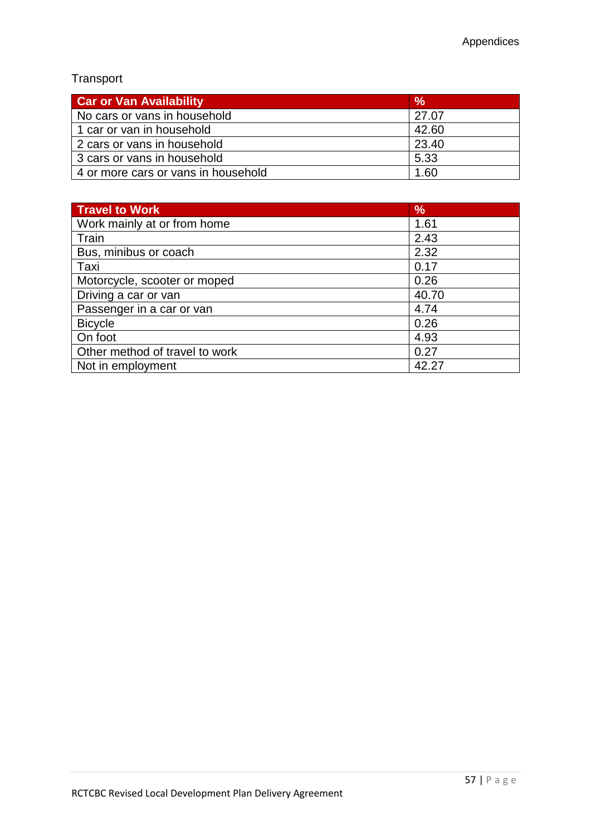# Transport

| <b>Car or Van Availability</b>      | $\%$  |
|-------------------------------------|-------|
| No cars or vans in household        | 27.07 |
| 1 car or van in household           | 42.60 |
| 2 cars or vans in household         | 23.40 |
| 3 cars or vans in household         | 5.33  |
| 4 or more cars or vans in household | 1.60  |

| <b>Travel to Work</b>          | $\%$  |
|--------------------------------|-------|
| Work mainly at or from home    | 1.61  |
| Train                          | 2.43  |
| Bus, minibus or coach          | 2.32  |
| Taxi                           | 0.17  |
| Motorcycle, scooter or moped   | 0.26  |
| Driving a car or van           | 40.70 |
| Passenger in a car or van      | 4.74  |
| <b>Bicycle</b>                 | 0.26  |
| On foot                        | 4.93  |
| Other method of travel to work | 0.27  |
| Not in employment              | 42.27 |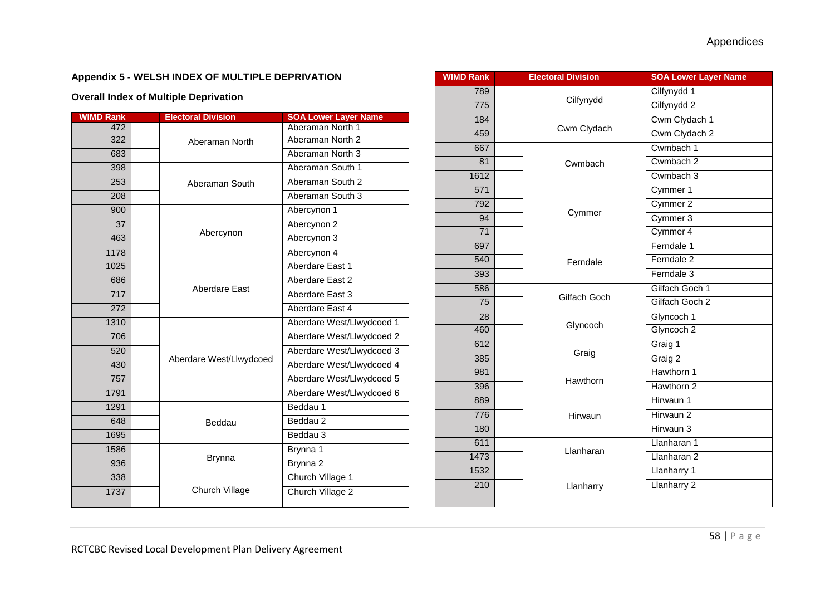#### **Appendix 5 - WELSH INDEX OF MULTIPLE DEPRIVATION**

#### **Overall Index of Multiple Deprivation**

| <b>WIMD Rank</b> |  | <b>Electoral Division</b> | <b>SOA Lower Layer Name</b> |
|------------------|--|---------------------------|-----------------------------|
| 472              |  | Aberaman North            | Aberaman North 1            |
| 322              |  |                           | Aberaman North 2            |
| 683              |  |                           | Aberaman North 3            |
| 398              |  | Aberaman South            | Aberaman South 1            |
| 253              |  |                           | Aberaman South 2            |
| 208              |  |                           | Aberaman South 3            |
| 900              |  | Abercynon                 | Abercynon 1                 |
| 37               |  |                           | Abercynon 2                 |
| 463              |  |                           | Abercynon 3                 |
| 1178             |  |                           | Abercynon 4                 |
| 1025             |  | Aberdare East             | Aberdare East 1             |
| 686              |  |                           | Aberdare East 2             |
| 717              |  |                           | Aberdare East 3             |
| 272              |  |                           | Aberdare East 4             |
| 1310             |  | Aberdare West/Llwydcoed   | Aberdare West/Llwydcoed 1   |
| 706              |  |                           | Aberdare West/Llwydcoed 2   |
| 520              |  |                           | Aberdare West/Llwydcoed 3   |
| 430              |  |                           | Aberdare West/Llwydcoed 4   |
| 757              |  |                           | Aberdare West/Llwydcoed 5   |
| 1791             |  |                           | Aberdare West/Llwydcoed 6   |
| 1291             |  | Beddau                    | Beddau 1                    |
| 648              |  |                           | Beddau 2                    |
| 1695             |  |                           | Beddau 3                    |
| 1586             |  | <b>Brynna</b>             | Brynna 1                    |
| 936              |  |                           | Brynna 2                    |
| 338              |  | Church Village            | Church Village 1            |
| 1737             |  |                           | Church Village 2            |

| <b>WIMD Rank</b> | <b>Electoral Division</b> | <b>SOA Lower Layer Name</b> |
|------------------|---------------------------|-----------------------------|
| 789              |                           | Cilfynydd 1                 |
| 775              | Cilfynydd                 | Cilfynydd 2                 |
| 184              |                           | Cwm Clydach 1               |
| 459              | Cwm Clydach               | Cwm Clydach 2               |
| 667              |                           | Cwmbach 1                   |
| 81               | Cwmbach                   | Cwmbach 2                   |
| 1612             |                           | Cwmbach 3                   |
| 571              |                           | Cymmer 1                    |
| 792              |                           | Cymmer 2                    |
| 94               | Cymmer                    | Cymmer 3                    |
| $\overline{71}$  |                           | Cymmer 4                    |
| 697              |                           | Ferndale 1                  |
| 540              | Ferndale                  | Ferndale <sub>2</sub>       |
| 393              |                           | Ferndale 3                  |
| 586              |                           | Gilfach Goch 1              |
| 75               | Gilfach Goch              | Gilfach Goch 2              |
| 28               |                           | Glyncoch 1                  |
| 460              | Glyncoch                  | Glyncoch 2                  |
| 612              |                           | Graig 1                     |
| 385              | Graig                     | Graig 2                     |
| 981              |                           | Hawthorn 1                  |
| 396              | Hawthorn                  | Hawthorn 2                  |
| 889              |                           | Hirwaun 1                   |
| 776              | Hirwaun                   | Hirwaun 2                   |
| 180              |                           | Hirwaun 3                   |
| 611              |                           | Llanharan 1                 |
| 1473             | Llanharan                 | Llanharan 2                 |
| 1532             |                           | Llanharry 1                 |
| 210              | Llanharry                 | Llanharry 2                 |
|                  |                           |                             |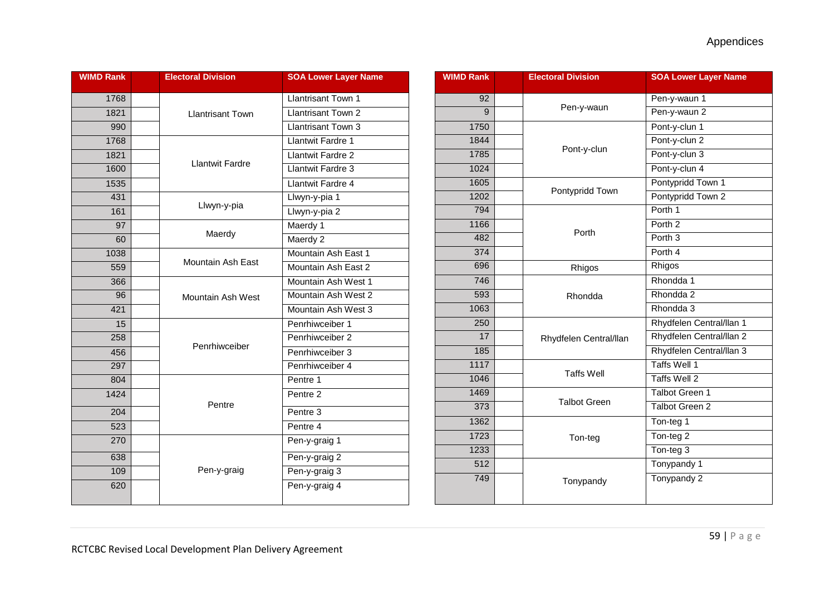| <b>WIMD Rank</b> | <b>Electoral Division</b> | <b>SOA Lower Layer Name</b> |
|------------------|---------------------------|-----------------------------|
| 1768             |                           | <b>Llantrisant Town 1</b>   |
| 1821             | <b>Llantrisant Town</b>   | <b>Llantrisant Town 2</b>   |
| 990              |                           | <b>Llantrisant Town 3</b>   |
| 1768             |                           | <b>Llantwit Fardre 1</b>    |
| 1821             |                           | <b>Llantwit Fardre 2</b>    |
| 1600             | <b>Llantwit Fardre</b>    | Llantwit Fardre 3           |
| 1535             |                           | <b>Llantwit Fardre 4</b>    |
| 431              |                           | Llwyn-y-pia 1               |
| 161              | Llwyn-y-pia               | Llwyn-y-pia 2               |
| 97               |                           | Maerdy <sub>1</sub>         |
| 60               | Maerdy                    | Maerdy 2                    |
| 1038             |                           | Mountain Ash East 1         |
| 559              | Mountain Ash East         | Mountain Ash East 2         |
| 366              |                           | Mountain Ash West 1         |
| 96               | Mountain Ash West         | Mountain Ash West 2         |
| 421              |                           | Mountain Ash West 3         |
| 15               |                           | Penrhiwceiber 1             |
| 258              | Penrhiwceiber             | Penrhiwceiber 2             |
| 456              |                           | Penrhiwceiber 3             |
| 297              |                           | Penrhiwceiber 4             |
| 804              |                           | Pentre 1                    |
| 1424             | Pentre                    | Pentre 2                    |
| 204              |                           | Pentre 3                    |
| 523              |                           | Pentre 4                    |
| 270              |                           | Pen-y-graig 1               |
| 638              |                           | Pen-y-graig 2               |
| 109              | Pen-y-graig               | Pen-y-graig 3               |
| 620              |                           | Pen-y-graig 4               |

| <b>WIMD Rank</b> |  | <b>Electoral Division</b> | <b>SOA Lower Layer Name</b> |
|------------------|--|---------------------------|-----------------------------|
| 92               |  |                           | Pen-y-waun 1                |
| 9                |  | Pen-y-waun                | Pen-y-waun 2                |
| 1750             |  |                           | Pont-y-clun 1               |
| 1844             |  |                           | Pont-y-clun 2               |
| 1785             |  | Pont-y-clun               | Pont-y-clun 3               |
| 1024             |  |                           | Pont-y-clun 4               |
| 1605             |  |                           | Pontypridd Town 1           |
| 1202             |  | Pontypridd Town           | Pontypridd Town 2           |
| 794              |  |                           | Porth 1                     |
| 1166             |  | Porth                     | Porth <sub>2</sub>          |
| 482              |  |                           | Porth <sub>3</sub>          |
| 374              |  |                           | Porth 4                     |
| 696              |  | Rhigos                    | Rhigos                      |
| 746              |  |                           | Rhondda 1                   |
| 593              |  | Rhondda                   | Rhondda 2                   |
| 1063             |  |                           | Rhondda 3                   |
| 250              |  | Rhydfelen Central/llan    | Rhydfelen Central/llan 1    |
| 17               |  |                           | Rhydfelen Central/llan 2    |
| 185              |  |                           | Rhydfelen Central/llan 3    |
| 1117             |  |                           | <b>Taffs Well 1</b>         |
| 1046             |  | <b>Taffs Well</b>         | Taffs Well 2                |
| 1469             |  |                           | <b>Talbot Green 1</b>       |
| 373              |  | <b>Talbot Green</b>       | <b>Talbot Green 2</b>       |
| 1362             |  |                           | Ton-teg 1                   |
| 1723             |  | Ton-teg                   | Ton-teg 2                   |
| 1233             |  |                           | Ton-teg 3                   |
| $\overline{512}$ |  |                           | Tonypandy 1                 |
| 749              |  | Tonypandy                 | Tonypandy 2                 |
|                  |  |                           |                             |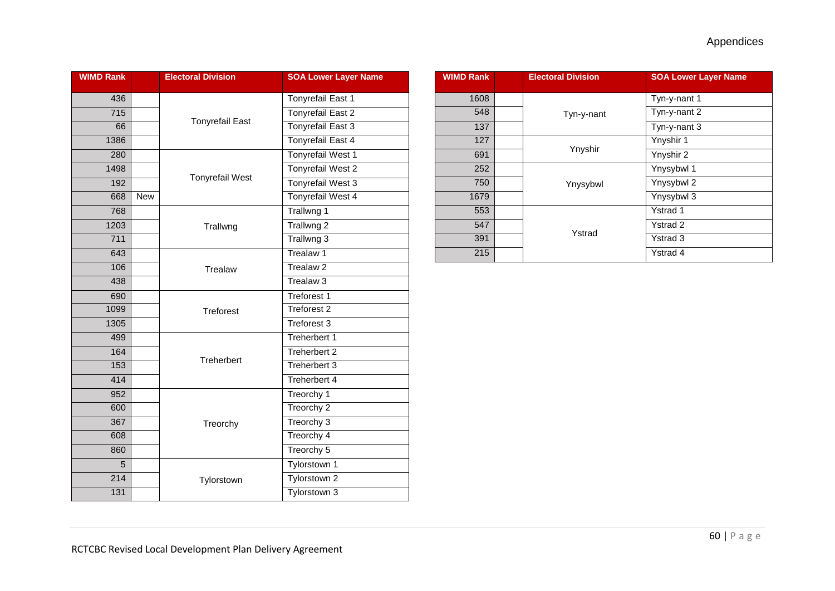| <b>WIMD Rank</b> |            | <b>Electoral Division</b>                          | <b>SOA Lower Layer Name</b> |
|------------------|------------|----------------------------------------------------|-----------------------------|
| 436              |            |                                                    | <b>Tonyrefail East 1</b>    |
| $\overline{715}$ |            | <b>Tonyrefail East</b>                             | <b>Tonyrefail East 2</b>    |
| 66               |            |                                                    | <b>Tonyrefail East 3</b>    |
| 1386             |            |                                                    | <b>Tonyrefail East 4</b>    |
| 280              |            |                                                    | <b>Tonyrefail West 1</b>    |
| 1498             |            |                                                    | <b>Tonyrefail West 2</b>    |
| 192              |            | <b>Tonyrefail West</b>                             | Tonyrefail West 3           |
| 668              | <b>New</b> |                                                    | <b>Tonyrefail West 4</b>    |
| 768              |            |                                                    | Trallwng 1                  |
| 1203             |            | Trallwng                                           | Trallwng 2                  |
| 711              |            |                                                    | Trallwng 3                  |
| 643              |            |                                                    | Trealaw 1                   |
| 106              |            | Trealaw                                            | Trealaw <sub>2</sub>        |
| 438              |            |                                                    | Trealaw <sub>3</sub>        |
| 690              |            |                                                    | <b>Treforest 1</b>          |
| 1099             |            | <b>Treforest</b>                                   | <b>Treforest 2</b>          |
| 1305             |            |                                                    | Treforest 3                 |
| 499              |            | Treherbert                                         | Treherbert 1                |
| 164              |            |                                                    | Treherbert 2                |
| 153              |            |                                                    | Treherbert 3                |
| 414              |            |                                                    | <b>Treherbert 4</b>         |
| 952              |            |                                                    | Treorchy 1                  |
| 600              |            |                                                    | Treorchy <sub>2</sub>       |
| 367              |            | Treorchy 3<br>Treorchy<br>Treorchy 4<br>Treorchy 5 |                             |
| 608              |            |                                                    |                             |
| 860              |            |                                                    |                             |
| $\overline{5}$   |            |                                                    | Tylorstown 1                |
| 214              |            | Tylorstown 2<br>Tylorstown<br>Tylorstown 3         |                             |
| 131              |            |                                                    |                             |

| <b>WIMD Rank</b> |  | <b>Electoral Division</b> | <b>SOA Lower Layer Name</b> |
|------------------|--|---------------------------|-----------------------------|
| 1608             |  |                           | Tyn-y-nant 1                |
| 548              |  | Tyn-y-nant                | Tyn-y-nant 2                |
| 137              |  |                           | Tyn-y-nant 3                |
| 127              |  |                           | Ynyshir 1                   |
| 691              |  | Ynyshir                   | Ynyshir 2                   |
| 252              |  |                           | Ynysybwl 1                  |
| 750              |  | Ynysybwl                  | Ynysybwl 2                  |
| 1679             |  |                           | Ynysybwl 3                  |
| 553              |  |                           | Ystrad 1                    |
| 547              |  | Ystrad                    | <b>Ystrad 2</b>             |
| 391              |  |                           | <b>Ystrad 3</b>             |
| 215              |  |                           | Ystrad 4                    |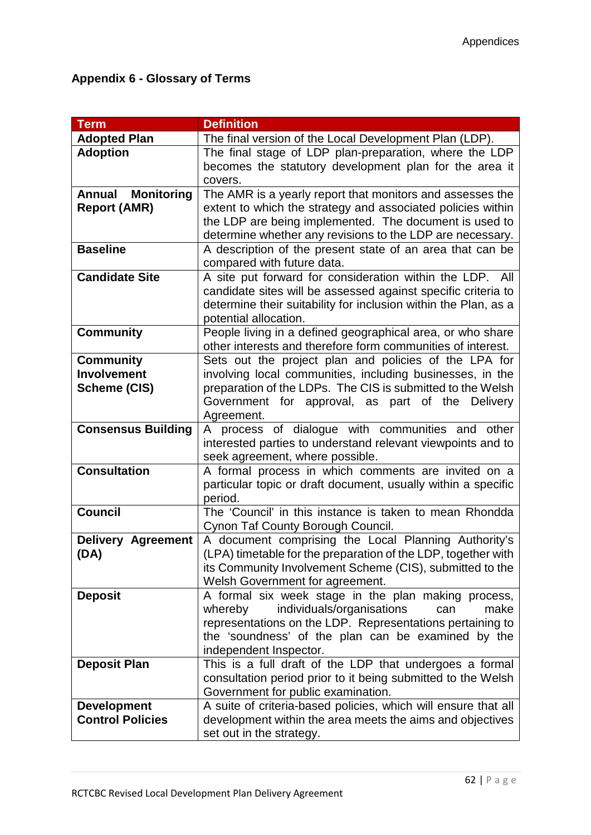## **Appendix 6 - Glossary of Terms**

| <b>Term</b>               | <b>Definition</b>                                                                                                         |
|---------------------------|---------------------------------------------------------------------------------------------------------------------------|
| <b>Adopted Plan</b>       | The final version of the Local Development Plan (LDP).                                                                    |
| <b>Adoption</b>           | The final stage of LDP plan-preparation, where the LDP                                                                    |
|                           | becomes the statutory development plan for the area it                                                                    |
|                           | covers.                                                                                                                   |
| <b>Annual Monitoring</b>  | The AMR is a yearly report that monitors and assesses the                                                                 |
| <b>Report (AMR)</b>       | extent to which the strategy and associated policies within                                                               |
|                           | the LDP are being implemented. The document is used to                                                                    |
|                           | determine whether any revisions to the LDP are necessary.                                                                 |
| <b>Baseline</b>           | A description of the present state of an area that can be                                                                 |
|                           | compared with future data.                                                                                                |
| <b>Candidate Site</b>     | A site put forward for consideration within the LDP. All                                                                  |
|                           | candidate sites will be assessed against specific criteria to                                                             |
|                           | determine their suitability for inclusion within the Plan, as a                                                           |
|                           | potential allocation.                                                                                                     |
| <b>Community</b>          | People living in a defined geographical area, or who share<br>other interests and therefore form communities of interest. |
| <b>Community</b>          | Sets out the project plan and policies of the LPA for                                                                     |
| <b>Involvement</b>        | involving local communities, including businesses, in the                                                                 |
| <b>Scheme (CIS)</b>       | preparation of the LDPs. The CIS is submitted to the Welsh                                                                |
|                           | Government for approval, as part of the<br><b>Delivery</b>                                                                |
|                           | Agreement.                                                                                                                |
| <b>Consensus Building</b> | A process of dialogue with communities and other                                                                          |
|                           | interested parties to understand relevant viewpoints and to                                                               |
|                           | seek agreement, where possible.                                                                                           |
| <b>Consultation</b>       | A formal process in which comments are invited on a                                                                       |
|                           | particular topic or draft document, usually within a specific                                                             |
|                           | period.                                                                                                                   |
| <b>Council</b>            | The 'Council' in this instance is taken to mean Rhondda                                                                   |
|                           | Cynon Taf County Borough Council.                                                                                         |
| <b>Delivery Agreement</b> | A document comprising the Local Planning Authority's                                                                      |
| (DA)                      | (LPA) timetable for the preparation of the LDP, together with                                                             |
|                           | its Community Involvement Scheme (CIS), submitted to the                                                                  |
|                           | Welsh Government for agreement.                                                                                           |
| <b>Deposit</b>            | A formal six week stage in the plan making process,                                                                       |
|                           | individuals/organisations<br>make<br>whereby<br>can                                                                       |
|                           | representations on the LDP. Representations pertaining to                                                                 |
|                           | the 'soundness' of the plan can be examined by the<br>independent Inspector.                                              |
| <b>Deposit Plan</b>       | This is a full draft of the LDP that undergoes a formal                                                                   |
|                           | consultation period prior to it being submitted to the Welsh                                                              |
|                           | Government for public examination.                                                                                        |
| <b>Development</b>        | A suite of criteria-based policies, which will ensure that all                                                            |
| <b>Control Policies</b>   | development within the area meets the aims and objectives                                                                 |
|                           | set out in the strategy.                                                                                                  |
|                           |                                                                                                                           |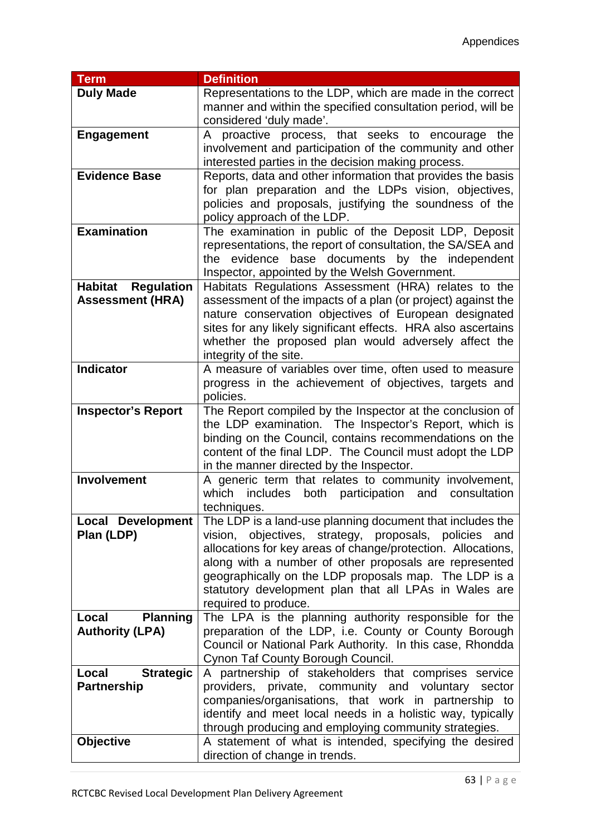| <b>Term</b>                  | <b>Definition</b>                                                 |
|------------------------------|-------------------------------------------------------------------|
| <b>Duly Made</b>             | Representations to the LDP, which are made in the correct         |
|                              | manner and within the specified consultation period, will be      |
|                              | considered 'duly made'.                                           |
| Engagement                   | A proactive process, that seeks to encourage<br>the               |
|                              | involvement and participation of the community and other          |
|                              |                                                                   |
|                              | interested parties in the decision making process.                |
| <b>Evidence Base</b>         | Reports, data and other information that provides the basis       |
|                              | for plan preparation and the LDPs vision, objectives,             |
|                              | policies and proposals, justifying the soundness of the           |
|                              | policy approach of the LDP.                                       |
| <b>Examination</b>           | The examination in public of the Deposit LDP, Deposit             |
|                              | representations, the report of consultation, the SA/SEA and       |
|                              | the evidence base documents by the independent                    |
|                              | Inspector, appointed by the Welsh Government.                     |
| <b>Regulation</b><br>Habitat | Habitats Regulations Assessment (HRA) relates to the              |
| <b>Assessment (HRA)</b>      | assessment of the impacts of a plan (or project) against the      |
|                              | nature conservation objectives of European designated             |
|                              |                                                                   |
|                              | sites for any likely significant effects. HRA also ascertains     |
|                              | whether the proposed plan would adversely affect the              |
|                              | integrity of the site.                                            |
| <b>Indicator</b>             | A measure of variables over time, often used to measure           |
|                              | progress in the achievement of objectives, targets and            |
|                              | policies.                                                         |
| <b>Inspector's Report</b>    | The Report compiled by the Inspector at the conclusion of         |
|                              | the LDP examination. The Inspector's Report, which is             |
|                              | binding on the Council, contains recommendations on the           |
|                              | content of the final LDP. The Council must adopt the LDP          |
|                              | in the manner directed by the Inspector.                          |
| <b>Involvement</b>           | A generic term that relates to community involvement,             |
|                              | which<br>includes<br>both<br>participation<br>and<br>consultation |
|                              | techniques.                                                       |
|                              | The LDP is a land-use planning document that includes the         |
| Local Development            |                                                                   |
| Plan (LDP)                   | objectives, strategy, proposals, policies<br>vision,<br>and       |
|                              | allocations for key areas of change/protection. Allocations,      |
|                              | along with a number of other proposals are represented            |
|                              | geographically on the LDP proposals map. The LDP is a             |
|                              | statutory development plan that all LPAs in Wales are             |
|                              | required to produce.                                              |
| Local<br><b>Planning</b>     | The LPA is the planning authority responsible for the             |
| <b>Authority (LPA)</b>       | preparation of the LDP, i.e. County or County Borough             |
|                              | Council or National Park Authority. In this case, Rhondda         |
|                              | Cynon Taf County Borough Council.                                 |
| <b>Strategic</b><br>Local    | A partnership of stakeholders that comprises service              |
| <b>Partnership</b>           | providers, private, community and voluntary sector                |
|                              | companies/organisations, that work in partnership to              |
|                              | identify and meet local needs in a holistic way, typically        |
|                              | through producing and employing community strategies.             |
|                              |                                                                   |
| <b>Objective</b>             | A statement of what is intended, specifying the desired           |
|                              | direction of change in trends.                                    |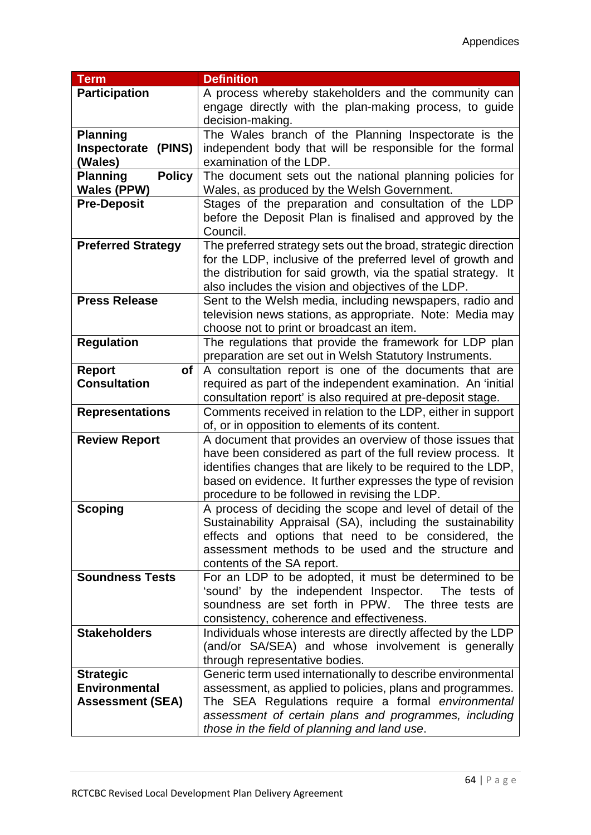| <b>Term</b>                      | <b>Definition</b>                                              |
|----------------------------------|----------------------------------------------------------------|
| <b>Participation</b>             | A process whereby stakeholders and the community can           |
|                                  | engage directly with the plan-making process, to guide         |
|                                  | decision-making.                                               |
| <b>Planning</b>                  | The Wales branch of the Planning Inspectorate is the           |
| Inspectorate<br>(PINS)           | independent body that will be responsible for the formal       |
| (Wales)                          | examination of the LDP.                                        |
| <b>Planning</b><br><b>Policy</b> | The document sets out the national planning policies for       |
| <b>Wales (PPW)</b>               | Wales, as produced by the Welsh Government.                    |
| <b>Pre-Deposit</b>               | Stages of the preparation and consultation of the LDP          |
|                                  | before the Deposit Plan is finalised and approved by the       |
|                                  | Council.                                                       |
| <b>Preferred Strategy</b>        | The preferred strategy sets out the broad, strategic direction |
|                                  | for the LDP, inclusive of the preferred level of growth and    |
|                                  | the distribution for said growth, via the spatial strategy. It |
|                                  | also includes the vision and objectives of the LDP.            |
| <b>Press Release</b>             | Sent to the Welsh media, including newspapers, radio and       |
|                                  | television news stations, as appropriate. Note: Media may      |
|                                  | choose not to print or broadcast an item.                      |
| <b>Regulation</b>                | The regulations that provide the framework for LDP plan        |
|                                  | preparation are set out in Welsh Statutory Instruments.        |
| Report<br><b>of</b>              | A consultation report is one of the documents that are         |
| <b>Consultation</b>              | required as part of the independent examination. An 'initial   |
|                                  | consultation report' is also required at pre-deposit stage.    |
| <b>Representations</b>           | Comments received in relation to the LDP, either in support    |
|                                  | of, or in opposition to elements of its content.               |
| <b>Review Report</b>             | A document that provides an overview of those issues that      |
|                                  | have been considered as part of the full review process. It    |
|                                  | identifies changes that are likely to be required to the LDP,  |
|                                  | based on evidence. It further expresses the type of revision   |
|                                  | procedure to be followed in revising the LDP.                  |
| <b>Scoping</b>                   | A process of deciding the scope and level of detail of the     |
|                                  | Sustainability Appraisal (SA), including the sustainability    |
|                                  | effects and options that need to be considered, the            |
|                                  | assessment methods to be used and the structure and            |
|                                  | contents of the SA report.                                     |
| <b>Soundness Tests</b>           | For an LDP to be adopted, it must be determined to be          |
|                                  | 'sound' by the independent Inspector.<br>The tests of          |
|                                  | soundness are set forth in PPW. The three tests are            |
|                                  | consistency, coherence and effectiveness.                      |
| <b>Stakeholders</b>              | Individuals whose interests are directly affected by the LDP   |
|                                  | (and/or SA/SEA) and whose involvement is generally             |
|                                  | through representative bodies.                                 |
| <b>Strategic</b>                 | Generic term used internationally to describe environmental    |
| <b>Environmental</b>             | assessment, as applied to policies, plans and programmes.      |
| <b>Assessment (SEA)</b>          | The SEA Regulations require a formal environmental             |
|                                  | assessment of certain plans and programmes, including          |
|                                  | those in the field of planning and land use.                   |